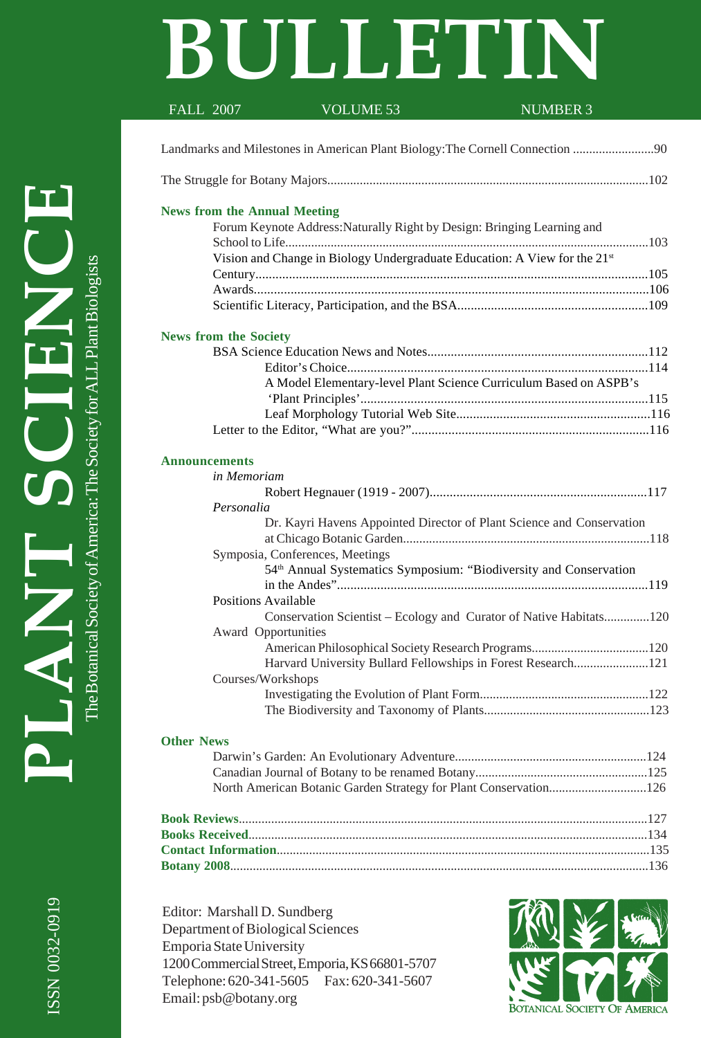# **BULLETIN**

| Landmarks and Milestones in American Plant Biology: The Cornell Connection<br><b>News from the Annual Meeting</b><br>Forum Keynote Address: Naturally Right by Design: Bringing Learning and<br>Vision and Change in Biology Undergraduate Education: A View for the 21st<br><b>News from the Society</b><br>A Model Elementary-level Plant Science Curriculum Based on ASPB's<br><b>Announcements</b><br>in Memoriam<br>Personalia<br>Dr. Kayri Havens Appointed Director of Plant Science and Conservation<br>Symposia, Conferences, Meetings<br>54 <sup>th</sup> Annual Systematics Symposium: "Biodiversity and Conservation<br>Positions Available<br>Conservation Scientist - Ecology and Curator of Native Habitats120<br>Award Opportunities<br>Harvard University Bullard Fellowships in Forest Research121<br>Courses/Workshops<br><b>Other News</b><br>North American Botanic Garden Strategy for Plant Conservation126 | <b>NUMBER 3</b> |
|------------------------------------------------------------------------------------------------------------------------------------------------------------------------------------------------------------------------------------------------------------------------------------------------------------------------------------------------------------------------------------------------------------------------------------------------------------------------------------------------------------------------------------------------------------------------------------------------------------------------------------------------------------------------------------------------------------------------------------------------------------------------------------------------------------------------------------------------------------------------------------------------------------------------------------|-----------------|
|                                                                                                                                                                                                                                                                                                                                                                                                                                                                                                                                                                                                                                                                                                                                                                                                                                                                                                                                    |                 |
|                                                                                                                                                                                                                                                                                                                                                                                                                                                                                                                                                                                                                                                                                                                                                                                                                                                                                                                                    |                 |
|                                                                                                                                                                                                                                                                                                                                                                                                                                                                                                                                                                                                                                                                                                                                                                                                                                                                                                                                    |                 |
|                                                                                                                                                                                                                                                                                                                                                                                                                                                                                                                                                                                                                                                                                                                                                                                                                                                                                                                                    |                 |
|                                                                                                                                                                                                                                                                                                                                                                                                                                                                                                                                                                                                                                                                                                                                                                                                                                                                                                                                    |                 |
|                                                                                                                                                                                                                                                                                                                                                                                                                                                                                                                                                                                                                                                                                                                                                                                                                                                                                                                                    |                 |
|                                                                                                                                                                                                                                                                                                                                                                                                                                                                                                                                                                                                                                                                                                                                                                                                                                                                                                                                    |                 |
|                                                                                                                                                                                                                                                                                                                                                                                                                                                                                                                                                                                                                                                                                                                                                                                                                                                                                                                                    |                 |
|                                                                                                                                                                                                                                                                                                                                                                                                                                                                                                                                                                                                                                                                                                                                                                                                                                                                                                                                    |                 |
|                                                                                                                                                                                                                                                                                                                                                                                                                                                                                                                                                                                                                                                                                                                                                                                                                                                                                                                                    |                 |
|                                                                                                                                                                                                                                                                                                                                                                                                                                                                                                                                                                                                                                                                                                                                                                                                                                                                                                                                    |                 |
|                                                                                                                                                                                                                                                                                                                                                                                                                                                                                                                                                                                                                                                                                                                                                                                                                                                                                                                                    |                 |
|                                                                                                                                                                                                                                                                                                                                                                                                                                                                                                                                                                                                                                                                                                                                                                                                                                                                                                                                    |                 |
|                                                                                                                                                                                                                                                                                                                                                                                                                                                                                                                                                                                                                                                                                                                                                                                                                                                                                                                                    |                 |
|                                                                                                                                                                                                                                                                                                                                                                                                                                                                                                                                                                                                                                                                                                                                                                                                                                                                                                                                    |                 |
|                                                                                                                                                                                                                                                                                                                                                                                                                                                                                                                                                                                                                                                                                                                                                                                                                                                                                                                                    |                 |
|                                                                                                                                                                                                                                                                                                                                                                                                                                                                                                                                                                                                                                                                                                                                                                                                                                                                                                                                    |                 |
|                                                                                                                                                                                                                                                                                                                                                                                                                                                                                                                                                                                                                                                                                                                                                                                                                                                                                                                                    |                 |
|                                                                                                                                                                                                                                                                                                                                                                                                                                                                                                                                                                                                                                                                                                                                                                                                                                                                                                                                    |                 |
|                                                                                                                                                                                                                                                                                                                                                                                                                                                                                                                                                                                                                                                                                                                                                                                                                                                                                                                                    |                 |
|                                                                                                                                                                                                                                                                                                                                                                                                                                                                                                                                                                                                                                                                                                                                                                                                                                                                                                                                    |                 |
|                                                                                                                                                                                                                                                                                                                                                                                                                                                                                                                                                                                                                                                                                                                                                                                                                                                                                                                                    |                 |
|                                                                                                                                                                                                                                                                                                                                                                                                                                                                                                                                                                                                                                                                                                                                                                                                                                                                                                                                    |                 |
|                                                                                                                                                                                                                                                                                                                                                                                                                                                                                                                                                                                                                                                                                                                                                                                                                                                                                                                                    |                 |
|                                                                                                                                                                                                                                                                                                                                                                                                                                                                                                                                                                                                                                                                                                                                                                                                                                                                                                                                    |                 |
|                                                                                                                                                                                                                                                                                                                                                                                                                                                                                                                                                                                                                                                                                                                                                                                                                                                                                                                                    |                 |
|                                                                                                                                                                                                                                                                                                                                                                                                                                                                                                                                                                                                                                                                                                                                                                                                                                                                                                                                    |                 |
|                                                                                                                                                                                                                                                                                                                                                                                                                                                                                                                                                                                                                                                                                                                                                                                                                                                                                                                                    |                 |
|                                                                                                                                                                                                                                                                                                                                                                                                                                                                                                                                                                                                                                                                                                                                                                                                                                                                                                                                    |                 |
|                                                                                                                                                                                                                                                                                                                                                                                                                                                                                                                                                                                                                                                                                                                                                                                                                                                                                                                                    |                 |
|                                                                                                                                                                                                                                                                                                                                                                                                                                                                                                                                                                                                                                                                                                                                                                                                                                                                                                                                    |                 |
|                                                                                                                                                                                                                                                                                                                                                                                                                                                                                                                                                                                                                                                                                                                                                                                                                                                                                                                                    |                 |
|                                                                                                                                                                                                                                                                                                                                                                                                                                                                                                                                                                                                                                                                                                                                                                                                                                                                                                                                    |                 |
|                                                                                                                                                                                                                                                                                                                                                                                                                                                                                                                                                                                                                                                                                                                                                                                                                                                                                                                                    |                 |
|                                                                                                                                                                                                                                                                                                                                                                                                                                                                                                                                                                                                                                                                                                                                                                                                                                                                                                                                    |                 |
|                                                                                                                                                                                                                                                                                                                                                                                                                                                                                                                                                                                                                                                                                                                                                                                                                                                                                                                                    |                 |
|                                                                                                                                                                                                                                                                                                                                                                                                                                                                                                                                                                                                                                                                                                                                                                                                                                                                                                                                    |                 |
|                                                                                                                                                                                                                                                                                                                                                                                                                                                                                                                                                                                                                                                                                                                                                                                                                                                                                                                                    |                 |
|                                                                                                                                                                                                                                                                                                                                                                                                                                                                                                                                                                                                                                                                                                                                                                                                                                                                                                                                    |                 |
|                                                                                                                                                                                                                                                                                                                                                                                                                                                                                                                                                                                                                                                                                                                                                                                                                                                                                                                                    |                 |

Editor: Marshall D. Sundberg Department of Biological Sciences Emporia State University 1200 Commercial Street, Emporia, KS 66801-5707 Telephone: 620-341-5605 Fax: 620-341-5607 Email: psb@botany.org

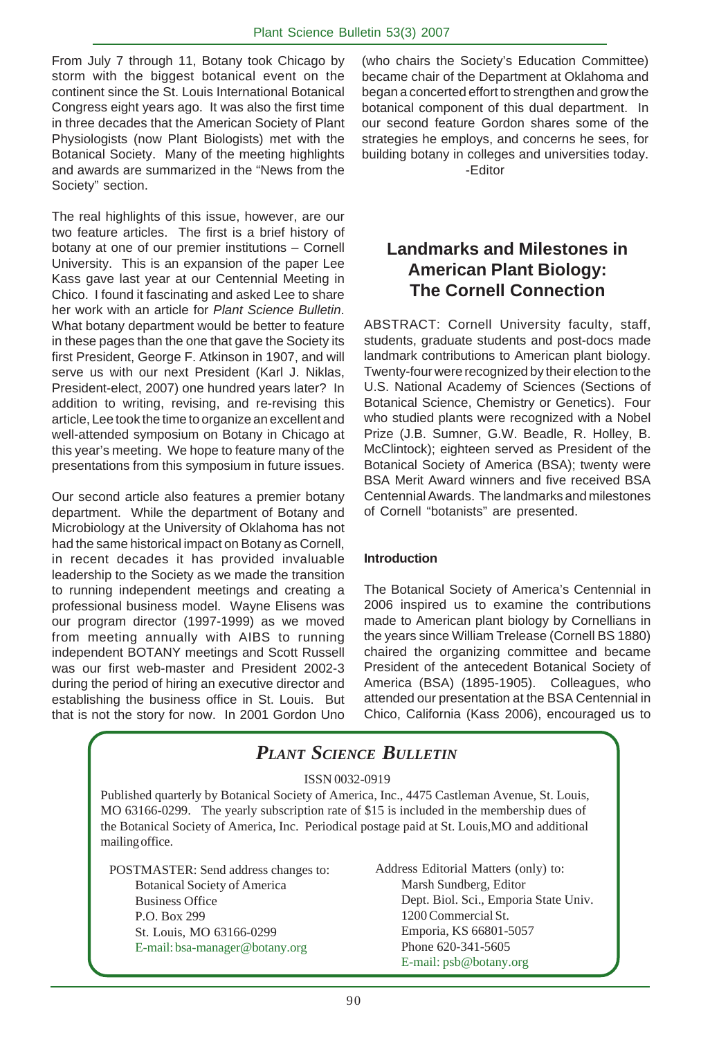From July 7 through 11, Botany took Chicago by storm with the biggest botanical event on the continent since the St. Louis International Botanical Congress eight years ago. It was also the first time in three decades that the American Society of Plant Physiologists (now Plant Biologists) met with the Botanical Society. Many of the meeting highlights and awards are summarized in the "News from the Society" section.

The real highlights of this issue, however, are our two feature articles. The first is a brief history of botany at one of our premier institutions – Cornell University. This is an expansion of the paper Lee Kass gave last year at our Centennial Meeting in Chico. I found it fascinating and asked Lee to share her work with an article for *Plant Science Bulletin*. What botany department would be better to feature in these pages than the one that gave the Society its first President, George F. Atkinson in 1907, and will serve us with our next President (Karl J. Niklas, President-elect, 2007) one hundred years later? In addition to writing, revising, and re-revising this article, Lee took the time to organize an excellent and well-attended symposium on Botany in Chicago at this year's meeting. We hope to feature many of the presentations from this symposium in future issues.

Our second article also features a premier botany department. While the department of Botany and Microbiology at the University of Oklahoma has not had the same historical impact on Botany as Cornell, in recent decades it has provided invaluable leadership to the Society as we made the transition to running independent meetings and creating a professional business model. Wayne Elisens was our program director (1997-1999) as we moved from meeting annually with AIBS to running independent BOTANY meetings and Scott Russell was our first web-master and President 2002-3 during the period of hiring an executive director and establishing the business office in St. Louis. But that is not the story for now. In 2001 Gordon Uno (who chairs the Society's Education Committee) became chair of the Department at Oklahoma and began a concerted effort to strengthen and grow the botanical component of this dual department. In our second feature Gordon shares some of the strategies he employs, and concerns he sees, for building botany in colleges and universities today. -Editor

# **Landmarks and Milestones in American Plant Biology: The Cornell Connection**

ABSTRACT: Cornell University faculty, staff, students, graduate students and post-docs made landmark contributions to American plant biology. Twenty-four were recognized by their election to the U.S. National Academy of Sciences (Sections of Botanical Science, Chemistry or Genetics). Four who studied plants were recognized with a Nobel Prize (J.B. Sumner, G.W. Beadle, R. Holley, B. McClintock); eighteen served as President of the Botanical Society of America (BSA); twenty were BSA Merit Award winners and five received BSA Centennial Awards. The landmarks and milestones of Cornell "botanists" are presented.

# **Introduction**

The Botanical Society of America's Centennial in 2006 inspired us to examine the contributions made to American plant biology by Cornellians in the years since William Trelease (Cornell BS 1880) chaired the organizing committee and became President of the antecedent Botanical Society of America (BSA) (1895-1905). Colleagues, who attended our presentation at the BSA Centennial in Chico, California (Kass 2006), encouraged us to

|                                                                                                                                                                                                                                                                                                                                  | <b>PLANT SCIENCE BULLETIN</b>                                                                                                                                                                            |
|----------------------------------------------------------------------------------------------------------------------------------------------------------------------------------------------------------------------------------------------------------------------------------------------------------------------------------|----------------------------------------------------------------------------------------------------------------------------------------------------------------------------------------------------------|
| ISSN 0032-0919<br>Published quarterly by Botanical Society of America, Inc., 4475 Castleman Avenue, St. Louis,<br>MO 63166-0299. The yearly subscription rate of \$15 is included in the membership dues of<br>the Botanical Society of America, Inc. Periodical postage paid at St. Louis, MO and additional<br>mailing office. |                                                                                                                                                                                                          |
| POSTMASTER: Send address changes to:<br><b>Botanical Society of America</b><br><b>Business Office</b><br>P.O. Box 299<br>St. Louis, MO 63166-0299<br>E-mail: bsa-manager@botany.org                                                                                                                                              | Address Editorial Matters (only) to:<br>Marsh Sundberg, Editor<br>Dept. Biol. Sci., Emporia State Univ.<br>1200 Commercial St.<br>Emporia, KS 66801-5057<br>Phone 620-341-5605<br>E-mail: psb@botany.org |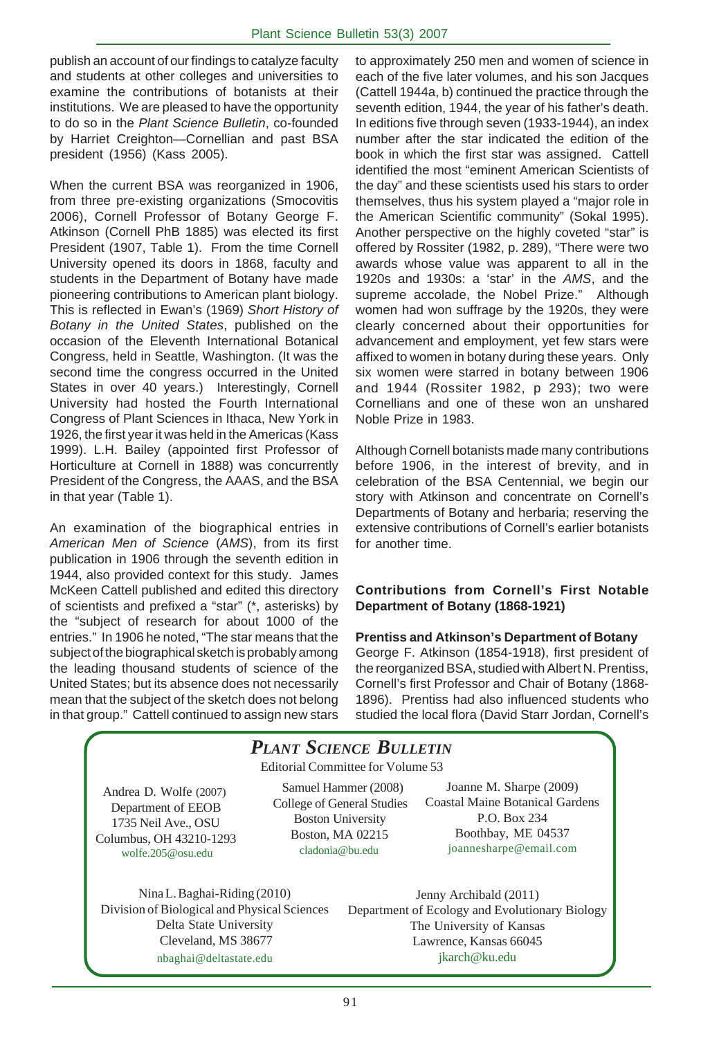publish an account of our findings to catalyze faculty and students at other colleges and universities to examine the contributions of botanists at their institutions. We are pleased to have the opportunity to do so in the *Plant Science Bulletin*, co-founded by Harriet Creighton—Cornellian and past BSA president (1956) (Kass 2005).

When the current BSA was reorganized in 1906, from three pre-existing organizations (Smocovitis 2006), Cornell Professor of Botany George F. Atkinson (Cornell PhB 1885) was elected its first President (1907, Table 1). From the time Cornell University opened its doors in 1868, faculty and students in the Department of Botany have made pioneering contributions to American plant biology. This is reflected in Ewan's (1969) *Short History of Botany in the United States*, published on the occasion of the Eleventh International Botanical Congress, held in Seattle, Washington. (It was the second time the congress occurred in the United States in over 40 years.) Interestingly, Cornell University had hosted the Fourth International Congress of Plant Sciences in Ithaca, New York in 1926, the first year it was held in the Americas (Kass 1999). L.H. Bailey (appointed first Professor of Horticulture at Cornell in 1888) was concurrently President of the Congress, the AAAS, and the BSA in that year (Table 1).

An examination of the biographical entries in *American Men of Science* (*AMS*), from its first publication in 1906 through the seventh edition in 1944, also provided context for this study. James McKeen Cattell published and edited this directory of scientists and prefixed a "star" (\*, asterisks) by the "subject of research for about 1000 of the entries." In 1906 he noted, "The star means that the subject of the biographical sketch is probably among the leading thousand students of science of the United States; but its absence does not necessarily mean that the subject of the sketch does not belong in that group." Cattell continued to assign new stars

to approximately 250 men and women of science in each of the five later volumes, and his son Jacques (Cattell 1944a, b) continued the practice through the seventh edition, 1944, the year of his father's death. In editions five through seven (1933-1944), an index number after the star indicated the edition of the book in which the first star was assigned. Cattell identified the most "eminent American Scientists of the day" and these scientists used his stars to order themselves, thus his system played a "major role in the American Scientific community" (Sokal 1995). Another perspective on the highly coveted "star" is offered by Rossiter (1982, p. 289), "There were two awards whose value was apparent to all in the 1920s and 1930s: a 'star' in the *AMS*, and the supreme accolade, the Nobel Prize." Although women had won suffrage by the 1920s, they were clearly concerned about their opportunities for advancement and employment, yet few stars were affixed to women in botany during these years. Only six women were starred in botany between 1906 and 1944 (Rossiter 1982, p 293); two were Cornellians and one of these won an unshared Noble Prize in 1983.

Although Cornell botanists made many contributions before 1906, in the interest of brevity, and in celebration of the BSA Centennial, we begin our story with Atkinson and concentrate on Cornell's Departments of Botany and herbaria; reserving the extensive contributions of Cornell's earlier botanists for another time.

# **Contributions from Cornell's First Notable Department of Botany (1868-1921)**

### **Prentiss and Atkinson's Department of Botany**

George F. Atkinson (1854-1918), first president of the reorganized BSA, studied with Albert N. Prentiss, Cornell's first Professor and Chair of Botany (1868- 1896). Prentiss had also influenced students who studied the local flora (David Starr Jordan, Cornell's

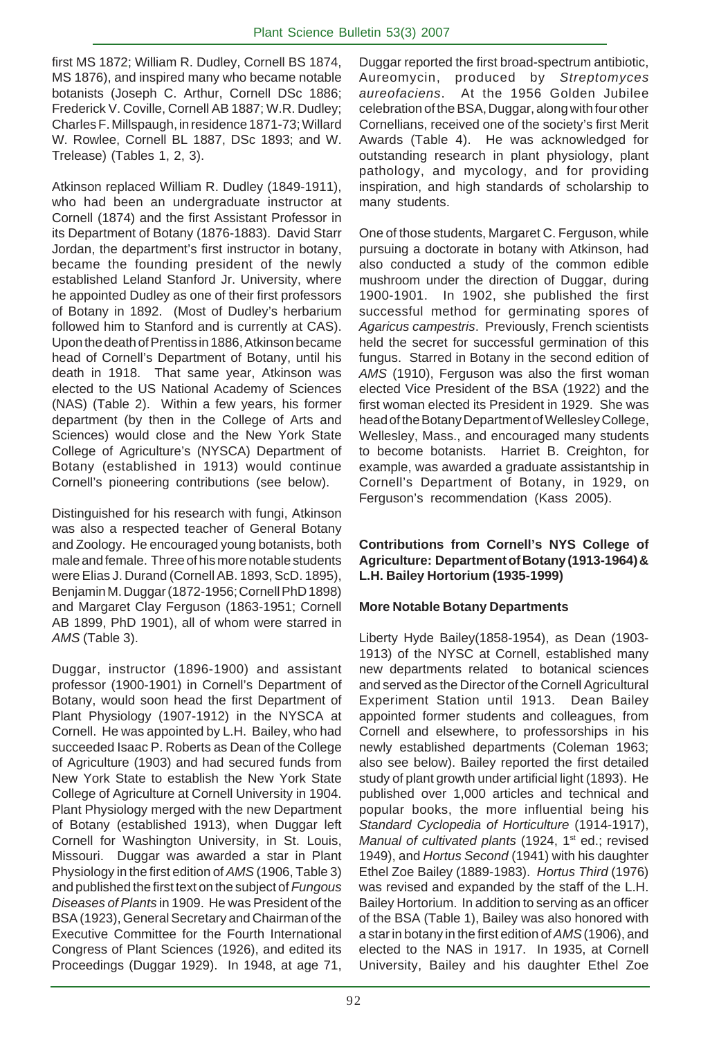first MS 1872; William R. Dudley, Cornell BS 1874, MS 1876), and inspired many who became notable botanists (Joseph C. Arthur, Cornell DSc 1886; Frederick V. Coville, Cornell AB 1887; W.R. Dudley; Charles F. Millspaugh, in residence 1871-73; Willard W. Rowlee, Cornell BL 1887, DSc 1893; and W. Trelease) (Tables 1, 2, 3).

Atkinson replaced William R. Dudley (1849-1911), who had been an undergraduate instructor at Cornell (1874) and the first Assistant Professor in its Department of Botany (1876-1883). David Starr Jordan, the department's first instructor in botany, became the founding president of the newly established Leland Stanford Jr. University, where he appointed Dudley as one of their first professors of Botany in 1892. (Most of Dudley's herbarium followed him to Stanford and is currently at CAS). Upon the death of Prentiss in 1886, Atkinson became head of Cornell's Department of Botany, until his death in 1918. That same year, Atkinson was elected to the US National Academy of Sciences (NAS) (Table 2). Within a few years, his former department (by then in the College of Arts and Sciences) would close and the New York State College of Agriculture's (NYSCA) Department of Botany (established in 1913) would continue Cornell's pioneering contributions (see below).

Distinguished for his research with fungi, Atkinson was also a respected teacher of General Botany and Zoology. He encouraged young botanists, both male and female. Three of his more notable students were Elias J. Durand (Cornell AB. 1893, ScD. 1895), Benjamin M. Duggar (1872-1956; Cornell PhD 1898) and Margaret Clay Ferguson (1863-1951; Cornell AB 1899, PhD 1901), all of whom were starred in *AMS* (Table 3).

Duggar, instructor (1896-1900) and assistant professor (1900-1901) in Cornell's Department of Botany, would soon head the first Department of Plant Physiology (1907-1912) in the NYSCA at Cornell. He was appointed by L.H. Bailey, who had succeeded Isaac P. Roberts as Dean of the College of Agriculture (1903) and had secured funds from New York State to establish the New York State College of Agriculture at Cornell University in 1904. Plant Physiology merged with the new Department of Botany (established 1913), when Duggar left Cornell for Washington University, in St. Louis, Missouri. Duggar was awarded a star in Plant Physiology in the first edition of *AMS* (1906, Table 3) and published the first text on the subject of *Fungous Diseases of Plants* in 1909. He was President of the BSA (1923), General Secretary and Chairman of the Executive Committee for the Fourth International Congress of Plant Sciences (1926), and edited its Proceedings (Duggar 1929). In 1948, at age 71,

Duggar reported the first broad-spectrum antibiotic, Aureomycin, produced by *Streptomyces aureofaciens*. At the 1956 Golden Jubilee celebration of the BSA, Duggar, along with four other Cornellians, received one of the society's first Merit Awards (Table 4). He was acknowledged for outstanding research in plant physiology, plant pathology, and mycology, and for providing inspiration, and high standards of scholarship to many students.

One of those students, Margaret C. Ferguson, while pursuing a doctorate in botany with Atkinson, had also conducted a study of the common edible mushroom under the direction of Duggar, during 1900-1901. In 1902, she published the first successful method for germinating spores of *Agaricus campestris*. Previously, French scientists held the secret for successful germination of this fungus. Starred in Botany in the second edition of *AMS* (1910), Ferguson was also the first woman elected Vice President of the BSA (1922) and the first woman elected its President in 1929. She was head of the Botany Department of Wellesley College, Wellesley, Mass., and encouraged many students to become botanists. Harriet B. Creighton, for example, was awarded a graduate assistantship in Cornell's Department of Botany, in 1929, on Ferguson's recommendation (Kass 2005).

# **Contributions from Cornell's NYS College of Agriculture: Department of Botany (1913-1964) & L.H. Bailey Hortorium (1935-1999)**

# **More Notable Botany Departments**

Liberty Hyde Bailey(1858-1954), as Dean (1903- 1913) of the NYSC at Cornell, established many new departments related to botanical sciences and served as the Director of the Cornell Agricultural Experiment Station until 1913. Dean Bailey appointed former students and colleagues, from Cornell and elsewhere, to professorships in his newly established departments (Coleman 1963; also see below). Bailey reported the first detailed study of plant growth under artificial light (1893). He published over 1,000 articles and technical and popular books, the more influential being his *Standard Cyclopedia of Horticulture* (1914-1917), *Manual of cultivated plants* (1924, 1<sup>st</sup> ed.; revised 1949), and *Hortus Second* (1941) with his daughter Ethel Zoe Bailey (1889-1983). *Hortus Third* (1976) was revised and expanded by the staff of the L.H. Bailey Hortorium. In addition to serving as an officer of the BSA (Table 1), Bailey was also honored with a star in botany in the first edition of *AMS* (1906), and elected to the NAS in 1917. In 1935, at Cornell University, Bailey and his daughter Ethel Zoe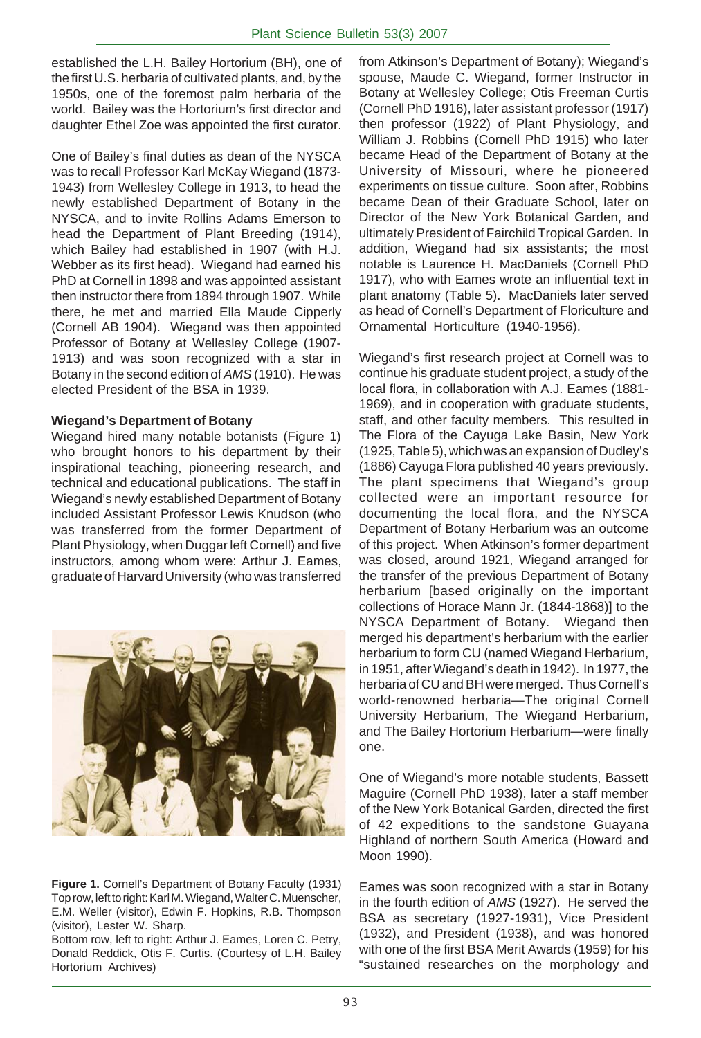established the L.H. Bailey Hortorium (BH), one of the first U.S. herbaria of cultivated plants, and, by the 1950s, one of the foremost palm herbaria of the world. Bailey was the Hortorium's first director and daughter Ethel Zoe was appointed the first curator.

One of Bailey's final duties as dean of the NYSCA was to recall Professor Karl McKay Wiegand (1873- 1943) from Wellesley College in 1913, to head the newly established Department of Botany in the NYSCA, and to invite Rollins Adams Emerson to head the Department of Plant Breeding (1914), which Bailey had established in 1907 (with H.J. Webber as its first head). Wiegand had earned his PhD at Cornell in 1898 and was appointed assistant then instructor there from 1894 through 1907. While there, he met and married Ella Maude Cipperly (Cornell AB 1904). Wiegand was then appointed Professor of Botany at Wellesley College (1907- 1913) and was soon recognized with a star in Botany in the second edition of *AMS* (1910). He was elected President of the BSA in 1939.

### **Wiegand's Department of Botany**

Wiegand hired many notable botanists (Figure 1) who brought honors to his department by their inspirational teaching, pioneering research, and technical and educational publications. The staff in Wiegand's newly established Department of Botany included Assistant Professor Lewis Knudson (who was transferred from the former Department of Plant Physiology, when Duggar left Cornell) and five instructors, among whom were: Arthur J. Eames, graduate of Harvard University (who was transferred



**Figure 1.** Cornell's Department of Botany Faculty (1931) Top row, left to right: Karl M. Wiegand, Walter C. Muenscher, E.M. Weller (visitor), Edwin F. Hopkins, R.B. Thompson (visitor), Lester W. Sharp.

Bottom row, left to right: Arthur J. Eames, Loren C. Petry, Donald Reddick, Otis F. Curtis. (Courtesy of L.H. Bailey Hortorium Archives)

from Atkinson's Department of Botany); Wiegand's spouse, Maude C. Wiegand, former Instructor in Botany at Wellesley College; Otis Freeman Curtis (Cornell PhD 1916), later assistant professor (1917) then professor (1922) of Plant Physiology, and William J. Robbins (Cornell PhD 1915) who later became Head of the Department of Botany at the University of Missouri, where he pioneered experiments on tissue culture. Soon after, Robbins became Dean of their Graduate School, later on Director of the New York Botanical Garden, and ultimately President of Fairchild Tropical Garden. In addition, Wiegand had six assistants; the most notable is Laurence H. MacDaniels (Cornell PhD 1917), who with Eames wrote an influential text in plant anatomy (Table 5). MacDaniels later served as head of Cornell's Department of Floriculture and Ornamental Horticulture (1940-1956).

Wiegand's first research project at Cornell was to continue his graduate student project, a study of the local flora, in collaboration with A.J. Eames (1881- 1969), and in cooperation with graduate students, staff, and other faculty members. This resulted in The Flora of the Cayuga Lake Basin, New York (1925, Table 5), which was an expansion of Dudley's (1886) Cayuga Flora published 40 years previously. The plant specimens that Wiegand's group collected were an important resource for documenting the local flora, and the NYSCA Department of Botany Herbarium was an outcome of this project. When Atkinson's former department was closed, around 1921, Wiegand arranged for the transfer of the previous Department of Botany herbarium [based originally on the important collections of Horace Mann Jr. (1844-1868)] to the NYSCA Department of Botany. Wiegand then merged his department's herbarium with the earlier herbarium to form CU (named Wiegand Herbarium, in 1951, after Wiegand's death in 1942). In 1977, the herbaria of CU and BH were merged. Thus Cornell's world-renowned herbaria—The original Cornell University Herbarium, The Wiegand Herbarium, and The Bailey Hortorium Herbarium—were finally one.

One of Wiegand's more notable students, Bassett Maguire (Cornell PhD 1938), later a staff member of the New York Botanical Garden, directed the first of 42 expeditions to the sandstone Guayana Highland of northern South America (Howard and Moon 1990).

Eames was soon recognized with a star in Botany in the fourth edition of *AMS* (1927). He served the BSA as secretary (1927-1931), Vice President (1932), and President (1938), and was honored with one of the first BSA Merit Awards (1959) for his "sustained researches on the morphology and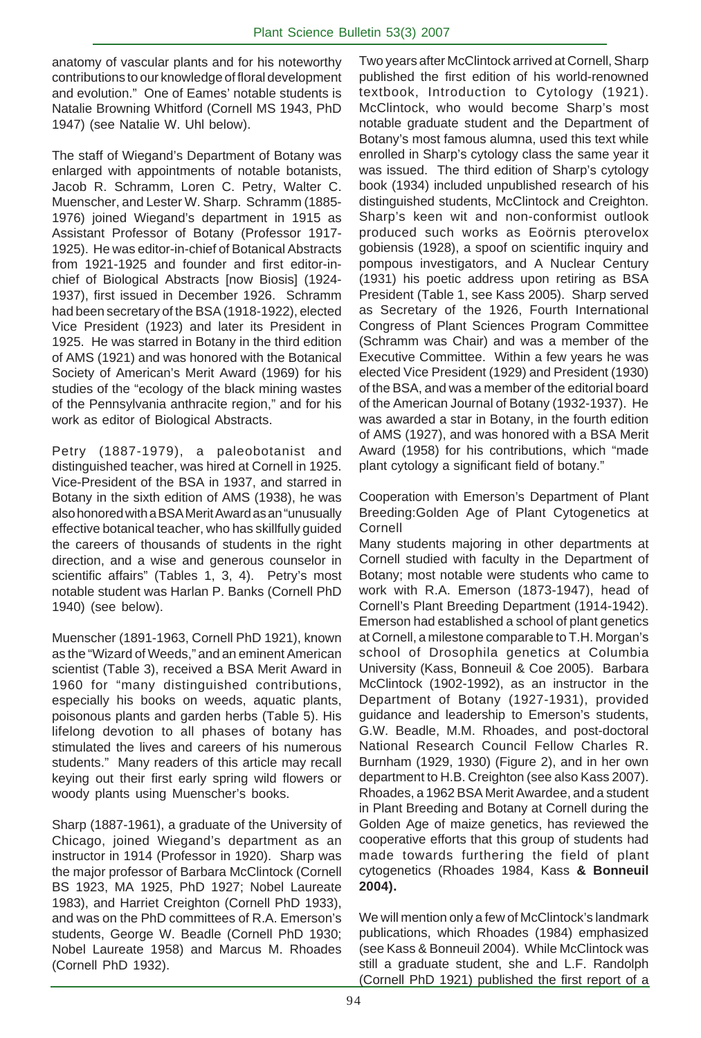anatomy of vascular plants and for his noteworthy contributions to our knowledge of floral development and evolution." One of Eames' notable students is Natalie Browning Whitford (Cornell MS 1943, PhD 1947) (see Natalie W. Uhl below).

The staff of Wiegand's Department of Botany was enlarged with appointments of notable botanists, Jacob R. Schramm, Loren C. Petry, Walter C. Muenscher, and Lester W. Sharp. Schramm (1885- 1976) joined Wiegand's department in 1915 as Assistant Professor of Botany (Professor 1917- 1925). He was editor-in-chief of Botanical Abstracts from 1921-1925 and founder and first editor-inchief of Biological Abstracts [now Biosis] (1924- 1937), first issued in December 1926. Schramm had been secretary of the BSA (1918-1922), elected Vice President (1923) and later its President in 1925. He was starred in Botany in the third edition of AMS (1921) and was honored with the Botanical Society of American's Merit Award (1969) for his studies of the "ecology of the black mining wastes of the Pennsylvania anthracite region," and for his work as editor of Biological Abstracts.

Petry (1887-1979), a paleobotanist and distinguished teacher, was hired at Cornell in 1925. Vice-President of the BSA in 1937, and starred in Botany in the sixth edition of AMS (1938), he was also honored with a BSA Merit Award as an "unusually effective botanical teacher, who has skillfully guided the careers of thousands of students in the right direction, and a wise and generous counselor in scientific affairs" (Tables 1, 3, 4). Petry's most notable student was Harlan P. Banks (Cornell PhD 1940) (see below).

Muenscher (1891-1963, Cornell PhD 1921), known as the "Wizard of Weeds," and an eminent American scientist (Table 3), received a BSA Merit Award in 1960 for "many distinguished contributions, especially his books on weeds, aquatic plants, poisonous plants and garden herbs (Table 5). His lifelong devotion to all phases of botany has stimulated the lives and careers of his numerous students." Many readers of this article may recall keying out their first early spring wild flowers or woody plants using Muenscher's books.

Sharp (1887-1961), a graduate of the University of Chicago, joined Wiegand's department as an instructor in 1914 (Professor in 1920). Sharp was the major professor of Barbara McClintock (Cornell BS 1923, MA 1925, PhD 1927; Nobel Laureate 1983), and Harriet Creighton (Cornell PhD 1933), and was on the PhD committees of R.A. Emerson's students, George W. Beadle (Cornell PhD 1930; Nobel Laureate 1958) and Marcus M. Rhoades (Cornell PhD 1932).

Two years after McClintock arrived at Cornell, Sharp published the first edition of his world-renowned textbook, Introduction to Cytology (1921). McClintock, who would become Sharp's most notable graduate student and the Department of Botany's most famous alumna, used this text while enrolled in Sharp's cytology class the same year it was issued. The third edition of Sharp's cytology book (1934) included unpublished research of his distinguished students, McClintock and Creighton. Sharp's keen wit and non-conformist outlook produced such works as Eoörnis pterovelox gobiensis (1928), a spoof on scientific inquiry and pompous investigators, and A Nuclear Century (1931) his poetic address upon retiring as BSA President (Table 1, see Kass 2005). Sharp served as Secretary of the 1926, Fourth International Congress of Plant Sciences Program Committee (Schramm was Chair) and was a member of the Executive Committee. Within a few years he was elected Vice President (1929) and President (1930) of the BSA, and was a member of the editorial board of the American Journal of Botany (1932-1937). He was awarded a star in Botany, in the fourth edition of AMS (1927), and was honored with a BSA Merit Award (1958) for his contributions, which "made plant cytology a significant field of botany."

Cooperation with Emerson's Department of Plant Breeding:Golden Age of Plant Cytogenetics at Cornell

Many students majoring in other departments at Cornell studied with faculty in the Department of Botany; most notable were students who came to work with R.A. Emerson (1873-1947), head of Cornell's Plant Breeding Department (1914-1942). Emerson had established a school of plant genetics at Cornell, a milestone comparable to T.H. Morgan's school of Drosophila genetics at Columbia University (Kass, Bonneuil & Coe 2005). Barbara McClintock (1902-1992), as an instructor in the Department of Botany (1927-1931), provided guidance and leadership to Emerson's students, G.W. Beadle, M.M. Rhoades, and post-doctoral National Research Council Fellow Charles R. Burnham (1929, 1930) (Figure 2), and in her own department to H.B. Creighton (see also Kass 2007). Rhoades, a 1962 BSA Merit Awardee, and a student in Plant Breeding and Botany at Cornell during the Golden Age of maize genetics, has reviewed the cooperative efforts that this group of students had made towards furthering the field of plant cytogenetics (Rhoades 1984, Kass **& Bonneuil 2004).**

We will mention only a few of McClintock's landmark publications, which Rhoades (1984) emphasized (see Kass & Bonneuil 2004). While McClintock was still a graduate student, she and L.F. Randolph (Cornell PhD 1921) published the first report of a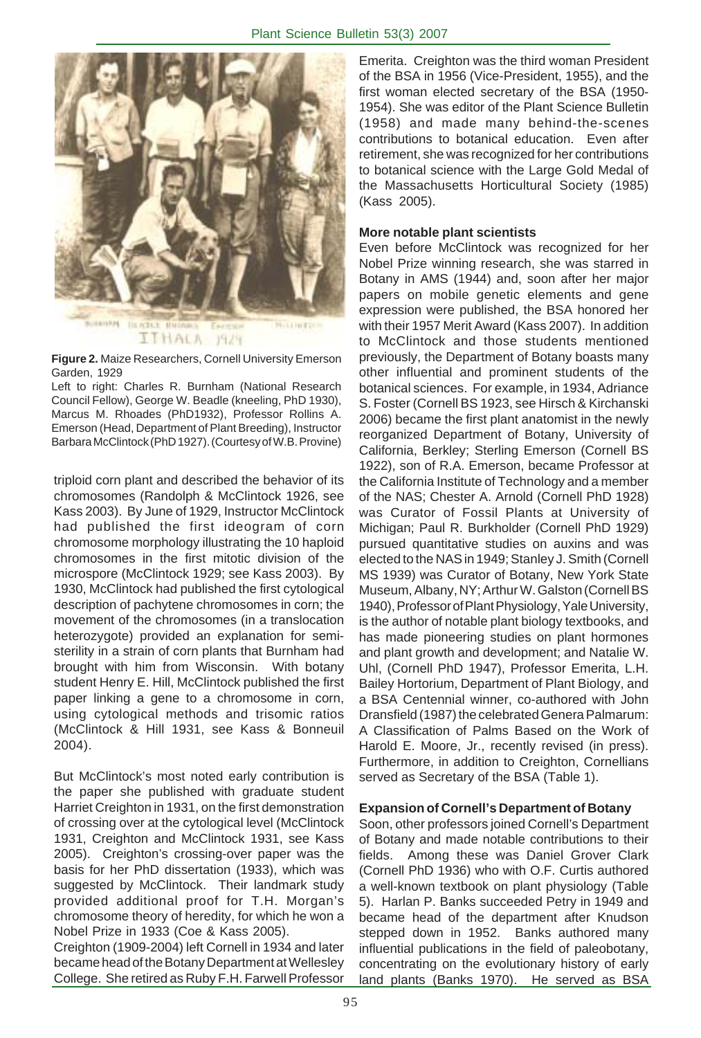

**Figure 2.** Maize Researchers, Cornell University Emerson Garden, 1929

Left to right: Charles R. Burnham (National Research Council Fellow), George W. Beadle (kneeling, PhD 1930), Marcus M. Rhoades (PhD1932), Professor Rollins A. Emerson (Head, Department of Plant Breeding), Instructor Barbara McClintock (PhD 1927). (Courtesy of W.B. Provine)

triploid corn plant and described the behavior of its chromosomes (Randolph & McClintock 1926, see Kass 2003). By June of 1929, Instructor McClintock had published the first ideogram of corn chromosome morphology illustrating the 10 haploid chromosomes in the first mitotic division of the microspore (McClintock 1929; see Kass 2003). By 1930, McClintock had published the first cytological description of pachytene chromosomes in corn; the movement of the chromosomes (in a translocation heterozygote) provided an explanation for semisterility in a strain of corn plants that Burnham had brought with him from Wisconsin. With botany student Henry E. Hill, McClintock published the first paper linking a gene to a chromosome in corn, using cytological methods and trisomic ratios (McClintock & Hill 1931, see Kass & Bonneuil 2004).

But McClintock's most noted early contribution is the paper she published with graduate student Harriet Creighton in 1931, on the first demonstration of crossing over at the cytological level (McClintock 1931, Creighton and McClintock 1931, see Kass 2005). Creighton's crossing-over paper was the basis for her PhD dissertation (1933), which was suggested by McClintock. Their landmark study provided additional proof for T.H. Morgan's chromosome theory of heredity, for which he won a Nobel Prize in 1933 (Coe & Kass 2005).

Creighton (1909-2004) left Cornell in 1934 and later became head of the Botany Department at Wellesley College. She retired as Ruby F.H. Farwell Professor Emerita. Creighton was the third woman President of the BSA in 1956 (Vice-President, 1955), and the first woman elected secretary of the BSA (1950- 1954). She was editor of the Plant Science Bulletin (1958) and made many behind-the-scenes contributions to botanical education. Even after retirement, she was recognized for her contributions to botanical science with the Large Gold Medal of the Massachusetts Horticultural Society (1985) (Kass 2005).

# **More notable plant scientists**

. Harold E. Moore, Jr., recently revised (in press). Even before McClintock was recognized for her Nobel Prize winning research, she was starred in Botany in AMS (1944) and, soon after her major papers on mobile genetic elements and gene expression were published, the BSA honored her with their 1957 Merit Award (Kass 2007). In addition to McClintock and those students mentioned previously, the Department of Botany boasts many other influential and prominent students of the botanical sciences. For example, in 1934, Adriance S. Foster (Cornell BS 1923, see Hirsch & Kirchanski 2006) became the first plant anatomist in the newly reorganized Department of Botany, University of California, Berkley; Sterling Emerson (Cornell BS 1922), son of R.A. Emerson, became Professor at the California Institute of Technology and a member of the NAS; Chester A. Arnold (Cornell PhD 1928) was Curator of Fossil Plants at University of Michigan; Paul R. Burkholder (Cornell PhD 1929) pursued quantitative studies on auxins and was elected to the NAS in 1949; Stanley J. Smith (Cornell MS 1939) was Curator of Botany, New York State Museum, Albany, NY; Arthur W. Galston (Cornell BS 1940), Professor of Plant Physiology, Yale University, is the author of notable plant biology textbooks, and has made pioneering studies on plant hormones and plant growth and development; and Natalie W. Uhl, (Cornell PhD 1947), Professor Emerita, L.H. Bailey Hortorium, Department of Plant Biology, and a BSA Centennial winner, co-authored with John Dransfield (1987) the celebrated Genera Palmarum: A Classification of Palms Based on the Work of Furthermore, in addition to Creighton, Cornellians served as Secretary of the BSA (Table 1).

### **Expansion of Cornell's Department of Botany**

Soon, other professors joined Cornell's Department of Botany and made notable contributions to their fields. Among these was Daniel Grover Clark (Cornell PhD 1936) who with O.F. Curtis authored a well-known textbook on plant physiology (Table 5). Harlan P. Banks succeeded Petry in 1949 and became head of the department after Knudson stepped down in 1952. Banks authored many influential publications in the field of paleobotany, concentrating on the evolutionary history of early land plants (Banks 1970). He served as BSA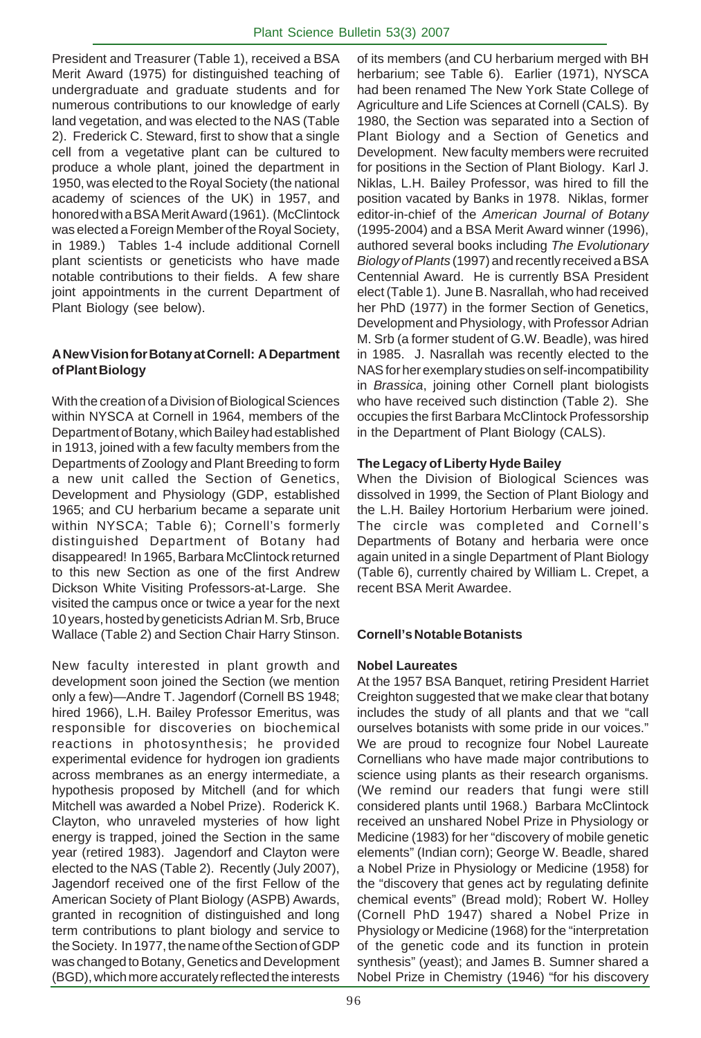President and Treasurer (Table 1), received a BSA Merit Award (1975) for distinguished teaching of undergraduate and graduate students and for numerous contributions to our knowledge of early land vegetation, and was elected to the NAS (Table 2). Frederick C. Steward, first to show that a single cell from a vegetative plant can be cultured to produce a whole plant, joined the department in 1950, was elected to the Royal Society (the national academy of sciences of the UK) in 1957, and honored with a BSA Merit Award (1961). (McClintock was elected a Foreign Member of the Royal Society, in 1989.) Tables 1-4 include additional Cornell plant scientists or geneticists who have made notable contributions to their fields. A few share joint appointments in the current Department of Plant Biology (see below).

# **A New Vision for Botany at Cornell: A Department of Plant Biology**

With the creation of a Division of Biological Sciences within NYSCA at Cornell in 1964, members of the Department of Botany, which Bailey had established in 1913, joined with a few faculty members from the Departments of Zoology and Plant Breeding to form a new unit called the Section of Genetics, Development and Physiology (GDP, established 1965; and CU herbarium became a separate unit within NYSCA; Table 6); Cornell's formerly distinguished Department of Botany had disappeared! In 1965, Barbara McClintock returned to this new Section as one of the first Andrew Dickson White Visiting Professors-at-Large. She visited the campus once or twice a year for the next 10 years, hosted by geneticists Adrian M. Srb, Bruce Wallace (Table 2) and Section Chair Harry Stinson.

New faculty interested in plant growth and development soon joined the Section (we mention only a few)—Andre T. Jagendorf (Cornell BS 1948; hired 1966), L.H. Bailey Professor Emeritus, was responsible for discoveries on biochemical reactions in photosynthesis; he provided experimental evidence for hydrogen ion gradients across membranes as an energy intermediate, a hypothesis proposed by Mitchell (and for which Mitchell was awarded a Nobel Prize). Roderick K. Clayton, who unraveled mysteries of how light energy is trapped, joined the Section in the same year (retired 1983). Jagendorf and Clayton were elected to the NAS (Table 2). Recently (July 2007), Jagendorf received one of the first Fellow of the American Society of Plant Biology (ASPB) Awards, granted in recognition of distinguished and long term contributions to plant biology and service to the Society. In 1977, the name of the Section of GDP was changed to Botany, Genetics and Development (BGD), which more accurately reflected the interests

of its members (and CU herbarium merged with BH herbarium; see Table 6). Earlier (1971), NYSCA had been renamed The New York State College of Agriculture and Life Sciences at Cornell (CALS). By 1980, the Section was separated into a Section of Plant Biology and a Section of Genetics and Development. New faculty members were recruited for positions in the Section of Plant Biology. Karl J. Niklas, L.H. Bailey Professor, was hired to fill the position vacated by Banks in 1978. Niklas, former editor-in-chief of the *American Journal of Botany* (1995-2004) and a BSA Merit Award winner (1996), authored several books including *The Evolutionary Biology of Plants* (1997) and recently received a BSA Centennial Award. He is currently BSA President elect (Table 1). June B. Nasrallah, who had received her PhD (1977) in the former Section of Genetics, Development and Physiology, with Professor Adrian M. Srb (a former student of G.W. Beadle), was hired in 1985. J. Nasrallah was recently elected to the NAS for her exemplary studies on self-incompatibility in *Brassica*, joining other Cornell plant biologists who have received such distinction (Table 2). She occupies the first Barbara McClintock Professorship in the Department of Plant Biology (CALS).

# **The Legacy of Liberty Hyde Bailey**

When the Division of Biological Sciences was dissolved in 1999, the Section of Plant Biology and the L.H. Bailey Hortorium Herbarium were joined. The circle was completed and Cornell's Departments of Botany and herbaria were once again united in a single Department of Plant Biology (Table 6), currently chaired by William L. Crepet, a recent BSA Merit Awardee.

# **Cornell's Notable Botanists**

# **Nobel Laureates**

At the 1957 BSA Banquet, retiring President Harriet Creighton suggested that we make clear that botany includes the study of all plants and that we "call ourselves botanists with some pride in our voices." We are proud to recognize four Nobel Laureate Cornellians who have made major contributions to science using plants as their research organisms. (We remind our readers that fungi were still considered plants until 1968.) Barbara McClintock received an unshared Nobel Prize in Physiology or Medicine (1983) for her "discovery of mobile genetic elements" (Indian corn); George W. Beadle, shared a Nobel Prize in Physiology or Medicine (1958) for the "discovery that genes act by regulating definite chemical events" (Bread mold); Robert W. Holley (Cornell PhD 1947) shared a Nobel Prize in Physiology or Medicine (1968) for the "interpretation of the genetic code and its function in protein synthesis" (yeast); and James B. Sumner shared a Nobel Prize in Chemistry (1946) "for his discovery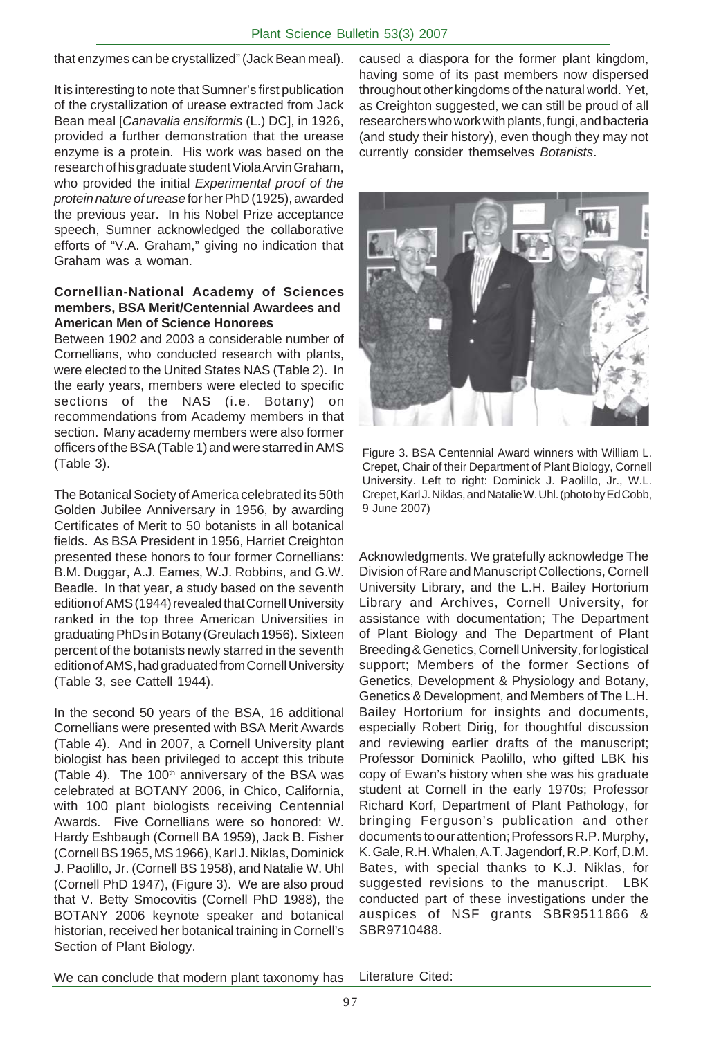that enzymes can be crystallized" (Jack Bean meal).

It is interesting to note that Sumner's first publication of the crystallization of urease extracted from Jack Bean meal [*Canavalia ensiformis* (L.) DC], in 1926, provided a further demonstration that the urease enzyme is a protein. His work was based on the research of his graduate student Viola Arvin Graham, who provided the initial *Experimental proof of the protein nature of urease* for her PhD (1925), awarded the previous year. In his Nobel Prize acceptance speech, Sumner acknowledged the collaborative efforts of "V.A. Graham," giving no indication that Graham was a woman.

### **Cornellian-National Academy of Sciences members, BSA Merit/Centennial Awardees and American Men of Science Honorees**

Between 1902 and 2003 a considerable number of Cornellians, who conducted research with plants, were elected to the United States NAS (Table 2). In the early years, members were elected to specific sections of the NAS (i.e. Botany) on recommendations from Academy members in that section. Many academy members were also former officers of the BSA (Table 1) and were starred in AMS (Table 3).

The Botanical Society of America celebrated its 50th Golden Jubilee Anniversary in 1956, by awarding Certificates of Merit to 50 botanists in all botanical fields. As BSA President in 1956, Harriet Creighton presented these honors to four former Cornellians: B.M. Duggar, A.J. Eames, W.J. Robbins, and G.W. Beadle. In that year, a study based on the seventh edition of AMS (1944) revealed that Cornell University ranked in the top three American Universities in graduating PhDs in Botany (Greulach 1956). Sixteen percent of the botanists newly starred in the seventh edition of AMS, had graduated from Cornell University (Table 3, see Cattell 1944).

In the second 50 years of the BSA, 16 additional Cornellians were presented with BSA Merit Awards (Table 4). And in 2007, a Cornell University plant biologist has been privileged to accept this tribute (Table 4). The  $100<sup>th</sup>$  anniversary of the BSA was celebrated at BOTANY 2006, in Chico, California, with 100 plant biologists receiving Centennial Awards. Five Cornellians were so honored: W. Hardy Eshbaugh (Cornell BA 1959), Jack B. Fisher (Cornell BS 1965, MS 1966), Karl J. Niklas, Dominick J. Paolillo, Jr. (Cornell BS 1958), and Natalie W. Uhl (Cornell PhD 1947), (Figure 3). We are also proud that V. Betty Smocovitis (Cornell PhD 1988), the BOTANY 2006 keynote speaker and botanical historian, received her botanical training in Cornell's Section of Plant Biology.

caused a diaspora for the former plant kingdom, having some of its past members now dispersed throughout other kingdoms of the natural world. Yet, as Creighton suggested, we can still be proud of all researchers who work with plants, fungi, and bacteria (and study their history), even though they may not currently consider themselves *Botanists*.



Figure 3. BSA Centennial Award winners with William L. Crepet, Chair of their Department of Plant Biology, Cornell University. Left to right: Dominick J. Paolillo, Jr., W.L. Crepet, Karl J. Niklas, and Natalie W. Uhl. (photo by Ed Cobb, 9 June 2007)

Acknowledgments. We gratefully acknowledge The Division of Rare and Manuscript Collections, Cornell University Library, and the L.H. Bailey Hortorium Library and Archives, Cornell University, for assistance with documentation; The Department of Plant Biology and The Department of Plant Breeding & Genetics, Cornell University, for logistical support; Members of the former Sections of Genetics, Development & Physiology and Botany, Genetics & Development, and Members of The L.H. Bailey Hortorium for insights and documents, especially Robert Dirig, for thoughtful discussion and reviewing earlier drafts of the manuscript; Professor Dominick Paolillo, who gifted LBK his copy of Ewan's history when she was his graduate student at Cornell in the early 1970s; Professor Richard Korf, Department of Plant Pathology, for bringing Ferguson's publication and other documents to our attention; Professors R.P. Murphy, K. Gale, R.H. Whalen, A.T. Jagendorf, R.P. Korf, D.M. Bates, with special thanks to K.J. Niklas, for suggested revisions to the manuscript. LBK conducted part of these investigations under the auspices of NSF grants SBR9511866 & SBR9710488.

We can conclude that modern plant taxonomy has Literature Cited: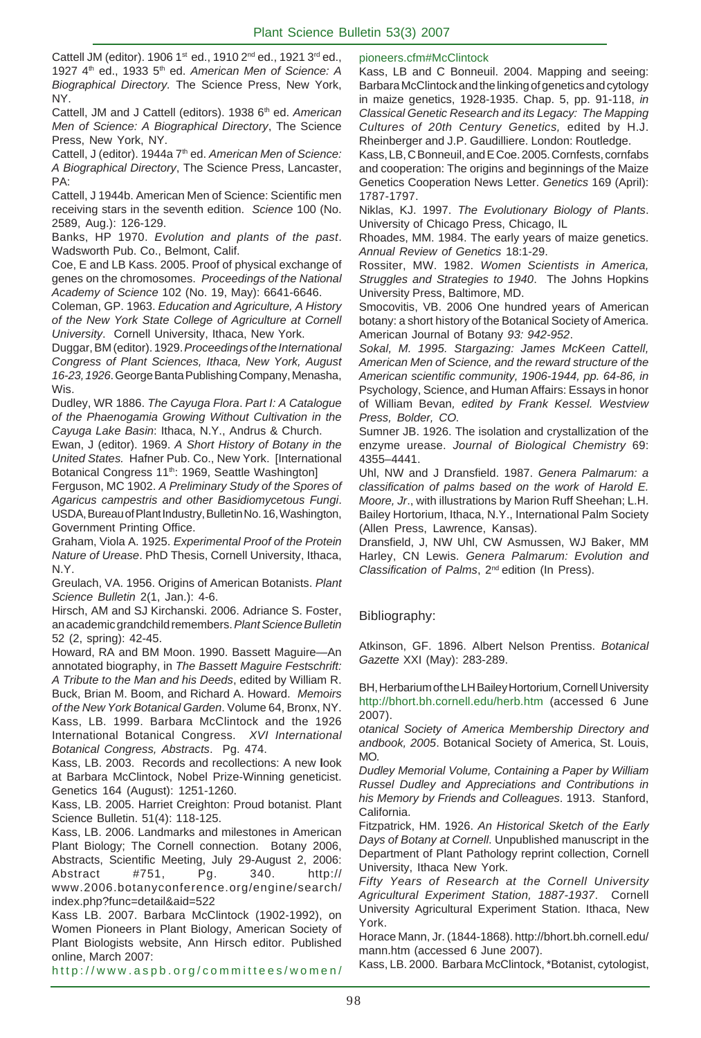Cattell JM (editor). 1906 1st ed., 1910 2<sup>nd</sup> ed., 1921 3<sup>rd</sup> ed., 1927 4th ed., 1933 5th ed. *American Men of Science: A Biographical Directory.* The Science Press, New York, NY.

Cattell, JM and J Cattell (editors). 1938 6<sup>th</sup> ed. American *Men of Science: A Biographical Directory*, The Science Press, New York, NY.

Cattell, J (editor). 1944a 7<sup>th</sup> ed. American Men of Science: *A Biographical Directory*, The Science Press, Lancaster, PA:

Cattell, J 1944b. American Men of Science: Scientific men receiving stars in the seventh edition. *Science* 100 (No. 2589, Aug.): 126-129.

Banks, HP 1970. *Evolution and plants of the past*. Wadsworth Pub. Co., Belmont, Calif.

Coe, E and LB Kass. 2005. Proof of physical exchange of genes on the chromosomes. *Proceedings of the National Academy of Science* 102 (No. 19, May): 6641-6646.

Coleman, GP. 1963. *Education and Agriculture, A History of the New York State College of Agriculture at Cornell University*. Cornell University, Ithaca, New York.

Duggar, BM (editor). 1929. *Proceedings of the International Congress of Plant Sciences, Ithaca, New York, August 16-23, 1926*. George Banta Publishing Company, Menasha, Wis.

Dudley, WR 1886. *The Cayuga Flora*. *Part I: A Catalogue of the Phaenogamia Growing Without Cultivation in the Cayuga Lake Basin*: Ithaca, N.Y., Andrus & Church.

Ewan, J (editor). 1969. *A Short History of Botany in the United States.* Hafner Pub. Co., New York. [International Botanical Congress 11<sup>th</sup>: 1969, Seattle Washington]

Ferguson, MC 1902. *A Preliminary Study of the Spores of Agaricus campestris and other Basidiomycetous Fungi*. USDA, Bureau of Plant Industry, Bulletin No. 16, Washington, Government Printing Office.

Graham, Viola A. 1925. *Experimental Proof of the Protein Nature of Urease*. PhD Thesis, Cornell University, Ithaca, N.Y.

Greulach, VA. 1956. Origins of American Botanists. *Plant Science Bulletin* 2(1, Jan.): 4-6.

Hirsch, AM and SJ Kirchanski. 2006. Adriance S. Foster, an academic grandchild remembers. *Plant Science Bulletin* 52 (2, spring): 42-45.

Howard, RA and BM Moon. 1990. Bassett Maguire—An annotated biography, in *The Bassett Maguire Festschrift: A Tribute to the Man and his Deeds*, edited by William R. Buck, Brian M. Boom, and Richard A. Howard. *Memoirs of the New York Botanical Garden*. Volume 64, Bronx, NY. Kass, LB. 1999. Barbara McClintock and the 1926 International Botanical Congress. *XVI International Botanical Congress, Abstracts*. Pg. 474.

Kass, LB. 2003. Records and recollections: A new **l**ook at Barbara McClintock, Nobel Prize-Winning geneticist. Genetics 164 (August): 1251-1260.

Kass, LB. 2005. Harriet Creighton: Proud botanist. Plant Science Bulletin. 51(4): 118-125.

Kass, LB. 2006. Landmarks and milestones in American Plant Biology; The Cornell connection. Botany 2006, Abstracts, Scientific Meeting, July 29-August 2, 2006: Abstract #751, Pg. 340. http:// www.2006.botanyconference.org/engine/search/ index.php?func=detail&aid=522

Kass LB. 2007. Barbara McClintock (1902-1992), on Women Pioneers in Plant Biology, American Society of Plant Biologists website, Ann Hirsch editor. Published online, March 2007:

http://www.aspb.org/committees/women/

### pioneers.cfm#McClintock

Kass, LB and C Bonneuil. 2004. Mapping and seeing: Barbara McClintock and the linking of genetics and cytology in maize genetics, 1928-1935. Chap. 5, pp. 91-118, *in Classical Genetic Research and its Legacy: The Mapping Cultures of 20th Century Genetics,* edited by H.J. Rheinberger and J.P. Gaudilliere. London: Routledge.

Kass, LB, C Bonneuil, and E Coe. 2005. Cornfests, cornfabs and cooperation: The origins and beginnings of the Maize Genetics Cooperation News Letter. *Genetics* 169 (April): 1787-1797.

Niklas, KJ. 1997. *The Evolutionary Biology of Plants*. University of Chicago Press, Chicago, IL

Rhoades, MM. 1984. The early years of maize genetics. *Annual Review of Genetics* 18:1-29.

Rossiter, MW. 1982. *Women Scientists in America, Struggles and Strategies to 1940*. The Johns Hopkins University Press, Baltimore, MD.

Smocovitis, VB. 2006 One hundred years of American botany: a short history of the Botanical Society of America. American Journal of Botany *93: 942-952*.

*Sokal, M. 1995. Stargazing: James McKeen Cattell, American Men of Science, and the reward structure of the American scientific community, 1906-1944, pp. 64-86, in* Psychology, Science, and Human Affairs: Essays in honor of William Bevan*, edited by Frank Kessel. Westview Press, Bolder, CO.*

Sumner JB. 1926. The isolation and crystallization of the enzyme urease. *Journal of Biological Chemistry* 69: 4355–4441.

Uhl, NW and J Dransfield. 1987. *Genera Palmarum: a classification of palms based on the work of Harold E. Moore, Jr*., with illustrations by Marion Ruff Sheehan; L.H. Bailey Hortorium, Ithaca, N.Y., International Palm Society (Allen Press, Lawrence, Kansas).

Dransfield, J, NW Uhl, CW Asmussen, WJ Baker, MM Harley, CN Lewis. *Genera Palmarum: Evolution and Classification of Palms*, 2nd edition (In Press).

### Bibliography:

Atkinson, GF. 1896. Albert Nelson Prentiss. *Botanical Gazette* XXI (May): 283-289.

BH, Herbarium of the LH Bailey Hortorium, Cornell University http://bhort.bh.cornell.edu/herb.htm (accessed 6 June 2007).

*otanical Society of America Membership Directory and andbook, 2005*. Botanical Society of America, St. Louis, MO.

*Dudley Memorial Volume, Containing a Paper by William Russel Dudley and Appreciations and Contributions in his Memory by Friends and Colleagues*. 1913. Stanford, California.

Fitzpatrick, HM. 1926. *An Historical Sketch of the Early Days of Botany at Cornell*. Unpublished manuscript in the Department of Plant Pathology reprint collection, Cornell University, Ithaca New York.

*Fifty Years of Research at the Cornell University Agricultural Experiment Station, 1887-1937*. Cornell University Agricultural Experiment Station. Ithaca, New York.

Horace Mann, Jr. (1844-1868). http://bhort.bh.cornell.edu/ mann.htm (accessed 6 June 2007).

Kass, LB. 2000. Barbara McClintock, \*Botanist, cytologist,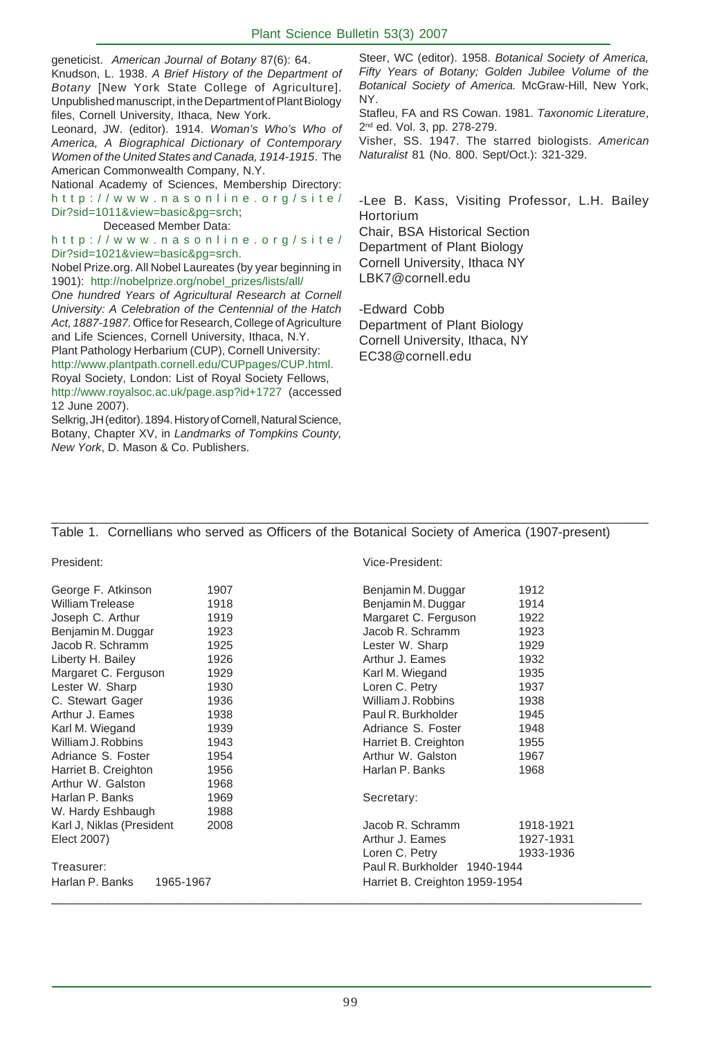geneticist. *American Journal of Botany* 87(6): 64. Knudson, L. 1938. *A Brief History of the Department of Botany* [New York State College of Agriculture]. Unpublished manuscript, in the Department of Plant Biology files, Cornell University, Ithaca, New York.

Leonard, JW. (editor). 1914. *Woman's Who's Who of America, A Biographical Dictionary of Contemporary Women of the United States and Canada, 1914-1915*. The American Commonwealth Company, N.Y.

National Academy of Sciences, Membership Directory: http://www.nasonline.org/site/ Dir?sid=1011&view=basic&pg=srch;

Deceased Member Data:

http://www.nasonline.org/site/ Dir?sid=1021&view=basic&pg=srch.

Nobel Prize.org. All Nobel Laureates (by year beginning in 1901): http://nobelprize.org/nobel\_prizes/lists/all/

*One hundred Years of Agricultural Research at Cornell University: A Celebration of the Centennial of the Hatch Act, 1887-1987.* Office for Research, College of Agriculture and Life Sciences, Cornell University, Ithaca, N.Y. Plant Pathology Herbarium (CUP), Cornell University:

http://www.plantpath.cornell.edu/CUPpages/CUP.html. Royal Society, London: List of Royal Society Fellows, http://www.royalsoc.ac.uk/page.asp?id+1727 (accessed 12 June 2007).

Selkrig, JH (editor). 1894. History of Cornell, Natural Science, Botany, Chapter XV, in *Landmarks of Tompkins County, New York*, D. Mason & Co. Publishers.

Steer, WC (editor). 1958. *Botanical Society of America, Fifty Years of Botany; Golden Jubilee Volume of the Botanical Society of America.* McGraw-Hill, New York, NY.

Stafleu, FA and RS Cowan. 1981. *Taxonomic Literature*, 2nd ed. Vol. 3, pp. 278-279.

Visher, SS. 1947. The starred biologists. *American Naturalist* 81 (No. 800. Sept/Oct.): 321-329.

-Lee B. Kass, Visiting Professor, L.H. Bailey **Hortorium** 

Chair, BSA Historical Section Department of Plant Biology Cornell University, Ithaca NY LBK7@cornell.edu

-Edward Cobb Department of Plant Biology Cornell University, Ithaca, NY EC38@cornell.edu

# Table 1. Cornellians who served as Officers of the Botanical Society of America (1907-present)

\_\_\_\_\_\_\_\_\_\_\_\_\_\_\_\_\_\_\_\_\_\_\_\_\_\_\_\_\_\_\_\_\_\_\_\_\_\_\_\_\_\_\_\_\_\_\_\_\_\_\_\_\_\_\_\_\_\_\_\_\_\_\_\_\_\_\_\_\_\_\_\_\_\_\_\_\_\_\_

| George F. Atkinson        | 1907 | Benjamin N   |
|---------------------------|------|--------------|
| <b>William Trelease</b>   | 1918 | Benjamin N   |
| Joseph C. Arthur          | 1919 | Margaret C   |
| Benjamin M. Duggar        | 1923 | Jacob R. S   |
| Jacob R. Schramm          | 1925 | Lester W.    |
| Liberty H. Bailey         | 1926 | Arthur J. E  |
| Margaret C. Ferguson      | 1929 | Karl M. Wie  |
| Lester W. Sharp           | 1930 | Loren C. P   |
| C. Stewart Gager          | 1936 | William J. F |
| Arthur J. Eames           | 1938 | Paul R. Bu   |
| Karl M. Wiegand           | 1939 | Adriance S   |
| William J. Robbins        | 1943 | Harriet B. 0 |
| Adriance S. Foster        | 1954 | Arthur W.    |
| Harriet B. Creighton      | 1956 | Harlan P. E  |
| Arthur W. Galston         | 1968 |              |
| Harlan P. Banks           | 1969 | Secretary:   |
| W. Hardy Eshbaugh         | 1988 |              |
| Karl J, Niklas (President | 2008 | Jacob R. S   |
| Elect 2007)               |      | Arthur J. E  |
|                           |      | Loren C. P   |

President: Vice-President:

| George F. Atkinson           | 1907 | Benjamin M. Duggar             | 1912      |  |
|------------------------------|------|--------------------------------|-----------|--|
| William Trelease             | 1918 | Benjamin M. Duggar             | 1914      |  |
| Joseph C. Arthur             | 1919 | Margaret C. Ferguson           | 1922      |  |
| Benjamin M. Duggar           | 1923 | Jacob R. Schramm               | 1923      |  |
| Jacob R. Schramm             | 1925 | Lester W. Sharp                | 1929      |  |
| Liberty H. Bailey            | 1926 | Arthur J. Eames                | 1932      |  |
| Margaret C. Ferguson         | 1929 | Karl M. Wiegand                | 1935      |  |
| Lester W. Sharp              | 1930 | Loren C. Petry                 | 1937      |  |
| C. Stewart Gager             | 1936 | William J. Robbins             | 1938      |  |
| Arthur J. Eames              | 1938 | Paul R. Burkholder             | 1945      |  |
| Karl M. Wiegand              | 1939 | Adriance S. Foster             | 1948      |  |
| William J. Robbins           | 1943 | Harriet B. Creighton           | 1955      |  |
| Adriance S. Foster           | 1954 | Arthur W. Galston              | 1967      |  |
| Harriet B. Creighton         | 1956 | Harlan P. Banks                | 1968      |  |
| Arthur W. Galston            | 1968 |                                |           |  |
| Harlan P. Banks              | 1969 | Secretary:                     |           |  |
| W. Hardy Eshbaugh            | 1988 |                                |           |  |
| Karl J, Niklas (President    | 2008 | Jacob R. Schramm               | 1918-1921 |  |
| Elect 2007)                  |      | Arthur J. Eames                | 1927-1931 |  |
|                              |      | Loren C. Petry                 | 1933-1936 |  |
| Treasurer:                   |      | Paul R. Burkholder 1940-1944   |           |  |
| Harlan P. Banks<br>1965-1967 |      | Harriet B. Creighton 1959-1954 |           |  |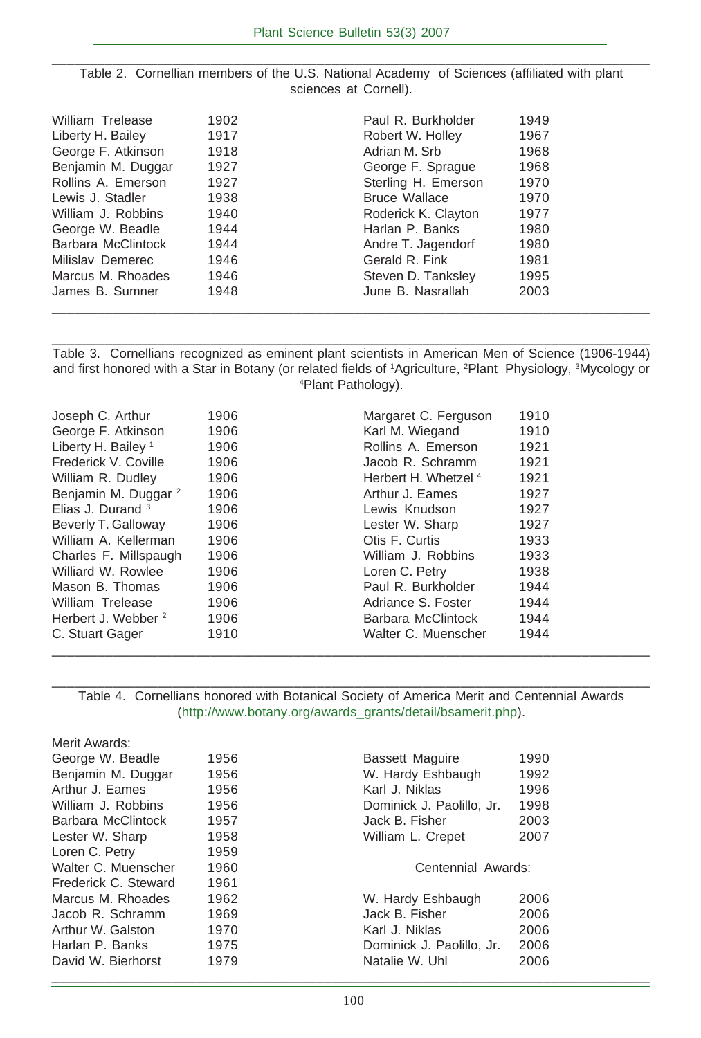| Table 2. Cornellian members of the U.S. National Academy of Sciences (affiliated with plant |
|---------------------------------------------------------------------------------------------|
| sciences at Cornell).                                                                       |

| William Trelease   | 1902 | Paul R. Burkholder   | 1949 |  |
|--------------------|------|----------------------|------|--|
| Liberty H. Bailey  | 1917 | Robert W. Holley     | 1967 |  |
| George F. Atkinson | 1918 | Adrian M. Srb        | 1968 |  |
| Benjamin M. Duggar | 1927 | George F. Sprague    | 1968 |  |
| Rollins A. Emerson | 1927 | Sterling H. Emerson  | 1970 |  |
| Lewis J. Stadler   | 1938 | <b>Bruce Wallace</b> | 1970 |  |
| William J. Robbins | 1940 | Roderick K. Clayton  | 1977 |  |
| George W. Beadle   | 1944 | Harlan P. Banks      | 1980 |  |
| Barbara McClintock | 1944 | Andre T. Jagendorf   | 1980 |  |
| Milislav Demerec   | 1946 | Gerald R. Fink       | 1981 |  |
| Marcus M. Rhoades  | 1946 | Steven D. Tanksley   | 1995 |  |
| James B. Sumner    | 1948 | June B. Nasrallah    | 2003 |  |
|                    |      |                      |      |  |

Table 3. Cornellians recognized as eminent plant scientists in American Men of Science (1906-1944) and first honored with a Star in Botany (or related fields of 1Agriculture, <sup>2</sup>Plant Physiology, <sup>3</sup>Mycology or 4 Plant Pathology).

\_\_\_\_\_\_\_\_\_\_\_\_\_\_\_\_\_\_\_\_\_\_\_\_\_\_\_\_\_\_\_\_\_\_\_\_\_\_\_\_\_\_\_\_\_\_\_\_\_\_\_\_\_\_\_\_\_\_\_\_\_\_\_\_\_\_\_\_\_\_\_\_\_\_\_\_\_\_\_

| Joseph C. Arthur                | 1906 | Margaret C. Ferguson            | 1910 |
|---------------------------------|------|---------------------------------|------|
| George F. Atkinson              | 1906 | Karl M. Wiegand                 | 1910 |
| Liberty H. Bailey <sup>1</sup>  | 1906 | Rollins A. Emerson              | 1921 |
| Frederick V. Coville            | 1906 | Jacob R. Schramm                | 1921 |
| William R. Dudley               | 1906 | Herbert H. Whetzel <sup>4</sup> | 1921 |
| Benjamin M. Duggar <sup>2</sup> | 1906 | Arthur J. Eames                 | 1927 |
| Elias J. Durand $3$             | 1906 | Lewis Knudson                   | 1927 |
| Beverly T. Galloway             | 1906 | Lester W. Sharp                 | 1927 |
| William A. Kellerman            | 1906 | Otis F. Curtis                  | 1933 |
| Charles F. Millspaugh           | 1906 | William J. Robbins              | 1933 |
| Williard W. Rowlee              | 1906 | Loren C. Petry                  | 1938 |
| Mason B. Thomas                 | 1906 | Paul R. Burkholder              | 1944 |
| William Trelease                | 1906 | Adriance S. Foster              | 1944 |
| Herbert J. Webber <sup>2</sup>  | 1906 | Barbara McClintock              | 1944 |
| C. Stuart Gager                 | 1910 | Walter C. Muenscher             | 1944 |

\_\_\_\_\_\_\_\_\_\_\_\_\_\_\_\_\_\_\_\_\_\_\_\_\_\_\_\_\_\_\_\_\_\_\_\_\_\_\_\_\_\_\_\_\_\_\_\_\_\_\_\_\_\_\_\_\_\_\_\_\_\_\_\_\_\_\_\_\_\_\_\_\_\_\_\_\_\_\_ Table 4. Cornellians honored with Botanical Society of America Merit and Centennial Awards (http://www.botany.org/awards\_grants/detail/bsamerit.php).

| Merit Awards:        |      |                                   |
|----------------------|------|-----------------------------------|
| George W. Beadle     | 1956 | <b>Bassett Maguire</b><br>1990    |
| Benjamin M. Duggar   | 1956 | W. Hardy Eshbaugh<br>1992         |
| Arthur J. Eames      | 1956 | Karl J. Niklas<br>1996            |
| William J. Robbins   | 1956 | Dominick J. Paolillo, Jr.<br>1998 |
| Barbara McClintock   | 1957 | Jack B. Fisher<br>2003            |
| Lester W. Sharp      | 1958 | William L. Crepet<br>2007         |
| Loren C. Petry       | 1959 |                                   |
| Walter C. Muenscher  | 1960 | Centennial Awards:                |
| Frederick C. Steward | 1961 |                                   |
| Marcus M. Rhoades    | 1962 | W. Hardy Eshbaugh<br>2006         |
| Jacob R. Schramm     | 1969 | Jack B. Fisher<br>2006            |
| Arthur W. Galston    | 1970 | Karl J. Niklas<br>2006            |
| Harlan P. Banks      | 1975 | 2006<br>Dominick J. Paolillo, Jr. |
| David W. Bierhorst   | 1979 | Natalie W. Uhl<br>2006            |
|                      |      |                                   |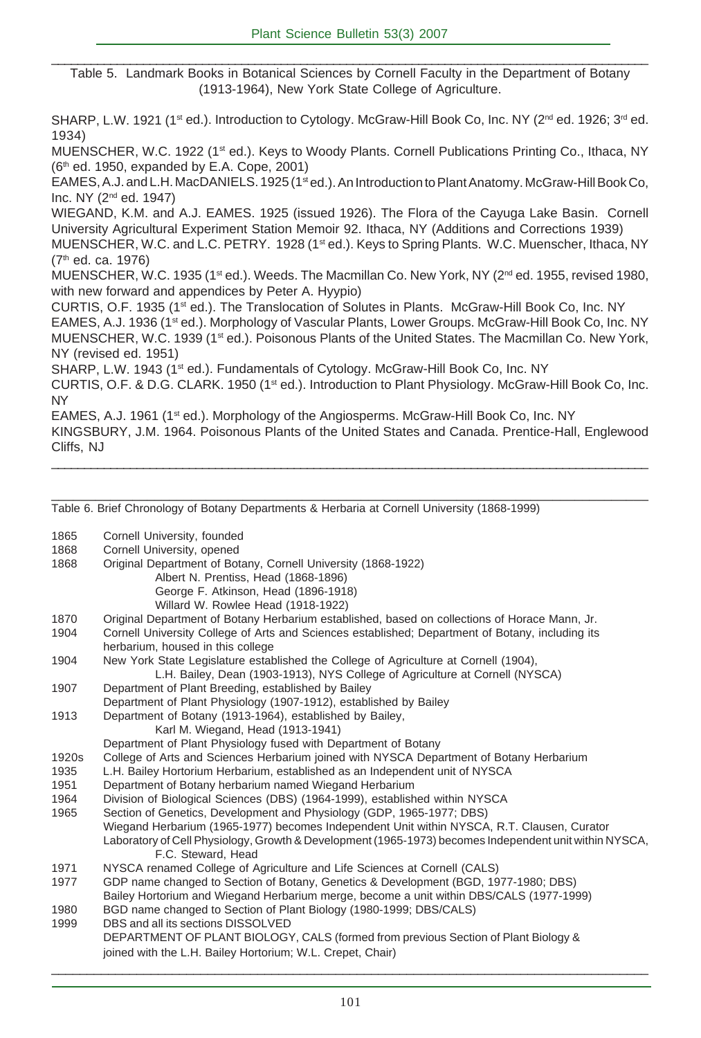\_\_\_\_\_\_\_\_\_\_\_\_\_\_\_\_\_\_\_\_\_\_\_\_\_\_\_\_\_\_\_\_\_\_\_\_\_\_\_\_\_\_\_\_\_\_\_\_\_\_\_\_\_\_\_\_\_\_\_\_\_\_\_\_\_\_\_\_\_\_\_\_\_\_\_\_\_\_\_\_\_\_\_\_\_\_\_\_\_\_\_ Table 5. Landmark Books in Botanical Sciences by Cornell Faculty in the Department of Botany (1913-1964), New York State College of Agriculture.

SHARP, L.W. 1921 (1<sup>st</sup> ed.). Introduction to Cytology. McGraw-Hill Book Co, Inc. NY (2<sup>nd</sup> ed. 1926; 3<sup>rd</sup> ed. 1934)

MUENSCHER, W.C. 1922 (1<sup>st</sup> ed.). Keys to Woody Plants. Cornell Publications Printing Co., Ithaca, NY  $(6<sup>th</sup>$  ed. 1950, expanded by E.A. Cope, 2001)

EAMES, A.J. and L.H. MacDANIELS. 1925 (1st ed.). An Introduction to Plant Anatomy. McGraw-Hill Book Co, Inc. NY (2nd ed. 1947)

WIEGAND, K.M. and A.J. EAMES. 1925 (issued 1926). The Flora of the Cayuga Lake Basin. Cornell University Agricultural Experiment Station Memoir 92. Ithaca, NY (Additions and Corrections 1939)

MUENSCHER, W.C. and L.C. PETRY. 1928 (1<sup>st</sup> ed.). Keys to Spring Plants. W.C. Muenscher, Ithaca, NY (7th ed. ca. 1976)

MUENSCHER, W.C. 1935 (1<sup>st</sup> ed.). Weeds. The Macmillan Co. New York, NY (2<sup>nd</sup> ed. 1955, revised 1980. with new forward and appendices by Peter A. Hyypio)

CURTIS, O.F. 1935 (1st ed.). The Translocation of Solutes in Plants. McGraw-Hill Book Co, Inc. NY EAMES, A.J. 1936 (1st ed.). Morphology of Vascular Plants, Lower Groups. McGraw-Hill Book Co, Inc. NY MUENSCHER, W.C. 1939 (1st ed.). Poisonous Plants of the United States. The Macmillan Co. New York, NY (revised ed. 1951)

SHARP, L.W. 1943 (1<sup>st</sup> ed.). Fundamentals of Cytology. McGraw-Hill Book Co, Inc. NY CURTIS, O.F. & D.G. CLARK. 1950 (1st ed.). Introduction to Plant Physiology. McGraw-Hill Book Co, Inc. NY

EAMES, A.J. 1961 (1<sup>st</sup> ed.). Morphology of the Angiosperms. McGraw-Hill Book Co, Inc. NY KINGSBURY, J.M. 1964. Poisonous Plants of the United States and Canada. Prentice-Hall, Englewood Cliffs, NJ

\_\_\_\_\_\_\_\_\_\_\_\_\_\_\_\_\_\_\_\_\_\_\_\_\_\_\_\_\_\_\_\_\_\_\_\_\_\_\_\_\_\_\_\_\_\_\_\_\_\_\_\_\_\_\_\_\_\_\_\_\_\_\_\_\_\_\_\_\_\_\_\_\_\_\_\_\_\_\_\_\_\_\_\_\_\_\_\_\_\_\_

\_\_\_\_\_\_\_\_\_\_\_\_\_\_\_\_\_\_\_\_\_\_\_\_\_\_\_\_\_\_\_\_\_\_\_\_\_\_\_\_\_\_\_\_\_\_\_\_\_\_\_\_\_\_\_\_\_\_\_\_\_\_\_\_\_\_\_\_\_\_\_\_\_\_\_\_\_\_\_\_\_

Table 6. Brief Chronology of Botany Departments & Herbaria at Cornell University (1868-1999) 1865 Cornell University, founded 1868 Cornell University, opened 1868 Original Department of Botany, Cornell University (1868-1922) Albert N. Prentiss, Head (1868-1896) George F. Atkinson, Head (1896-1918) Willard W. Rowlee Head (1918-1922) 1870 Original Department of Botany Herbarium established, based on collections of Horace Mann, Jr. 1904 Cornell University College of Arts and Sciences established; Department of Botany, including its herbarium, housed in this college 1904 New York State Legislature established the College of Agriculture at Cornell (1904), L.H. Bailey, Dean (1903-1913), NYS College of Agriculture at Cornell (NYSCA) 1907 Department of Plant Breeding, established by Bailey Department of Plant Physiology (1907-1912), established by Bailey 1913 Department of Botany (1913-1964), established by Bailey, Karl M. Wiegand, Head (1913-1941) Department of Plant Physiology fused with Department of Botany 1920s College of Arts and Sciences Herbarium joined with NYSCA Department of Botany Herbarium 1935 L.H. Bailey Hortorium Herbarium, established as an Independent unit of NYSCA 1951 Department of Botany herbarium named Wiegand Herbarium 1964 Division of Biological Sciences (DBS) (1964-1999), established within NYSCA 1965 Section of Genetics, Development and Physiology (GDP, 1965-1977; DBS) Wiegand Herbarium (1965-1977) becomes Independent Unit within NYSCA, R.T. Clausen, Curator Laboratory of Cell Physiology, Growth & Development (1965-1973) becomes Independent unit within NYSCA, F.C. Steward, Head 1971 NYSCA renamed College of Agriculture and Life Sciences at Cornell (CALS) 1977 GDP name changed to Section of Botany, Genetics & Development (BGD, 1977-1980; DBS) Bailey Hortorium and Wiegand Herbarium merge, become a unit within DBS/CALS (1977-1999) 1980 BGD name changed to Section of Plant Biology (1980-1999; DBS/CALS) 1999 DBS and all its sections DISSOLVED DEPARTMENT OF PLANT BIOLOGY, CALS (formed from previous Section of Plant Biology & joined with the L.H. Bailey Hortorium; W.L. Crepet, Chair)

 $\_$  , and the state of the state of the state of the state of the state of the state of the state of the state of the state of the state of the state of the state of the state of the state of the state of the state of the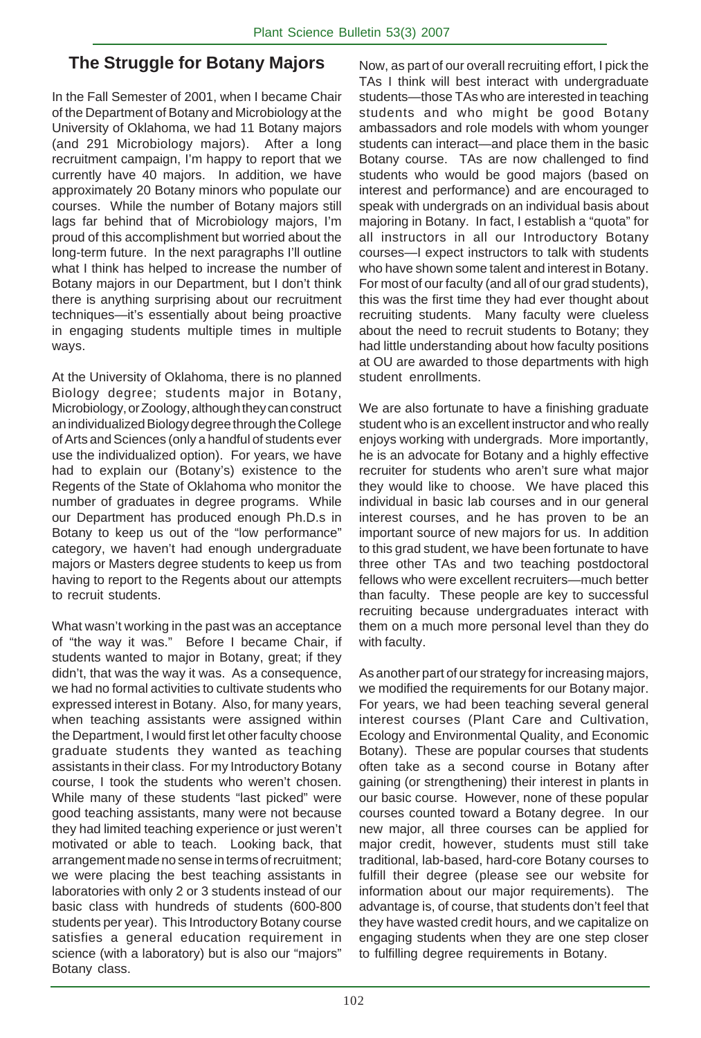# **The Struggle for Botany Majors**

In the Fall Semester of 2001, when I became Chair of the Department of Botany and Microbiology at the University of Oklahoma, we had 11 Botany majors (and 291 Microbiology majors). After a long recruitment campaign, I'm happy to report that we currently have 40 majors. In addition, we have approximately 20 Botany minors who populate our courses. While the number of Botany majors still lags far behind that of Microbiology majors, I'm proud of this accomplishment but worried about the long-term future. In the next paragraphs I'll outline what I think has helped to increase the number of Botany majors in our Department, but I don't think there is anything surprising about our recruitment techniques—it's essentially about being proactive in engaging students multiple times in multiple ways.

At the University of Oklahoma, there is no planned Biology degree; students major in Botany, Microbiology, or Zoology, although they can construct an individualized Biology degree through the College of Arts and Sciences (only a handful of students ever use the individualized option). For years, we have had to explain our (Botany's) existence to the Regents of the State of Oklahoma who monitor the number of graduates in degree programs. While our Department has produced enough Ph.D.s in Botany to keep us out of the "low performance" category, we haven't had enough undergraduate majors or Masters degree students to keep us from having to report to the Regents about our attempts to recruit students.

What wasn't working in the past was an acceptance of "the way it was." Before I became Chair, if students wanted to major in Botany, great; if they didn't, that was the way it was. As a consequence, we had no formal activities to cultivate students who expressed interest in Botany. Also, for many years, when teaching assistants were assigned within the Department, I would first let other faculty choose graduate students they wanted as teaching assistants in their class. For my Introductory Botany course, I took the students who weren't chosen. While many of these students "last picked" were good teaching assistants, many were not because they had limited teaching experience or just weren't motivated or able to teach. Looking back, that arrangement made no sense in terms of recruitment; we were placing the best teaching assistants in laboratories with only 2 or 3 students instead of our basic class with hundreds of students (600-800 students per year). This Introductory Botany course satisfies a general education requirement in science (with a laboratory) but is also our "majors" Botany class.

Now, as part of our overall recruiting effort, I pick the TAs I think will best interact with undergraduate students—those TAs who are interested in teaching students and who might be good Botany ambassadors and role models with whom younger students can interact—and place them in the basic Botany course. TAs are now challenged to find students who would be good majors (based on interest and performance) and are encouraged to speak with undergrads on an individual basis about majoring in Botany. In fact, I establish a "quota" for all instructors in all our Introductory Botany courses—I expect instructors to talk with students who have shown some talent and interest in Botany. For most of our faculty (and all of our grad students), this was the first time they had ever thought about recruiting students. Many faculty were clueless about the need to recruit students to Botany; they had little understanding about how faculty positions at OU are awarded to those departments with high student enrollments.

We are also fortunate to have a finishing graduate student who is an excellent instructor and who really enjoys working with undergrads. More importantly, he is an advocate for Botany and a highly effective recruiter for students who aren't sure what major they would like to choose. We have placed this individual in basic lab courses and in our general interest courses, and he has proven to be an important source of new majors for us. In addition to this grad student, we have been fortunate to have three other TAs and two teaching postdoctoral fellows who were excellent recruiters—much better than faculty. These people are key to successful recruiting because undergraduates interact with them on a much more personal level than they do with faculty.

As another part of our strategy for increasing majors, we modified the requirements for our Botany major. For years, we had been teaching several general interest courses (Plant Care and Cultivation, Ecology and Environmental Quality, and Economic Botany). These are popular courses that students often take as a second course in Botany after gaining (or strengthening) their interest in plants in our basic course. However, none of these popular courses counted toward a Botany degree. In our new major, all three courses can be applied for major credit, however, students must still take traditional, lab-based, hard-core Botany courses to fulfill their degree (please see our website for information about our major requirements). The advantage is, of course, that students don't feel that they have wasted credit hours, and we capitalize on engaging students when they are one step closer to fulfilling degree requirements in Botany.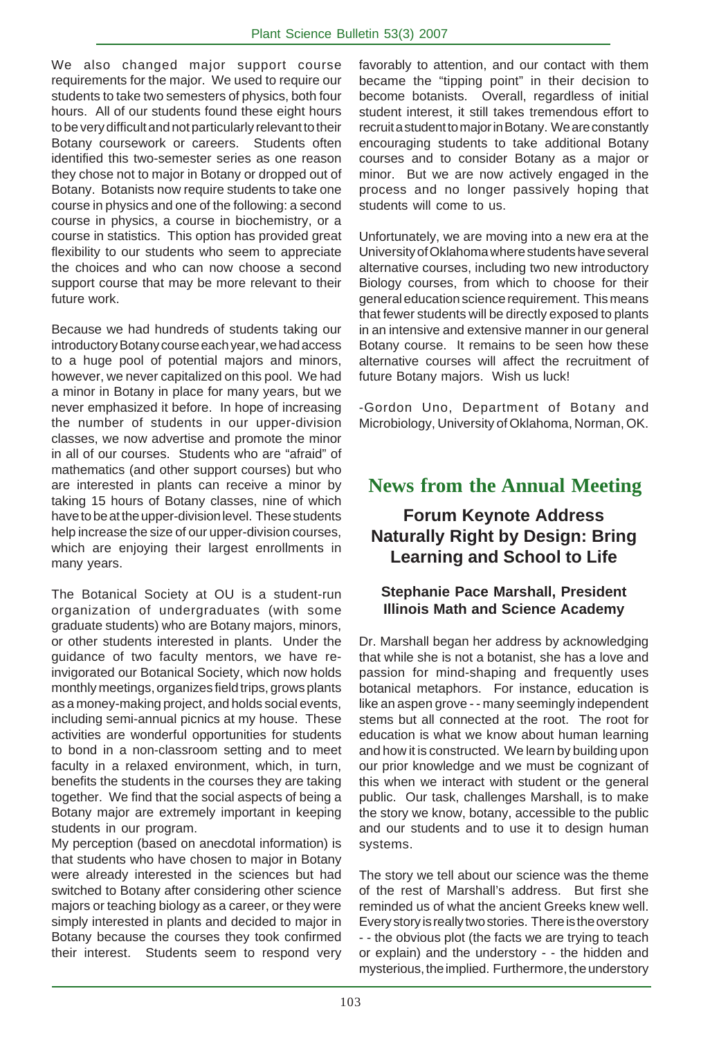We also changed major support course requirements for the major. We used to require our students to take two semesters of physics, both four hours. All of our students found these eight hours to be very difficult and not particularly relevant to their Botany coursework or careers. Students often identified this two-semester series as one reason they chose not to major in Botany or dropped out of Botany. Botanists now require students to take one course in physics and one of the following: a second course in physics, a course in biochemistry, or a course in statistics. This option has provided great flexibility to our students who seem to appreciate the choices and who can now choose a second support course that may be more relevant to their future work.

Because we had hundreds of students taking our introductory Botany course each year, we had access to a huge pool of potential majors and minors, however, we never capitalized on this pool. We had a minor in Botany in place for many years, but we never emphasized it before. In hope of increasing the number of students in our upper-division classes, we now advertise and promote the minor in all of our courses. Students who are "afraid" of mathematics (and other support courses) but who are interested in plants can receive a minor by taking 15 hours of Botany classes, nine of which have to be at the upper-division level. These students help increase the size of our upper-division courses, which are enjoying their largest enrollments in many years.

The Botanical Society at OU is a student-run organization of undergraduates (with some graduate students) who are Botany majors, minors, or other students interested in plants. Under the guidance of two faculty mentors, we have reinvigorated our Botanical Society, which now holds monthly meetings, organizes field trips, grows plants as a money-making project, and holds social events, including semi-annual picnics at my house. These activities are wonderful opportunities for students to bond in a non-classroom setting and to meet faculty in a relaxed environment, which, in turn, benefits the students in the courses they are taking together. We find that the social aspects of being a Botany major are extremely important in keeping students in our program.

My perception (based on anecdotal information) is that students who have chosen to major in Botany were already interested in the sciences but had switched to Botany after considering other science majors or teaching biology as a career, or they were simply interested in plants and decided to major in Botany because the courses they took confirmed their interest. Students seem to respond very

favorably to attention, and our contact with them became the "tipping point" in their decision to become botanists. Overall, regardless of initial student interest, it still takes tremendous effort to recruit a student to major in Botany. We are constantly encouraging students to take additional Botany courses and to consider Botany as a major or minor. But we are now actively engaged in the process and no longer passively hoping that students will come to us.

Unfortunately, we are moving into a new era at the University of Oklahoma where students have several alternative courses, including two new introductory Biology courses, from which to choose for their general education science requirement. This means that fewer students will be directly exposed to plants in an intensive and extensive manner in our general Botany course. It remains to be seen how these alternative courses will affect the recruitment of future Botany majors. Wish us luck!

-Gordon Uno, Department of Botany and Microbiology, University of Oklahoma, Norman, OK.

# **News from the Annual Meeting**

# **Forum Keynote Address Naturally Right by Design: Bring Learning and School to Life**

# **Stephanie Pace Marshall, President Illinois Math and Science Academy**

Dr. Marshall began her address by acknowledging that while she is not a botanist, she has a love and passion for mind-shaping and frequently uses botanical metaphors. For instance, education is like an aspen grove - - many seemingly independent stems but all connected at the root. The root for education is what we know about human learning and how it is constructed. We learn by building upon our prior knowledge and we must be cognizant of this when we interact with student or the general public. Our task, challenges Marshall, is to make the story we know, botany, accessible to the public and our students and to use it to design human systems.

The story we tell about our science was the theme of the rest of Marshall's address. But first she reminded us of what the ancient Greeks knew well. Every story is really two stories. There is the overstory - - the obvious plot (the facts we are trying to teach or explain) and the understory - - the hidden and mysterious, the implied. Furthermore, the understory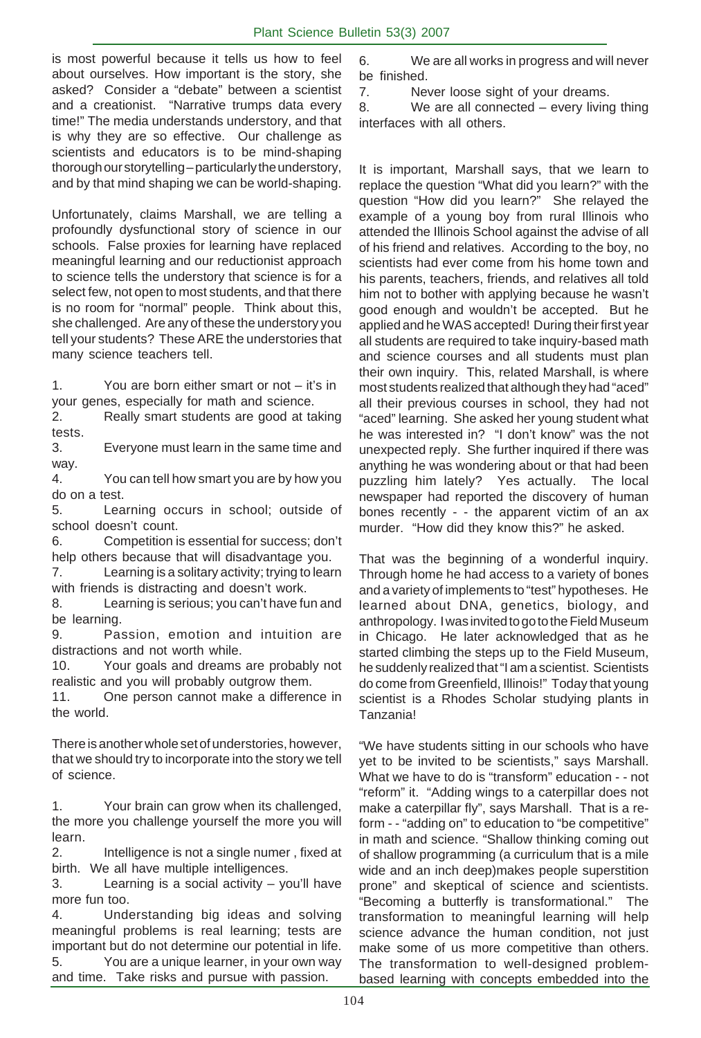is most powerful because it tells us how to feel about ourselves. How important is the story, she asked? Consider a "debate" between a scientist and a creationist. "Narrative trumps data every time!" The media understands understory, and that is why they are so effective. Our challenge as scientists and educators is to be mind-shaping thorough our storytelling – particularly the understory, and by that mind shaping we can be world-shaping.

Unfortunately, claims Marshall, we are telling a profoundly dysfunctional story of science in our schools. False proxies for learning have replaced meaningful learning and our reductionist approach to science tells the understory that science is for a select few, not open to most students, and that there is no room for "normal" people. Think about this, she challenged. Are any of these the understory you tell your students? These ARE the understories that many science teachers tell.

1. You are born either smart or not – it's in your genes, especially for math and science.

2. Really smart students are good at taking tests.

3. Everyone must learn in the same time and way.

4. You can tell how smart you are by how you do on a test.

5. Learning occurs in school; outside of school doesn't count.

6. Competition is essential for success; don't help others because that will disadvantage you.

7. Learning is a solitary activity; trying to learn with friends is distracting and doesn't work.

8. Learning is serious; you can't have fun and be learning.

9. Passion, emotion and intuition are distractions and not worth while.

10. Your goals and dreams are probably not realistic and you will probably outgrow them.

11. One person cannot make a difference in the world.

There is another whole set of understories, however, that we should try to incorporate into the story we tell of science.

1. Your brain can grow when its challenged, the more you challenge yourself the more you will learn.

2. Intelligence is not a single numer , fixed at birth. We all have multiple intelligences.

3. Learning is a social activity – you'll have more fun too.

4. Understanding big ideas and solving meaningful problems is real learning; tests are important but do not determine our potential in life.

5. You are a unique learner, in your own way and time. Take risks and pursue with passion.

6. We are all works in progress and will never be finished.

7. Never loose sight of your dreams.

8. We are all connected – every living thing interfaces with all others.

It is important, Marshall says, that we learn to replace the question "What did you learn?" with the question "How did you learn?" She relayed the example of a young boy from rural Illinois who attended the Illinois School against the advise of all of his friend and relatives. According to the boy, no scientists had ever come from his home town and his parents, teachers, friends, and relatives all told him not to bother with applying because he wasn't good enough and wouldn't be accepted. But he applied and he WAS accepted! During their first year all students are required to take inquiry-based math and science courses and all students must plan their own inquiry. This, related Marshall, is where most students realized that although they had "aced" all their previous courses in school, they had not "aced" learning. She asked her young student what he was interested in? "I don't know" was the not unexpected reply. She further inquired if there was anything he was wondering about or that had been puzzling him lately? Yes actually. The local newspaper had reported the discovery of human bones recently - - the apparent victim of an ax murder. "How did they know this?" he asked.

That was the beginning of a wonderful inquiry. Through home he had access to a variety of bones and a variety of implements to "test" hypotheses. He learned about DNA, genetics, biology, and anthropology. I was invited to go to the Field Museum in Chicago. He later acknowledged that as he started climbing the steps up to the Field Museum, he suddenly realized that "I am a scientist. Scientists do come from Greenfield, Illinois!" Today that young scientist is a Rhodes Scholar studying plants in Tanzania!

"We have students sitting in our schools who have yet to be invited to be scientists," says Marshall. What we have to do is "transform" education - - not "reform" it. "Adding wings to a caterpillar does not make a caterpillar fly", says Marshall. That is a reform - - "adding on" to education to "be competitive" in math and science. "Shallow thinking coming out of shallow programming (a curriculum that is a mile wide and an inch deep)makes people superstition prone" and skeptical of science and scientists. "Becoming a butterfly is transformational." The transformation to meaningful learning will help science advance the human condition, not just make some of us more competitive than others. The transformation to well-designed problembased learning with concepts embedded into the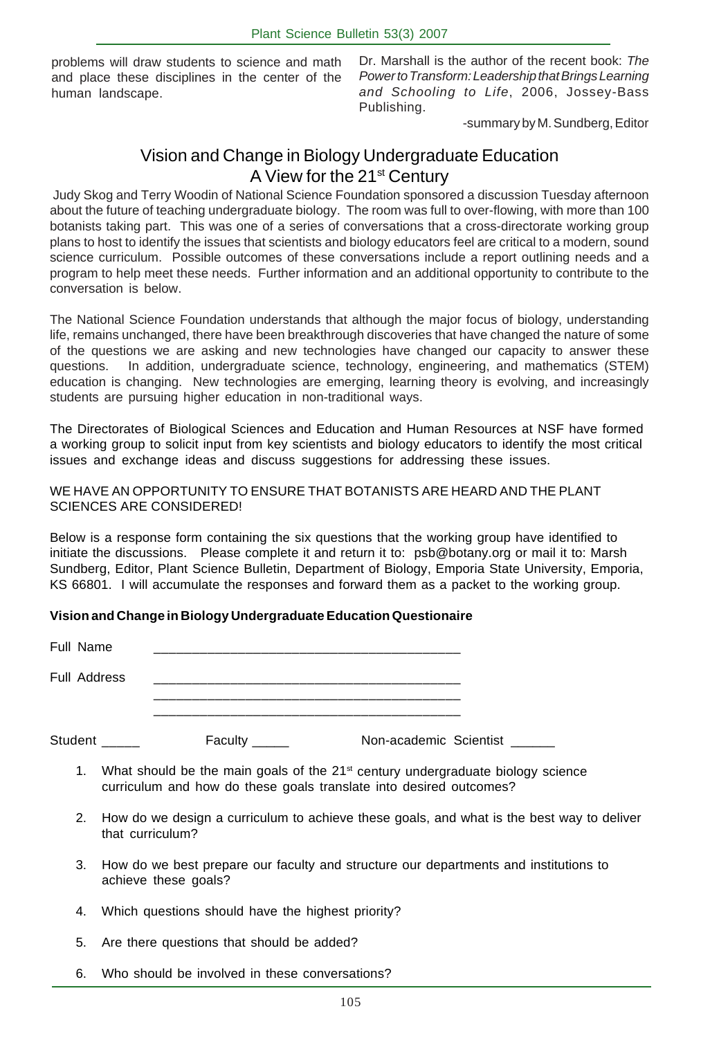problems will draw students to science and math and place these disciplines in the center of the human landscape.

Dr. Marshall is the author of the recent book: *The Power to Transform: Leadership that Brings Learning and Schooling to Life*, 2006, Jossey-Bass Publishing.

-summary by M. Sundberg, Editor

# Vision and Change in Biology Undergraduate Education A View for the 21<sup>st</sup> Century

 Judy Skog and Terry Woodin of National Science Foundation sponsored a discussion Tuesday afternoon about the future of teaching undergraduate biology. The room was full to over-flowing, with more than 100 botanists taking part. This was one of a series of conversations that a cross-directorate working group plans to host to identify the issues that scientists and biology educators feel are critical to a modern, sound science curriculum. Possible outcomes of these conversations include a report outlining needs and a program to help meet these needs. Further information and an additional opportunity to contribute to the conversation is below.

The National Science Foundation understands that although the major focus of biology, understanding life, remains unchanged, there have been breakthrough discoveries that have changed the nature of some of the questions we are asking and new technologies have changed our capacity to answer these questions. In addition, undergraduate science, technology, engineering, and mathematics (STEM) education is changing. New technologies are emerging, learning theory is evolving, and increasingly students are pursuing higher education in non-traditional ways.

The Directorates of Biological Sciences and Education and Human Resources at NSF have formed a working group to solicit input from key scientists and biology educators to identify the most critical issues and exchange ideas and discuss suggestions for addressing these issues.

# WE HAVE AN OPPORTUNITY TO ENSURE THAT BOTANISTS ARE HEARD AND THE PLANT SCIENCES ARE CONSIDERED!

Below is a response form containing the six questions that the working group have identified to initiate the discussions. Please complete it and return it to: psb@botany.org or mail it to: Marsh Sundberg, Editor, Plant Science Bulletin, Department of Biology, Emporia State University, Emporia, KS 66801. I will accumulate the responses and forward them as a packet to the working group.

# **Vision and Change in Biology Undergraduate Education Questionaire**

| Full Name           |         |                        |
|---------------------|---------|------------------------|
| <b>Full Address</b> |         |                        |
| Student             | Faculty | Non-academic Scientist |

- 1. What should be the main goals of the  $21<sup>st</sup>$  century undergraduate biology science curriculum and how do these goals translate into desired outcomes?
- 2. How do we design a curriculum to achieve these goals, and what is the best way to deliver that curriculum?
- 3. How do we best prepare our faculty and structure our departments and institutions to achieve these goals?
- 4. Which questions should have the highest priority?
- 5. Are there questions that should be added?
- 6. Who should be involved in these conversations?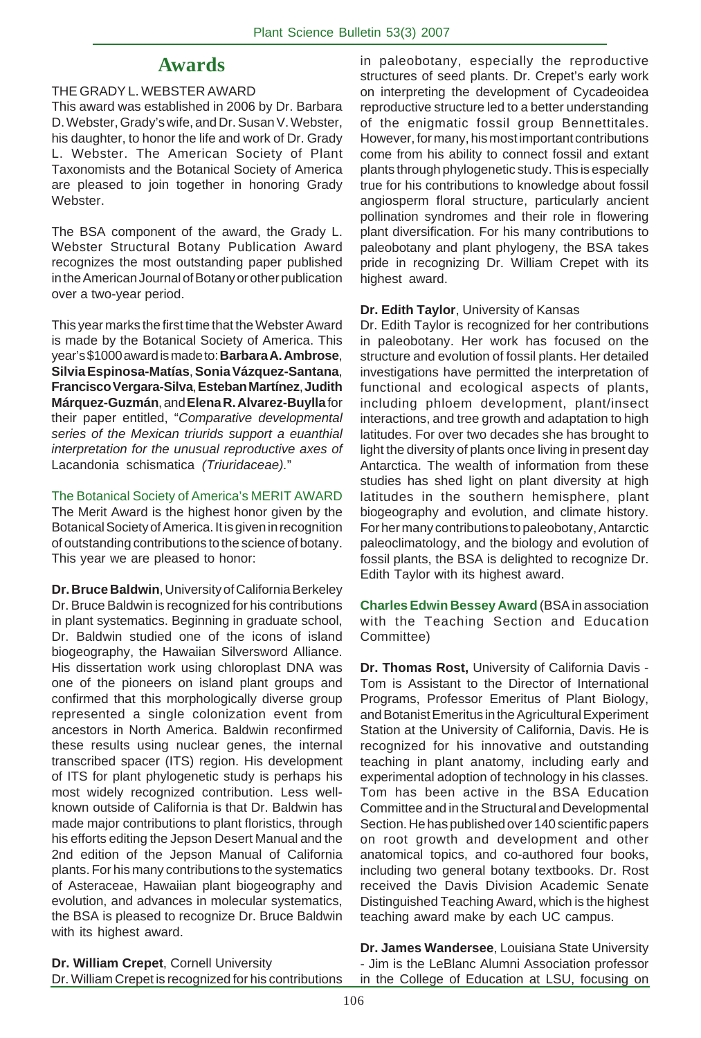# **Awards**

# THE GRADY L. WEBSTER AWARD

This award was established in 2006 by Dr. Barbara D. Webster, Grady's wife, and Dr. Susan V. Webster, his daughter, to honor the life and work of Dr. Grady L. Webster. The American Society of Plant Taxonomists and the Botanical Society of America are pleased to join together in honoring Grady Webster.

The BSA component of the award, the Grady L. Webster Structural Botany Publication Award recognizes the most outstanding paper published in the American Journal of Botany or other publication over a two-year period.

This year marks the first time that the Webster Award is made by the Botanical Society of America. This year's \$1000 award is made to: **Barbara A. Ambrose**, **Silvia Espinosa-Matías**, **Sonia Vázquez-Santana**, **Francisco Vergara-Silva**, **Esteban Martínez**, **Judith Márquez-Guzmán**, and **Elena R. Alvarez-Buylla** for their paper entitled, "*Comparative developmental series of the Mexican triurids support a euanthial interpretation for the unusual reproductive axes of* Lacandonia schismatica *(Triuridaceae).*"

The Botanical Society of America's MERIT AWARD The Merit Award is the highest honor given by the Botanical Society of America. It is given in recognition of outstanding contributions to the science of botany. This year we are pleased to honor:

**Dr. Bruce Baldwin**, University of California Berkeley Dr. Bruce Baldwin is recognized for his contributions in plant systematics. Beginning in graduate school, Dr. Baldwin studied one of the icons of island biogeography, the Hawaiian Silversword Alliance. His dissertation work using chloroplast DNA was one of the pioneers on island plant groups and confirmed that this morphologically diverse group represented a single colonization event from ancestors in North America. Baldwin reconfirmed these results using nuclear genes, the internal transcribed spacer (ITS) region. His development of ITS for plant phylogenetic study is perhaps his most widely recognized contribution. Less wellknown outside of California is that Dr. Baldwin has made major contributions to plant floristics, through his efforts editing the Jepson Desert Manual and the 2nd edition of the Jepson Manual of California plants. For his many contributions to the systematics of Asteraceae, Hawaiian plant biogeography and evolution, and advances in molecular systematics, the BSA is pleased to recognize Dr. Bruce Baldwin with its highest award.

in paleobotany, especially the reproductive structures of seed plants. Dr. Crepet's early work on interpreting the development of Cycadeoidea reproductive structure led to a better understanding of the enigmatic fossil group Bennettitales. However, for many, his most important contributions come from his ability to connect fossil and extant plants through phylogenetic study. This is especially true for his contributions to knowledge about fossil angiosperm floral structure, particularly ancient pollination syndromes and their role in flowering plant diversification. For his many contributions to paleobotany and plant phylogeny, the BSA takes pride in recognizing Dr. William Crepet with its highest award.

# **Dr. Edith Taylor**, University of Kansas

Dr. Edith Taylor is recognized for her contributions in paleobotany. Her work has focused on the structure and evolution of fossil plants. Her detailed investigations have permitted the interpretation of functional and ecological aspects of plants, including phloem development, plant/insect interactions, and tree growth and adaptation to high latitudes. For over two decades she has brought to light the diversity of plants once living in present day Antarctica. The wealth of information from these studies has shed light on plant diversity at high latitudes in the southern hemisphere, plant biogeography and evolution, and climate history. For her many contributions to paleobotany, Antarctic paleoclimatology, and the biology and evolution of fossil plants, the BSA is delighted to recognize Dr. Edith Taylor with its highest award.

**Charles Edwin Bessey Award** (BSA in association with the Teaching Section and Education Committee)

**Dr. Thomas Rost,** University of California Davis - Tom is Assistant to the Director of International Programs, Professor Emeritus of Plant Biology, and Botanist Emeritus in the Agricultural Experiment Station at the University of California, Davis. He is recognized for his innovative and outstanding teaching in plant anatomy, including early and experimental adoption of technology in his classes. Tom has been active in the BSA Education Committee and in the Structural and Developmental Section. He has published over 140 scientific papers on root growth and development and other anatomical topics, and co-authored four books, including two general botany textbooks. Dr. Rost received the Davis Division Academic Senate Distinguished Teaching Award, which is the highest teaching award make by each UC campus.

**Dr. William Crepet**, Cornell University Dr. William Crepet is recognized for his contributions **Dr. James Wandersee**, Louisiana State University - Jim is the LeBlanc Alumni Association professor in the College of Education at LSU, focusing on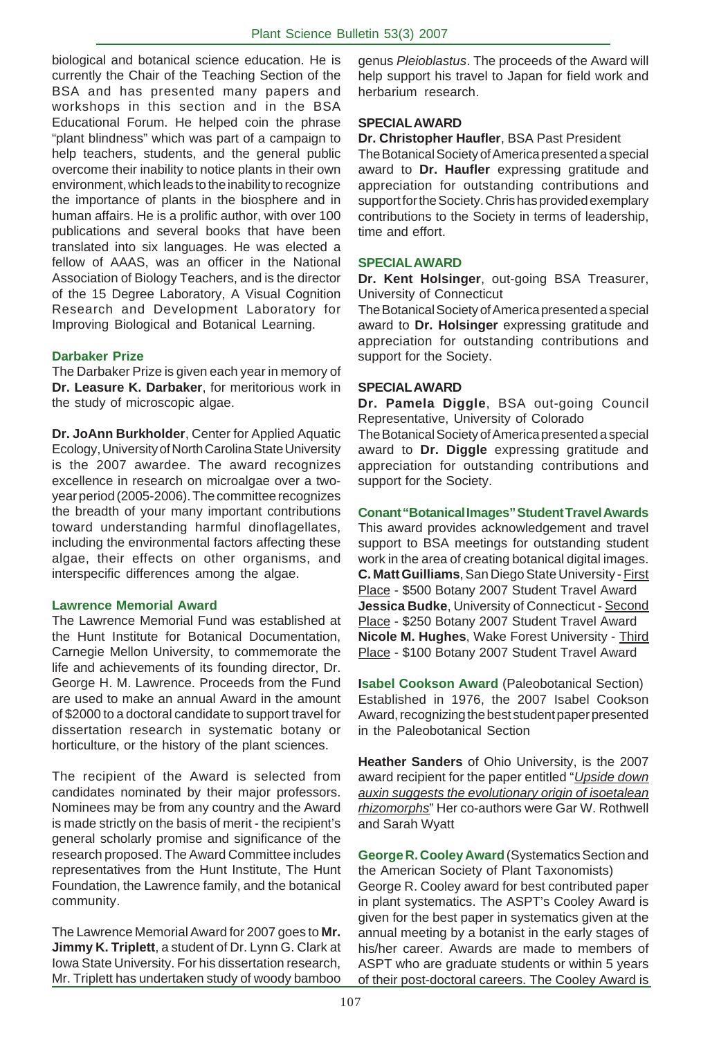biological and botanical science education. He is currently the Chair of the Teaching Section of the BSA and has presented many papers and workshops in this section and in the BSA Educational Forum. He helped coin the phrase "plant blindness" which was part of a campaign to help teachers, students, and the general public overcome their inability to notice plants in their own environment, which leads to the inability to recognize the importance of plants in the biosphere and in human affairs. He is a prolific author, with over 100 publications and several books that have been translated into six languages. He was elected a fellow of AAAS, was an officer in the National Association of Biology Teachers, and is the director of the 15 Degree Laboratory, A Visual Cognition Research and Development Laboratory for Improving Biological and Botanical Learning.

# **Darbaker Prize**

The Darbaker Prize is given each year in memory of **Dr. Leasure K. Darbaker**, for meritorious work in the study of microscopic algae.

**Dr. JoAnn Burkholder**, Center for Applied Aquatic Ecology, University of North Carolina State University is the 2007 awardee. The award recognizes excellence in research on microalgae over a twoyear period (2005-2006). The committee recognizes the breadth of your many important contributions toward understanding harmful dinoflagellates, including the environmental factors affecting these algae, their effects on other organisms, and interspecific differences among the algae.

### **Lawrence Memorial Award**

The Lawrence Memorial Fund was established at the Hunt Institute for Botanical Documentation, Carnegie Mellon University, to commemorate the life and achievements of its founding director, Dr. George H. M. Lawrence. Proceeds from the Fund are used to make an annual Award in the amount of \$2000 to a doctoral candidate to support travel for dissertation research in systematic botany or horticulture, or the history of the plant sciences.

The recipient of the Award is selected from candidates nominated by their major professors. Nominees may be from any country and the Award is made strictly on the basis of merit - the recipient's general scholarly promise and significance of the research proposed. The Award Committee includes representatives from the Hunt Institute, The Hunt Foundation, the Lawrence family, and the botanical community.

The Lawrence Memorial Award for 2007 goes to **Mr. Jimmy K. Triplett**, a student of Dr. Lynn G. Clark at Iowa State University. For his dissertation research, Mr. Triplett has undertaken study of woody bamboo genus *Pleioblastus*. The proceeds of the Award will help support his travel to Japan for field work and herbarium research.

# **SPECIAL AWARD**

**Dr. Christopher Haufler**, BSA Past President The Botanical Society of America presented a special award to **Dr. Haufler** expressing gratitude and appreciation for outstanding contributions and support for the Society. Chris has provided exemplary contributions to the Society in terms of leadership, time and effort.

# **SPECIAL AWARD**

**Dr. Kent Holsinger**, out-going BSA Treasurer, University of Connecticut

The Botanical Society of America presented a special award to **Dr. Holsinger** expressing gratitude and appreciation for outstanding contributions and support for the Society.

# **SPECIAL AWARD**

**Dr. Pamela Diggle**, BSA out-going Council Representative, University of Colorado

The Botanical Society of America presented a special award to **Dr. Diggle** expressing gratitude and appreciation for outstanding contributions and support for the Society.

# **Conant "Botanical Images" Student Travel Awards**

This award provides acknowledgement and travel support to BSA meetings for outstanding student work in the area of creating botanical digital images. **C. Matt Guilliams**, San Diego State University - First Place - \$500 Botany 2007 Student Travel Award **Jessica Budke**, University of Connecticut - Second Place - \$250 Botany 2007 Student Travel Award **Nicole M. Hughes**, Wake Forest University - Third Place - \$100 Botany 2007 Student Travel Award

**Isabel Cookson Award** (Paleobotanical Section) Established in 1976, the 2007 Isabel Cookson Award, recognizing the best student paper presented in the Paleobotanical Section

**Heather Sanders** of Ohio University, is the 2007 award recipient for the paper entitled "*Upside down auxin suggests the evolutionary origin of isoetalean rhizomorphs*" Her co-authors were Gar W. Rothwell and Sarah Wyatt

**George R. Cooley Award** (Systematics Section and the American Society of Plant Taxonomists) George R. Cooley award for best contributed paper in plant systematics. The ASPT's Cooley Award is given for the best paper in systematics given at the annual meeting by a botanist in the early stages of his/her career. Awards are made to members of ASPT who are graduate students or within 5 years of their post-doctoral careers. The Cooley Award is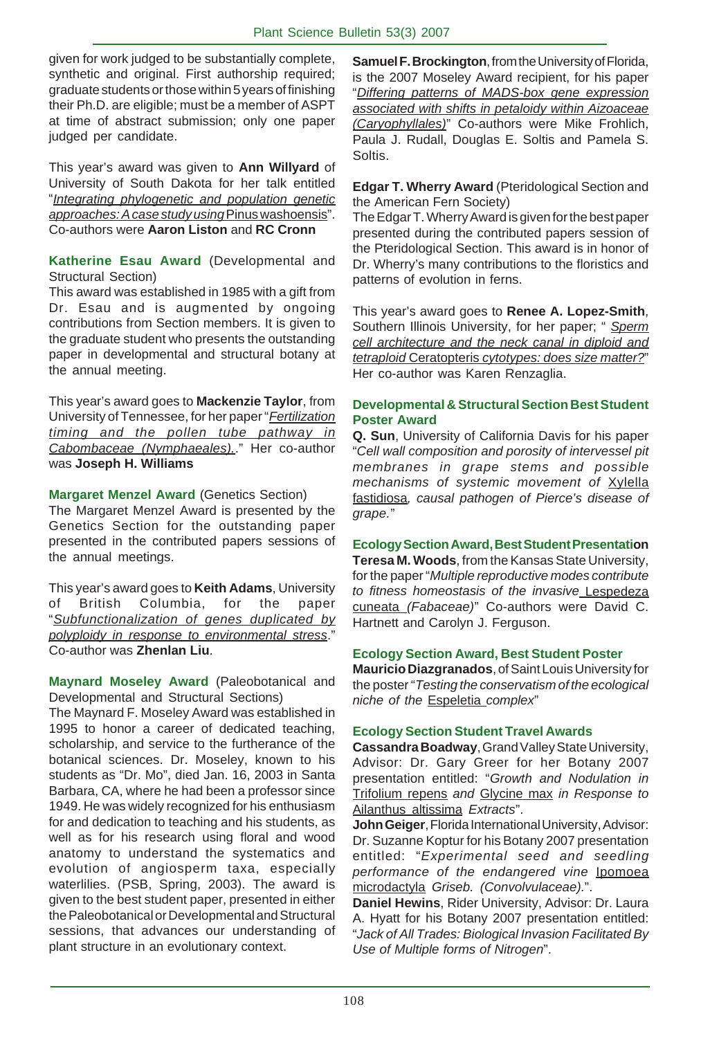given for work judged to be substantially complete, synthetic and original. First authorship required; graduate students or those within 5 years of finishing their Ph.D. are eligible; must be a member of ASPT at time of abstract submission; only one paper judged per candidate.

This year's award was given to **Ann Willyard** of University of South Dakota for her talk entitled "*Integrating phylogenetic and population genetic approaches: A case study using* Pinus washoensis". Co-authors were **Aaron Liston** and **RC Cronn**

**Katherine Esau Award** (Developmental and Structural Section)

This award was established in 1985 with a gift from Dr. Esau and is augmented by ongoing contributions from Section members. It is given to the graduate student who presents the outstanding paper in developmental and structural botany at the annual meeting.

This year's award goes to **Mackenzie Taylor**, from University of Tennessee, for her paper "*Fertilization timing and the pollen tube pathway in Cabombaceae (Nymphaeales).*." Her co-author was **Joseph H. Williams**

**Margaret Menzel Award** (Genetics Section)

The Margaret Menzel Award is presented by the Genetics Section for the outstanding paper presented in the contributed papers sessions of the annual meetings.

This year's award goes to **Keith Adams**, University of British Columbia, for the paper "*Subfunctionalization of genes duplicated by polyploidy in response to environmental stress*." Co-author was **Zhenlan Liu**.

**Maynard Moseley Award** (Paleobotanical and Developmental and Structural Sections)

The Maynard F. Moseley Award was established in 1995 to honor a career of dedicated teaching, scholarship, and service to the furtherance of the botanical sciences. Dr. Moseley, known to his students as "Dr. Mo", died Jan. 16, 2003 in Santa Barbara, CA, where he had been a professor since 1949. He was widely recognized for his enthusiasm for and dedication to teaching and his students, as well as for his research using floral and wood anatomy to understand the systematics and evolution of angiosperm taxa, especially waterlilies. (PSB, Spring, 2003). The award is given to the best student paper, presented in either the Paleobotanical or Developmental and Structural sessions, that advances our understanding of plant structure in an evolutionary context.

**Samuel F. Brockington**, from the University of Florida, is the 2007 Moseley Award recipient, for his paper "*Differing patterns of MADS-box gene expression associated with shifts in petaloidy within Aizoaceae (Caryophyllales)*" Co-authors were Mike Frohlich, Paula J. Rudall, Douglas E. Soltis and Pamela S. Soltis.

**Edgar T. Wherry Award** (Pteridological Section and the American Fern Society)

The Edgar T. Wherry Award is given for the best paper presented during the contributed papers session of the Pteridological Section. This award is in honor of Dr. Wherry's many contributions to the floristics and patterns of evolution in ferns.

This year's award goes to **Renee A. Lopez-Smith**, Southern Illinois University, for her paper; " *Sperm cell architecture and the neck canal in diploid and tetraploid* Ceratopteris *cytotypes: does size matter?*" Her co-author was Karen Renzaglia.

# **Developmental & Structural Section Best Student Poster Award**

**Q. Sun**, University of California Davis for his paper "*Cell wall composition and porosity of intervessel pit membranes in grape stems and possible mechanisms of systemic movement of* Xylella fastidiosa*, causal pathogen of Pierce's disease of grape.*"

**Ecology Section Award, Best Student Presentation Teresa M. Woods**, from the Kansas State University, for the paper "*Multiple reproductive modes contribute to fitness homeostasis of the invasive* Lespedeza cuneata *(Fabaceae)*" Co-authors were David C. Hartnett and Carolyn J. Ferguson.

### **Ecology Section Award, Best Student Poster**

**Mauricio Diazgranados**, of Saint Louis University for the poster "*Testing the conservatism of the ecological niche of the* Espeletia *complex*"

### **Ecology Section Student Travel Awards**

**Cassandra Boadway**, Grand Valley State University, Advisor: Dr. Gary Greer for her Botany 2007 presentation entitled: "*Growth and Nodulation in* Trifolium repens *and* Glycine max *in Response to* Ailanthus altissima *Extracts*".

**John Geiger**, Florida International University, Advisor: Dr. Suzanne Koptur for his Botany 2007 presentation entitled: "*Experimental seed and seedling performance of the endangered vine* Ipomoea microdactyla *Griseb. (Convolvulaceae).*".

**Daniel Hewins**, Rider University, Advisor: Dr. Laura A. Hyatt for his Botany 2007 presentation entitled: "*Jack of All Trades: Biological Invasion Facilitated By Use of Multiple forms of Nitrogen*".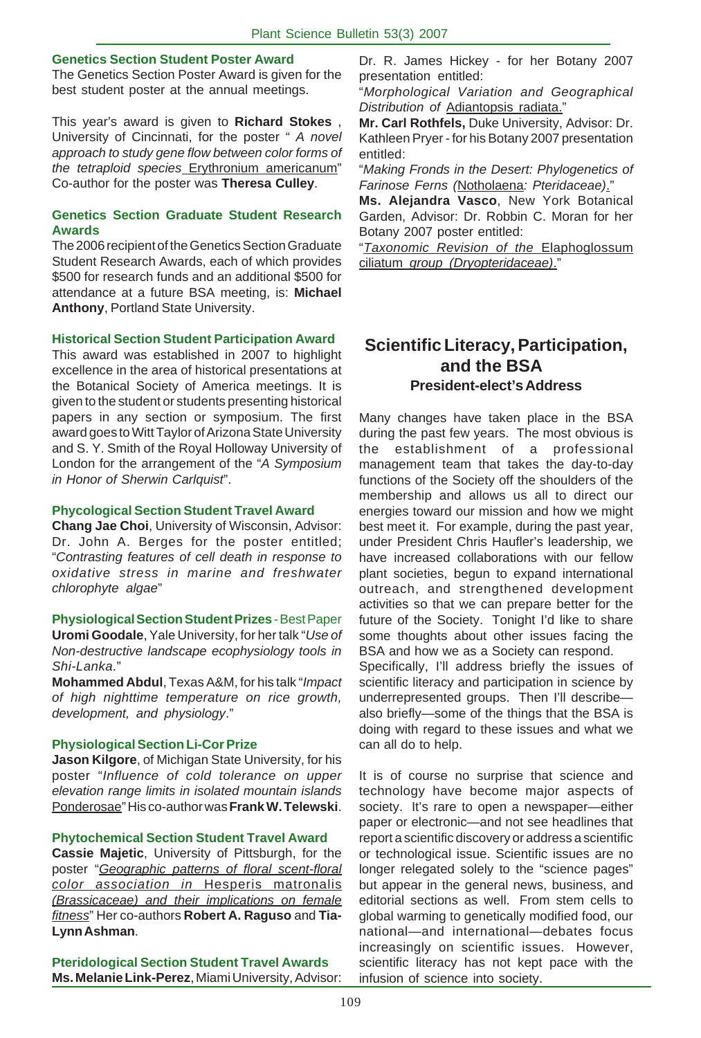# **Genetics Section Student Poster Award**

The Genetics Section Poster Award is given for the best student poster at the annual meetings.

This year's award is given to **Richard Stokes** , University of Cincinnati, for the poster " *A novel approach to study gene flow between color forms of the tetraploid species* Erythronium americanum" Co-author for the poster was **Theresa Culley**.

### **Genetics Section Graduate Student Research Awards**

The 2006 recipient of the Genetics Section Graduate Student Research Awards, each of which provides \$500 for research funds and an additional \$500 for attendance at a future BSA meeting, is: **Michael Anthony**, Portland State University.

### **Historical Section Student Participation Award**

This award was established in 2007 to highlight excellence in the area of historical presentations at the Botanical Society of America meetings. It is given to the student or students presenting historical papers in any section or symposium. The first award goes to Witt Taylor of Arizona State University and S. Y. Smith of the Royal Holloway University of London for the arrangement of the "*A Symposium in Honor of Sherwin Carlquist*".

### **Phycological Section Student Travel Award**

**Chang Jae Choi**, University of Wisconsin, Advisor: Dr. John A. Berges for the poster entitled; "*Contrasting features of cell death in response to oxidative stress in marine and freshwater chlorophyte algae*"

**Physiological Section Student Prizes** - Best Paper

**Uromi Goodale**, Yale University, for her talk "*Use of Non-destructive landscape ecophysiology tools in Shi-Lanka*."

**Mohammed Abdul**, Texas A&M, for his talk "*Impact of high nighttime temperature on rice growth, development, and physiology*."

### **Physiological Section Li-Cor Prize**

**Jason Kilgore**, of Michigan State University, for his poster "*Influence of cold tolerance on upper elevation range limits in isolated mountain islands* Ponderosae" His co-author was **Frank W. Telewski**.

### **Phytochemical Section Student Travel Award**

**Cassie Majetic**, University of Pittsburgh, for the poster "*Geographic patterns of floral scent-floral color association in* Hesperis matronalis *(Brassicaceae) and their implications on female fitness*" Her co-authors **Robert A. Raguso** and **Tia-Lynn Ashman**.

**Pteridological Section Student Travel Awards Ms. Melanie Link-Perez**, Miami University, Advisor: Dr. R. James Hickey - for her Botany 2007 presentation entitled:

"*Morphological Variation and Geographical Distribution of* Adiantopsis radiata."

**Mr. Carl Rothfels,** Duke University, Advisor: Dr. Kathleen Pryer - for his Botany 2007 presentation entitled:

"*Making Fronds in the Desert: Phylogenetics of Farinose Ferns (*Notholaena*: Pteridaceae)*."

**Ms. Alejandra Vasco**, New York Botanical Garden, Advisor: Dr. Robbin C. Moran for her Botany 2007 poster entitled:

"*Taxonomic Revision of the* Elaphoglossum ciliatum *group (Dryopteridaceae)*."

# **Scientific Literacy, Participation, and the BSA President-elect's Address**

Many changes have taken place in the BSA during the past few years. The most obvious is the establishment of a professional management team that takes the day-to-day functions of the Society off the shoulders of the membership and allows us all to direct our energies toward our mission and how we might best meet it. For example, during the past year, under President Chris Haufler's leadership, we have increased collaborations with our fellow plant societies, begun to expand international outreach, and strengthened development activities so that we can prepare better for the future of the Society. Tonight I'd like to share some thoughts about other issues facing the BSA and how we as a Society can respond.

Specifically, I'll address briefly the issues of scientific literacy and participation in science by underrepresented groups. Then I'll describe also briefly—some of the things that the BSA is doing with regard to these issues and what we can all do to help.

It is of course no surprise that science and technology have become major aspects of society. It's rare to open a newspaper—either paper or electronic—and not see headlines that report a scientific discovery or address a scientific or technological issue. Scientific issues are no longer relegated solely to the "science pages" but appear in the general news, business, and editorial sections as well. From stem cells to global warming to genetically modified food, our national—and international—debates focus increasingly on scientific issues. However, scientific literacy has not kept pace with the infusion of science into society.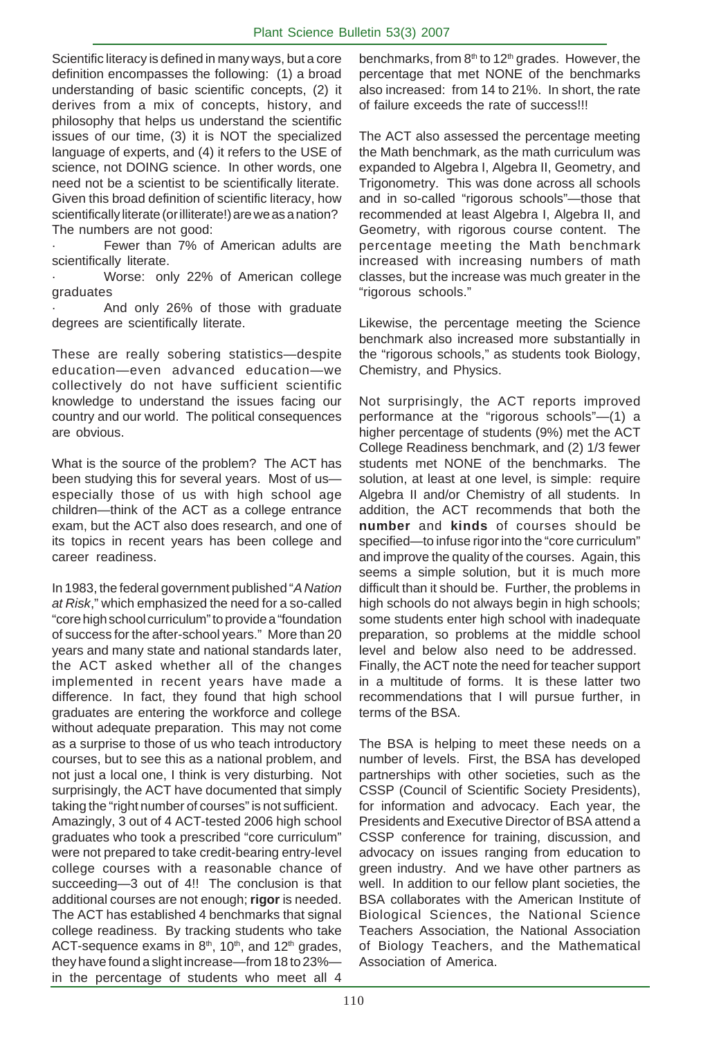Scientific literacy is defined in many ways, but a core definition encompasses the following: (1) a broad understanding of basic scientific concepts, (2) it derives from a mix of concepts, history, and philosophy that helps us understand the scientific issues of our time, (3) it is NOT the specialized language of experts, and (4) it refers to the USE of science, not DOING science. In other words, one need not be a scientist to be scientifically literate. Given this broad definition of scientific literacy, how scientifically literate (or illiterate!) are we as a nation? The numbers are not good:

Fewer than 7% of American adults are scientifically literate.

Worse: only 22% of American college graduates

And only 26% of those with graduate degrees are scientifically literate.

These are really sobering statistics—despite education—even advanced education—we collectively do not have sufficient scientific knowledge to understand the issues facing our country and our world. The political consequences are obvious.

What is the source of the problem? The ACT has been studying this for several years. Most of us especially those of us with high school age children—think of the ACT as a college entrance exam, but the ACT also does research, and one of its topics in recent years has been college and career readiness.

In 1983, the federal government published "*A Nation at Risk*," which emphasized the need for a so-called "core high school curriculum" to provide a "foundation of success for the after-school years." More than 20 years and many state and national standards later, the ACT asked whether all of the changes implemented in recent years have made a difference. In fact, they found that high school graduates are entering the workforce and college without adequate preparation. This may not come as a surprise to those of us who teach introductory courses, but to see this as a national problem, and not just a local one, I think is very disturbing. Not surprisingly, the ACT have documented that simply taking the "right number of courses" is not sufficient. Amazingly, 3 out of 4 ACT-tested 2006 high school graduates who took a prescribed "core curriculum" were not prepared to take credit-bearing entry-level college courses with a reasonable chance of succeeding—3 out of 4!! The conclusion is that additional courses are not enough; **rigor** is needed. The ACT has established 4 benchmarks that signal college readiness. By tracking students who take ACT-sequence exams in  $8<sup>th</sup>$ , 10<sup>th</sup>, and 12<sup>th</sup> grades, they have found a slight increase—from 18 to 23% in the percentage of students who meet all 4

benchmarks, from  $8<sup>th</sup>$  to 12<sup>th</sup> grades. However, the percentage that met NONE of the benchmarks also increased: from 14 to 21%. In short, the rate of failure exceeds the rate of success!!!

The ACT also assessed the percentage meeting the Math benchmark, as the math curriculum was expanded to Algebra I, Algebra II, Geometry, and Trigonometry. This was done across all schools and in so-called "rigorous schools"—those that recommended at least Algebra I, Algebra II, and Geometry, with rigorous course content. The percentage meeting the Math benchmark increased with increasing numbers of math classes, but the increase was much greater in the "rigorous schools."

Likewise, the percentage meeting the Science benchmark also increased more substantially in the "rigorous schools," as students took Biology, Chemistry, and Physics.

Not surprisingly, the ACT reports improved performance at the "rigorous schools"—(1) a higher percentage of students (9%) met the ACT College Readiness benchmark, and (2) 1/3 fewer students met NONE of the benchmarks. The solution, at least at one level, is simple: require Algebra II and/or Chemistry of all students. In addition, the ACT recommends that both the **number** and **kinds** of courses should be specified—to infuse rigor into the "core curriculum" and improve the quality of the courses. Again, this seems a simple solution, but it is much more difficult than it should be. Further, the problems in high schools do not always begin in high schools; some students enter high school with inadequate preparation, so problems at the middle school level and below also need to be addressed. Finally, the ACT note the need for teacher support in a multitude of forms. It is these latter two recommendations that I will pursue further, in terms of the BSA.

The BSA is helping to meet these needs on a number of levels. First, the BSA has developed partnerships with other societies, such as the CSSP (Council of Scientific Society Presidents), for information and advocacy. Each year, the Presidents and Executive Director of BSA attend a CSSP conference for training, discussion, and advocacy on issues ranging from education to green industry. And we have other partners as well. In addition to our fellow plant societies, the BSA collaborates with the American Institute of Biological Sciences, the National Science Teachers Association, the National Association of Biology Teachers, and the Mathematical Association of America.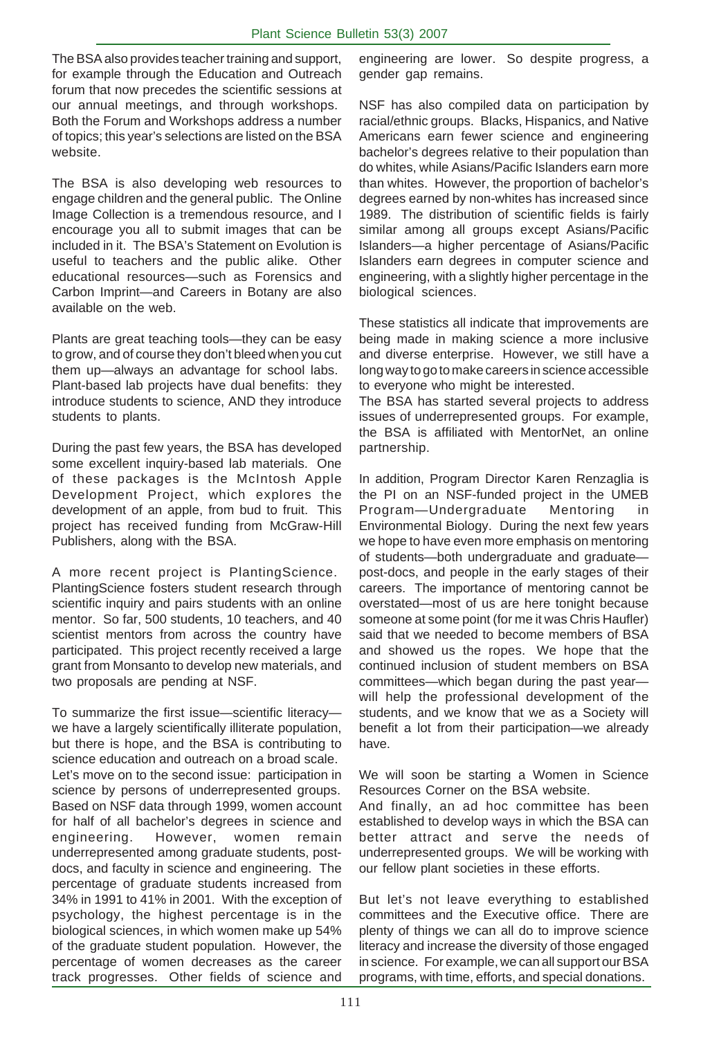The BSA also provides teacher training and support, for example through the Education and Outreach forum that now precedes the scientific sessions at our annual meetings, and through workshops. Both the Forum and Workshops address a number of topics; this year's selections are listed on the BSA website.

The BSA is also developing web resources to engage children and the general public. The Online Image Collection is a tremendous resource, and I encourage you all to submit images that can be included in it. The BSA's Statement on Evolution is useful to teachers and the public alike. Other educational resources—such as Forensics and Carbon Imprint—and Careers in Botany are also available on the web.

Plants are great teaching tools—they can be easy to grow, and of course they don't bleed when you cut them up—always an advantage for school labs. Plant-based lab projects have dual benefits: they introduce students to science, AND they introduce students to plants.

During the past few years, the BSA has developed some excellent inquiry-based lab materials. One of these packages is the McIntosh Apple Development Project, which explores the development of an apple, from bud to fruit. This project has received funding from McGraw-Hill Publishers, along with the BSA.

A more recent project is PlantingScience. PlantingScience fosters student research through scientific inquiry and pairs students with an online mentor. So far, 500 students, 10 teachers, and 40 scientist mentors from across the country have participated. This project recently received a large grant from Monsanto to develop new materials, and two proposals are pending at NSF.

To summarize the first issue—scientific literacy we have a largely scientifically illiterate population, but there is hope, and the BSA is contributing to science education and outreach on a broad scale. Let's move on to the second issue: participation in science by persons of underrepresented groups. Based on NSF data through 1999, women account for half of all bachelor's degrees in science and engineering. However, women remain underrepresented among graduate students, postdocs, and faculty in science and engineering. The percentage of graduate students increased from 34% in 1991 to 41% in 2001. With the exception of psychology, the highest percentage is in the biological sciences, in which women make up 54% of the graduate student population. However, the percentage of women decreases as the career track progresses. Other fields of science and

engineering are lower. So despite progress, a gender gap remains.

NSF has also compiled data on participation by racial/ethnic groups. Blacks, Hispanics, and Native Americans earn fewer science and engineering bachelor's degrees relative to their population than do whites, while Asians/Pacific Islanders earn more than whites. However, the proportion of bachelor's degrees earned by non-whites has increased since 1989. The distribution of scientific fields is fairly similar among all groups except Asians/Pacific Islanders—a higher percentage of Asians/Pacific Islanders earn degrees in computer science and engineering, with a slightly higher percentage in the biological sciences.

These statistics all indicate that improvements are being made in making science a more inclusive and diverse enterprise. However, we still have a long way to go to make careers in science accessible to everyone who might be interested.

The BSA has started several projects to address issues of underrepresented groups. For example, the BSA is affiliated with MentorNet, an online partnership.

In addition, Program Director Karen Renzaglia is the PI on an NSF-funded project in the UMEB Program—Undergraduate Mentoring Environmental Biology. During the next few years we hope to have even more emphasis on mentoring of students—both undergraduate and graduate post-docs, and people in the early stages of their careers. The importance of mentoring cannot be overstated—most of us are here tonight because someone at some point (for me it was Chris Haufler) said that we needed to become members of BSA and showed us the ropes. We hope that the continued inclusion of student members on BSA committees—which began during the past year will help the professional development of the students, and we know that we as a Society will benefit a lot from their participation—we already have.

We will soon be starting a Women in Science Resources Corner on the BSA website.

And finally, an ad hoc committee has been established to develop ways in which the BSA can better attract and serve the needs of underrepresented groups. We will be working with our fellow plant societies in these efforts.

But let's not leave everything to established committees and the Executive office. There are plenty of things we can all do to improve science literacy and increase the diversity of those engaged in science. For example, we can all support our BSA programs, with time, efforts, and special donations.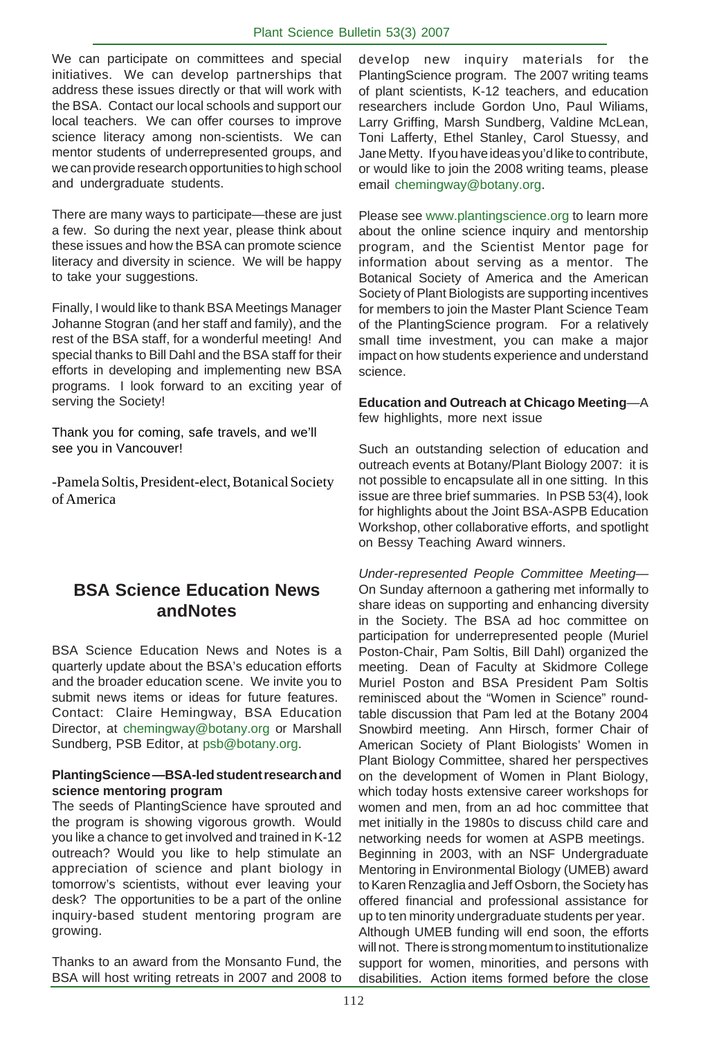We can participate on committees and special initiatives. We can develop partnerships that address these issues directly or that will work with the BSA. Contact our local schools and support our local teachers. We can offer courses to improve science literacy among non-scientists. We can mentor students of underrepresented groups, and we can provide research opportunities to high school and undergraduate students.

There are many ways to participate—these are just a few. So during the next year, please think about these issues and how the BSA can promote science literacy and diversity in science. We will be happy to take your suggestions.

Finally, I would like to thank BSA Meetings Manager Johanne Stogran (and her staff and family), and the rest of the BSA staff, for a wonderful meeting! And special thanks to Bill Dahl and the BSA staff for their efforts in developing and implementing new BSA programs. I look forward to an exciting year of serving the Society!

Thank you for coming, safe travels, and we'll see you in Vancouver!

-Pamela Soltis, President-elect, Botanical Society of America

# **BSA Science Education News andNotes**

BSA Science Education News and Notes is a quarterly update about the BSA's education efforts and the broader education scene. We invite you to submit news items or ideas for future features. Contact: Claire Hemingway, BSA Education Director, at chemingway@botany.org or Marshall Sundberg, PSB Editor, at psb@botany.org.

# **PlantingScience** *—***BSA-led student research and science mentoring program**

The seeds of PlantingScience have sprouted and the program is showing vigorous growth. Would you like a chance to get involved and trained in K-12 outreach? Would you like to help stimulate an appreciation of science and plant biology in tomorrow's scientists, without ever leaving your desk? The opportunities to be a part of the online inquiry-based student mentoring program are growing.

Thanks to an award from the Monsanto Fund, the BSA will host writing retreats in 2007 and 2008 to develop new inquiry materials for the PlantingScience program. The 2007 writing teams of plant scientists, K-12 teachers, and education researchers include Gordon Uno, Paul Wiliams, Larry Griffing, Marsh Sundberg, Valdine McLean, Toni Lafferty, Ethel Stanley, Carol Stuessy, and Jane Metty. If you have ideas you'd like to contribute, or would like to join the 2008 writing teams, please email chemingway@botany.org.

Please see www.plantingscience.org to learn more about the online science inquiry and mentorship program, and the Scientist Mentor page for information about serving as a mentor. The Botanical Society of America and the American Society of Plant Biologists are supporting incentives for members to join the Master Plant Science Team of the PlantingScience program. For a relatively small time investment, you can make a major impact on how students experience and understand science.

# **Education and Outreach at Chicago Meeting***—*A few highlights, more next issue

Such an outstanding selection of education and outreach events at Botany/Plant Biology 2007: it is not possible to encapsulate all in one sitting. In this issue are three brief summaries. In PSB 53(4), look for highlights about the Joint BSA-ASPB Education Workshop, other collaborative efforts, and spotlight on Bessy Teaching Award winners.

*Under-represented People Committee Meeting—* On Sunday afternoon a gathering met informally to share ideas on supporting and enhancing diversity in the Society. The BSA ad hoc committee on participation for underrepresented people (Muriel Poston-Chair, Pam Soltis, Bill Dahl) organized the meeting. Dean of Faculty at Skidmore College Muriel Poston and BSA President Pam Soltis reminisced about the "Women in Science" roundtable discussion that Pam led at the Botany 2004 Snowbird meeting. Ann Hirsch, former Chair of American Society of Plant Biologists' Women in Plant Biology Committee, shared her perspectives on the development of Women in Plant Biology, which today hosts extensive career workshops for women and men, from an ad hoc committee that met initially in the 1980s to discuss child care and networking needs for women at ASPB meetings. Beginning in 2003, with an NSF Undergraduate Mentoring in Environmental Biology (UMEB) award to Karen Renzaglia and Jeff Osborn, the Society has offered financial and professional assistance for up to ten minority undergraduate students per year. Although UMEB funding will end soon, the efforts will not. There is strong momentum to institutionalize support for women, minorities, and persons with disabilities. Action items formed before the close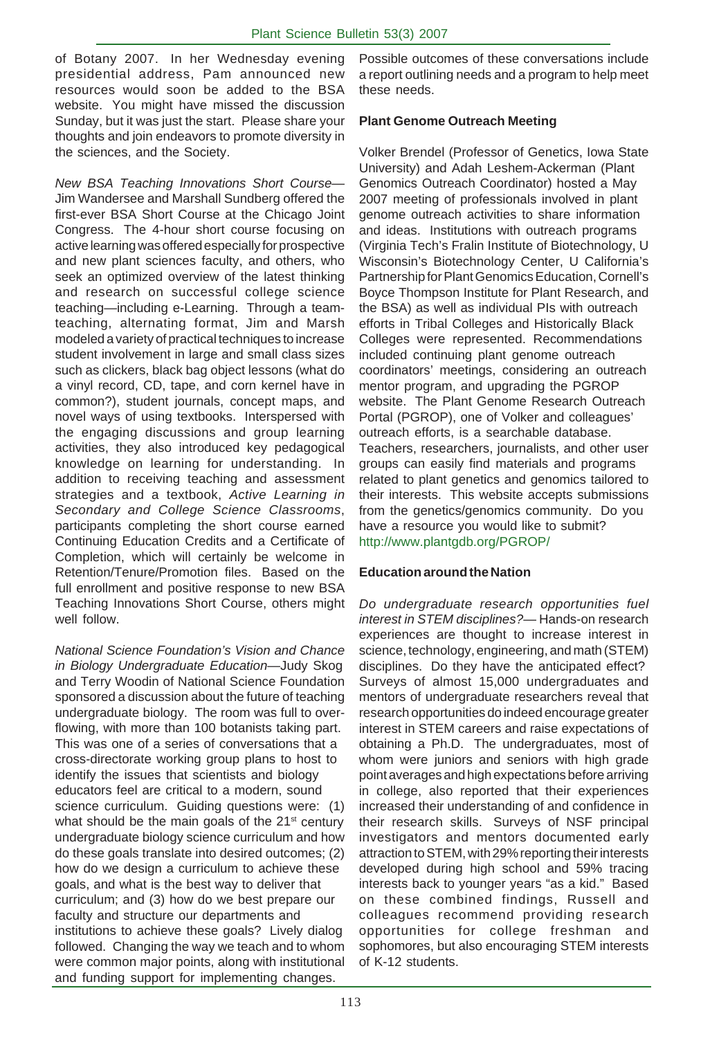of Botany 2007. In her Wednesday evening presidential address, Pam announced new resources would soon be added to the BSA website. You might have missed the discussion Sunday, but it was just the start. Please share your thoughts and join endeavors to promote diversity in the sciences, and the Society.

*New BSA Teaching Innovations Short Course—* Jim Wandersee and Marshall Sundberg offered the first-ever BSA Short Course at the Chicago Joint Congress. The 4-hour short course focusing on active learning was offered especially for prospective and new plant sciences faculty, and others, who seek an optimized overview of the latest thinking and research on successful college science teaching—including e-Learning. Through a teamteaching, alternating format, Jim and Marsh modeled a variety of practical techniques to increase student involvement in large and small class sizes such as clickers, black bag object lessons (what do a vinyl record, CD, tape, and corn kernel have in common?), student journals, concept maps, and novel ways of using textbooks. Interspersed with the engaging discussions and group learning activities, they also introduced key pedagogical knowledge on learning for understanding. In addition to receiving teaching and assessment strategies and a textbook, *Active Learning in Secondary and College Science Classrooms*, participants completing the short course earned Continuing Education Credits and a Certificate of Completion, which will certainly be welcome in Retention/Tenure/Promotion files. Based on the full enrollment and positive response to new BSA Teaching Innovations Short Course, others might well follow.

*National Science Foundation's Vision and Chance in Biology Undergraduate Education—*Judy Skog and Terry Woodin of National Science Foundation sponsored a discussion about the future of teaching undergraduate biology. The room was full to overflowing, with more than 100 botanists taking part. This was one of a series of conversations that a cross-directorate working group plans to host to identify the issues that scientists and biology educators feel are critical to a modern, sound science curriculum. Guiding questions were: (1) what should be the main goals of the 21<sup>st</sup> century undergraduate biology science curriculum and how do these goals translate into desired outcomes; (2) how do we design a curriculum to achieve these goals, and what is the best way to deliver that curriculum; and (3) how do we best prepare our faculty and structure our departments and institutions to achieve these goals? Lively dialog followed. Changing the way we teach and to whom were common major points, along with institutional and funding support for implementing changes.

Possible outcomes of these conversations include a report outlining needs and a program to help meet these needs.

# **Plant Genome Outreach Meeting**

Volker Brendel (Professor of Genetics, Iowa State University) and Adah Leshem-Ackerman (Plant Genomics Outreach Coordinator) hosted a May 2007 meeting of professionals involved in plant genome outreach activities to share information and ideas. Institutions with outreach programs (Virginia Tech's Fralin Institute of Biotechnology, U Wisconsin's Biotechnology Center, U California's Partnership for Plant Genomics Education, Cornell's Boyce Thompson Institute for Plant Research, and the BSA) as well as individual PIs with outreach efforts in Tribal Colleges and Historically Black Colleges were represented. Recommendations included continuing plant genome outreach coordinators' meetings, considering an outreach mentor program, and upgrading the PGROP website. The Plant Genome Research Outreach Portal (PGROP), one of Volker and colleagues' outreach efforts, is a searchable database. Teachers, researchers, journalists, and other user groups can easily find materials and programs related to plant genetics and genomics tailored to their interests. This website accepts submissions from the genetics/genomics community. Do you have a resource you would like to submit? http://www.plantgdb.org/PGROP/

### **Education around the Nation**

*Do undergraduate research opportunities fuel interest in STEM disciplines?*— Hands-on research experiences are thought to increase interest in science, technology, engineering, and math (STEM) disciplines. Do they have the anticipated effect? Surveys of almost 15,000 undergraduates and mentors of undergraduate researchers reveal that research opportunities do indeed encourage greater interest in STEM careers and raise expectations of obtaining a Ph.D. The undergraduates, most of whom were juniors and seniors with high grade point averages and high expectations before arriving in college, also reported that their experiences increased their understanding of and confidence in their research skills. Surveys of NSF principal investigators and mentors documented early attraction to STEM, with 29% reporting their interests developed during high school and 59% tracing interests back to younger years "as a kid." Based on these combined findings, Russell and colleagues recommend providing research opportunities for college freshman and sophomores, but also encouraging STEM interests of K-12 students.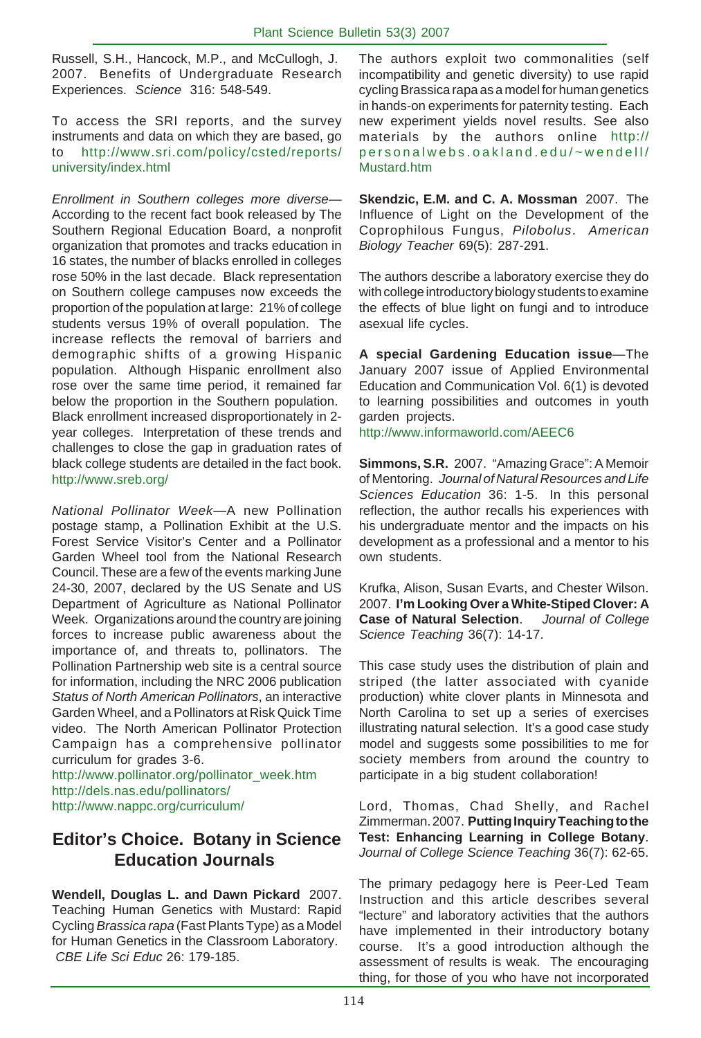Russell, S.H., Hancock, M.P., and McCullogh, J. 2007. Benefits of Undergraduate Research Experiences. *Science* 316: 548-549.

To access the SRI reports, and the survey instruments and data on which they are based, go to http://www.sri.com/policy/csted/reports/ university/index.html

*Enrollment in Southern colleges more diverse*— According to the recent fact book released by The Southern Regional Education Board, a nonprofit organization that promotes and tracks education in 16 states, the number of blacks enrolled in colleges rose 50% in the last decade. Black representation on Southern college campuses now exceeds the proportion of the population at large: 21% of college students versus 19% of overall population. The increase reflects the removal of barriers and demographic shifts of a growing Hispanic population. Although Hispanic enrollment also rose over the same time period, it remained far below the proportion in the Southern population. Black enrollment increased disproportionately in 2 year colleges. Interpretation of these trends and challenges to close the gap in graduation rates of black college students are detailed in the fact book. http://www.sreb.org/

*National Pollinator Week*—A new Pollination postage stamp, a Pollination Exhibit at the U.S. Forest Service Visitor's Center and a Pollinator Garden Wheel tool from the National Research Council. These are a few of the events marking June 24-30, 2007, declared by the US Senate and US Department of Agriculture as National Pollinator Week. Organizations around the country are joining forces to increase public awareness about the importance of, and threats to, pollinators. The Pollination Partnership web site is a central source for information, including the NRC 2006 publication *Status of North American Pollinators*, an interactive Garden Wheel, and a Pollinators at Risk Quick Time video. The North American Pollinator Protection Campaign has a comprehensive pollinator curriculum for grades 3-6.

http://www.pollinator.org/pollinator\_week.htm http://dels.nas.edu/pollinators/ http://www.nappc.org/curriculum/

# **Editor's Choice. Botany in Science Education Journals**

**Wendell, Douglas L. and Dawn Pickard** 2007. Teaching Human Genetics with Mustard: Rapid Cycling *Brassica rapa* (Fast Plants Type) as a Model for Human Genetics in the Classroom Laboratory. *CBE Life Sci Educ* 26: 179-185.

The authors exploit two commonalities (self incompatibility and genetic diversity) to use rapid cycling Brassica rapa as a model for human genetics in hands-on experiments for paternity testing. Each new experiment yields novel results. See also materials by the authors online http:// personalwebs.oakland.edu/~wendell/ Mustard.htm

**Skendzic, E.M. and C. A. Mossman** 2007. The Influence of Light on the Development of the Coprophilous Fungus, *Pilobolus*. *American Biology Teacher* 69(5): 287-291.

The authors describe a laboratory exercise they do with college introductory biology students to examine the effects of blue light on fungi and to introduce asexual life cycles.

**A special Gardening Education issue**—The January 2007 issue of Applied Environmental Education and Communication Vol. 6(1) is devoted to learning possibilities and outcomes in youth garden projects.

http://www.informaworld.com/AEEC6

**Simmons, S.R.** 2007. "Amazing Grace": A Memoir of Mentoring. *Journal of Natural Resources and Life Sciences Education* 36: 1-5. In this personal reflection, the author recalls his experiences with his undergraduate mentor and the impacts on his development as a professional and a mentor to his own students.

Krufka, Alison, Susan Evarts, and Chester Wilson. 2007. **I'm Looking Over a White-Stiped Clover: A Case of Natural Selection**. *Journal of College Science Teaching* 36(7): 14-17.

This case study uses the distribution of plain and striped (the latter associated with cyanide production) white clover plants in Minnesota and North Carolina to set up a series of exercises illustrating natural selection. It's a good case study model and suggests some possibilities to me for society members from around the country to participate in a big student collaboration!

Lord, Thomas, Chad Shelly, and Rachel Zimmerman. 2007. **Putting Inquiry Teaching to the Test: Enhancing Learning in College Botany**. *Journal of College Science Teaching* 36(7): 62-65.

The primary pedagogy here is Peer-Led Team Instruction and this article describes several "lecture" and laboratory activities that the authors have implemented in their introductory botany course. It's a good introduction although the assessment of results is weak. The encouraging thing, for those of you who have not incorporated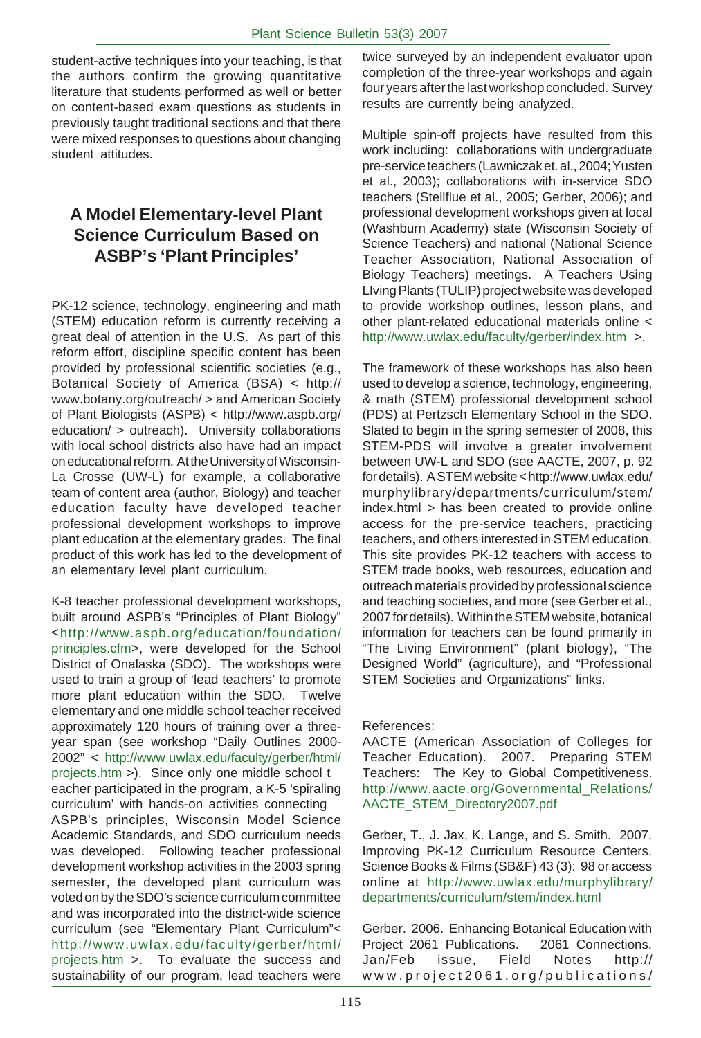student-active techniques into your teaching, is that the authors confirm the growing quantitative literature that students performed as well or better on content-based exam questions as students in previously taught traditional sections and that there were mixed responses to questions about changing student attitudes.

# **A Model Elementary-level Plant Science Curriculum Based on ASBP's 'Plant Principles'**

PK-12 science, technology, engineering and math (STEM) education reform is currently receiving a great deal of attention in the U.S. As part of this reform effort, discipline specific content has been provided by professional scientific societies (e.g., Botanical Society of America (BSA) < http:// www.botany.org/outreach/ > and American Society of Plant Biologists (ASPB) < http://www.aspb.org/ education/ > outreach). University collaborations with local school districts also have had an impact on educational reform. At the University of Wisconsin-La Crosse (UW-L) for example, a collaborative team of content area (author, Biology) and teacher education faculty have developed teacher professional development workshops to improve plant education at the elementary grades. The final product of this work has led to the development of an elementary level plant curriculum.

K-8 teacher professional development workshops, built around ASPB's "Principles of Plant Biology" <http://www.aspb.org/education/foundation/ principles.cfm>, were developed for the School District of Onalaska (SDO). The workshops were used to train a group of 'lead teachers' to promote more plant education within the SDO. Twelve elementary and one middle school teacher received approximately 120 hours of training over a threeyear span (see workshop "Daily Outlines 2000- 2002" < http://www.uwlax.edu/faculty/gerber/html/ projects.htm >). Since only one middle school t eacher participated in the program, a K-5 'spiraling curriculum' with hands-on activities connecting ASPB's principles, Wisconsin Model Science Academic Standards, and SDO curriculum needs was developed. Following teacher professional development workshop activities in the 2003 spring semester, the developed plant curriculum was voted on by the SDO's science curriculum committee and was incorporated into the district-wide science curriculum (see "Elementary Plant Curriculum"< http://www.uwlax.edu/faculty/gerber/html/ projects.htm >. To evaluate the success and sustainability of our program, lead teachers were

twice surveyed by an independent evaluator upon completion of the three-year workshops and again four years after the last workshop concluded. Survey results are currently being analyzed.

Multiple spin-off projects have resulted from this work including: collaborations with undergraduate pre-service teachers (Lawniczak et. al., 2004; Yusten et al., 2003); collaborations with in-service SDO teachers (Stellflue et al., 2005; Gerber, 2006); and professional development workshops given at local (Washburn Academy) state (Wisconsin Society of Science Teachers) and national (National Science Teacher Association, National Association of Biology Teachers) meetings. A Teachers Using LIving Plants (TULIP) project website was developed to provide workshop outlines, lesson plans, and other plant-related educational materials online < http://www.uwlax.edu/faculty/gerber/index.htm >.

The framework of these workshops has also been used to develop a science, technology, engineering, & math (STEM) professional development school (PDS) at Pertzsch Elementary School in the SDO. Slated to begin in the spring semester of 2008, this STEM-PDS will involve a greater involvement between UW-L and SDO (see AACTE, 2007, p. 92 for details). A STEM website < http://www.uwlax.edu/ murphylibrary/departments/curriculum/stem/ index.html > has been created to provide online access for the pre-service teachers, practicing teachers, and others interested in STEM education. This site provides PK-12 teachers with access to STEM trade books, web resources, education and outreach materials provided by professional science and teaching societies, and more (see Gerber et al., 2007 for details). Within the STEM website, botanical information for teachers can be found primarily in "The Living Environment" (plant biology), "The Designed World" (agriculture), and "Professional STEM Societies and Organizations" links.

### References:

AACTE (American Association of Colleges for Teacher Education). 2007. Preparing STEM Teachers: The Key to Global Competitiveness. http://www.aacte.org/Governmental\_Relations/ AACTE\_STEM\_Directory2007.pdf

Gerber, T., J. Jax, K. Lange, and S. Smith. 2007. Improving PK-12 Curriculum Resource Centers. Science Books & Films (SB&F) 43 (3): 98 or access online at http://www.uwlax.edu/murphylibrary/ departments/curriculum/stem/index.html

Gerber. 2006. Enhancing Botanical Education with Project 2061 Publications. 2061 Connections. Jan/Feb issue, Field Notes http:// www.project2061.org/publications/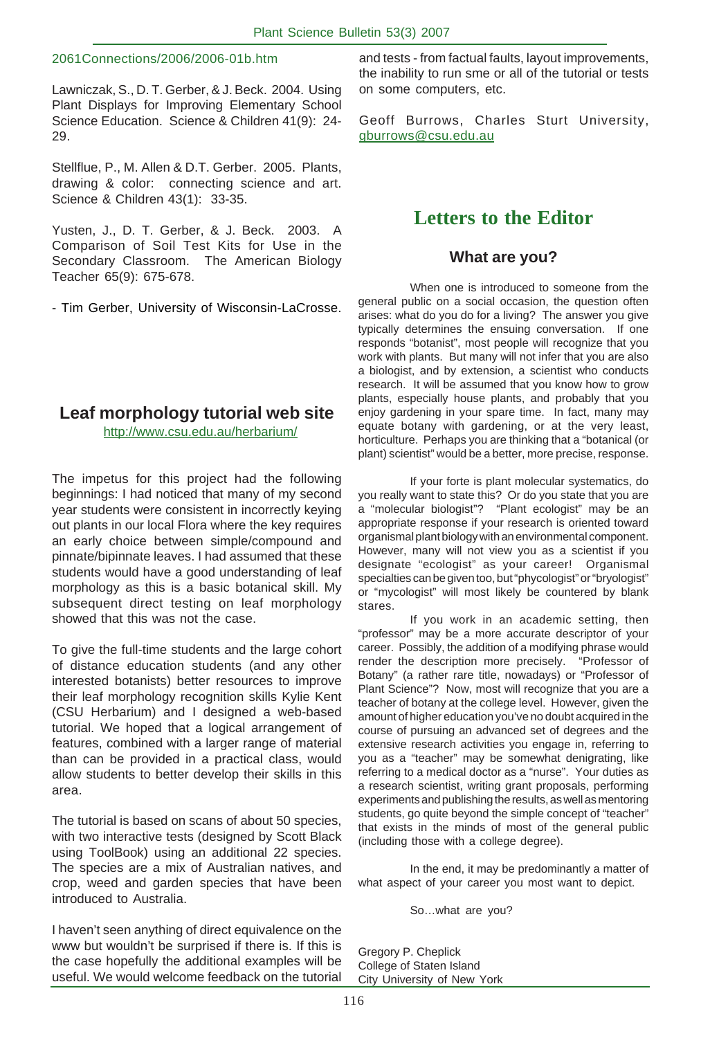### 2061Connections/2006/2006-01b.htm

Lawniczak, S., D. T. Gerber, & J. Beck. 2004. Using Plant Displays for Improving Elementary School Science Education. Science & Children 41(9): 24- 29.

Stellflue, P., M. Allen & D.T. Gerber. 2005. Plants, drawing & color: connecting science and art. Science & Children 43(1): 33-35.

Yusten, J., D. T. Gerber, & J. Beck. 2003. A Comparison of Soil Test Kits for Use in the Secondary Classroom. The American Biology Teacher 65(9): 675-678.

- Tim Gerber, University of Wisconsin-LaCrosse.

# **Leaf morphology tutorial web site**

http://www.csu.edu.au/herbarium/

The impetus for this project had the following beginnings: I had noticed that many of my second year students were consistent in incorrectly keying out plants in our local Flora where the key requires an early choice between simple/compound and pinnate/bipinnate leaves. I had assumed that these students would have a good understanding of leaf morphology as this is a basic botanical skill. My subsequent direct testing on leaf morphology showed that this was not the case.

To give the full-time students and the large cohort of distance education students (and any other interested botanists) better resources to improve their leaf morphology recognition skills Kylie Kent (CSU Herbarium) and I designed a web-based tutorial. We hoped that a logical arrangement of features, combined with a larger range of material than can be provided in a practical class, would allow students to better develop their skills in this area.

The tutorial is based on scans of about 50 species, with two interactive tests (designed by Scott Black using ToolBook) using an additional 22 species. The species are a mix of Australian natives, and crop, weed and garden species that have been introduced to Australia.

I haven't seen anything of direct equivalence on the www but wouldn't be surprised if there is. If this is the case hopefully the additional examples will be useful. We would welcome feedback on the tutorial

and tests - from factual faults, layout improvements, the inability to run sme or all of the tutorial or tests on some computers, etc.

Geoff Burrows, Charles Sturt University, gburrows@csu.edu.au

# **Letters to the Editor**

### **What are you?**

When one is introduced to someone from the general public on a social occasion, the question often arises: what do you do for a living? The answer you give typically determines the ensuing conversation. If one responds "botanist", most people will recognize that you work with plants. But many will not infer that you are also a biologist, and by extension, a scientist who conducts research. It will be assumed that you know how to grow plants, especially house plants, and probably that you enjoy gardening in your spare time. In fact, many may equate botany with gardening, or at the very least, horticulture. Perhaps you are thinking that a "botanical (or plant) scientist" would be a better, more precise, response.

If your forte is plant molecular systematics, do you really want to state this? Or do you state that you are a "molecular biologist"? "Plant ecologist" may be an appropriate response if your research is oriented toward organismal plant biology with an environmental component. However, many will not view you as a scientist if you designate "ecologist" as your career! Organismal specialties can be given too, but "phycologist" or "bryologist" or "mycologist" will most likely be countered by blank stares.

If you work in an academic setting, then "professor" may be a more accurate descriptor of your career. Possibly, the addition of a modifying phrase would render the description more precisely. "Professor of Botany" (a rather rare title, nowadays) or "Professor of Plant Science"? Now, most will recognize that you are a teacher of botany at the college level. However, given the amount of higher education you've no doubt acquired in the course of pursuing an advanced set of degrees and the extensive research activities you engage in, referring to you as a "teacher" may be somewhat denigrating, like referring to a medical doctor as a "nurse". Your duties as a research scientist, writing grant proposals, performing experiments and publishing the results, as well as mentoring students, go quite beyond the simple concept of "teacher" that exists in the minds of most of the general public (including those with a college degree).

In the end, it may be predominantly a matter of what aspect of your career you most want to depict.

So…what are you?

Gregory P. Cheplick College of Staten Island City University of New York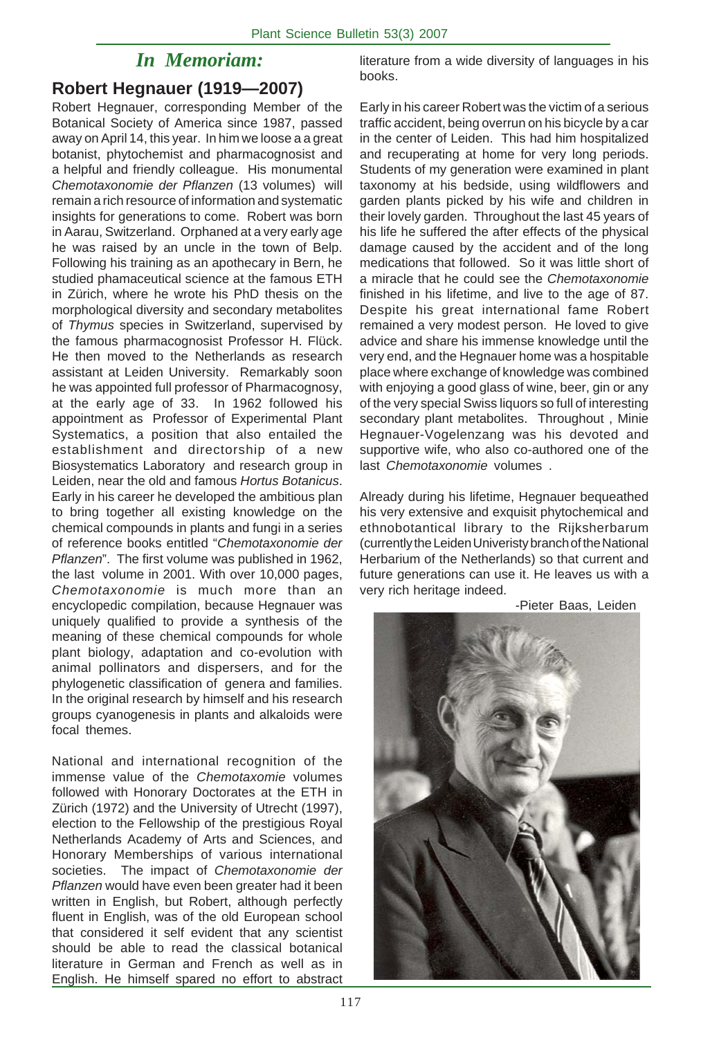# *In Memoriam:*

# **Robert Hegnauer (1919—2007)**

Robert Hegnauer, corresponding Member of the Botanical Society of America since 1987, passed away on April 14, this year. In him we loose a a great botanist, phytochemist and pharmacognosist and a helpful and friendly colleague. His monumental *Chemotaxonomie der Pflanzen* (13 volumes) will remain a rich resource of information and systematic insights for generations to come. Robert was born in Aarau, Switzerland. Orphaned at a very early age he was raised by an uncle in the town of Belp. Following his training as an apothecary in Bern, he studied phamaceutical science at the famous ETH in Zürich, where he wrote his PhD thesis on the morphological diversity and secondary metabolites of *Thymus* species in Switzerland, supervised by the famous pharmacognosist Professor H. Flück. He then moved to the Netherlands as research assistant at Leiden University. Remarkably soon he was appointed full professor of Pharmacognosy, at the early age of 33. In 1962 followed his appointment as Professor of Experimental Plant Systematics, a position that also entailed the establishment and directorship of a new Biosystematics Laboratory and research group in Leiden, near the old and famous *Hortus Botanicus*. Early in his career he developed the ambitious plan to bring together all existing knowledge on the chemical compounds in plants and fungi in a series of reference books entitled "*Chemotaxonomie der Pflanzen*". The first volume was published in 1962, the last volume in 2001. With over 10,000 pages, *Chemotaxonomie* is much more than an encyclopedic compilation, because Hegnauer was uniquely qualified to provide a synthesis of the meaning of these chemical compounds for whole plant biology, adaptation and co-evolution with animal pollinators and dispersers, and for the phylogenetic classification of genera and families. In the original research by himself and his research groups cyanogenesis in plants and alkaloids were focal themes.

National and international recognition of the immense value of the *Chemotaxomie* volumes followed with Honorary Doctorates at the ETH in Zürich (1972) and the University of Utrecht (1997), election to the Fellowship of the prestigious Royal Netherlands Academy of Arts and Sciences, and Honorary Memberships of various international societies. The impact of *Chemotaxonomie der Pflanzen* would have even been greater had it been written in English, but Robert, although perfectly fluent in English, was of the old European school that considered it self evident that any scientist should be able to read the classical botanical literature in German and French as well as in English. He himself spared no effort to abstract

literature from a wide diversity of languages in his books.

Early in his career Robert was the victim of a serious traffic accident, being overrun on his bicycle by a car in the center of Leiden. This had him hospitalized and recuperating at home for very long periods. Students of my generation were examined in plant taxonomy at his bedside, using wildflowers and garden plants picked by his wife and children in their lovely garden. Throughout the last 45 years of his life he suffered the after effects of the physical damage caused by the accident and of the long medications that followed. So it was little short of a miracle that he could see the *Chemotaxonomie* finished in his lifetime, and live to the age of 87. Despite his great international fame Robert remained a very modest person. He loved to give advice and share his immense knowledge until the very end, and the Hegnauer home was a hospitable place where exchange of knowledge was combined with enjoying a good glass of wine, beer, gin or any of the very special Swiss liquors so full of interesting secondary plant metabolites. Throughout , Minie Hegnauer-Vogelenzang was his devoted and supportive wife, who also co-authored one of the last *Chemotaxonomie* volumes .

Already during his lifetime, Hegnauer bequeathed his very extensive and exquisit phytochemical and ethnobotantical library to the Rijksherbarum (currently the Leiden Univeristy branch of the National Herbarium of the Netherlands) so that current and future generations can use it. He leaves us with a very rich heritage indeed.



<sup>-</sup>Pieter Baas, Leiden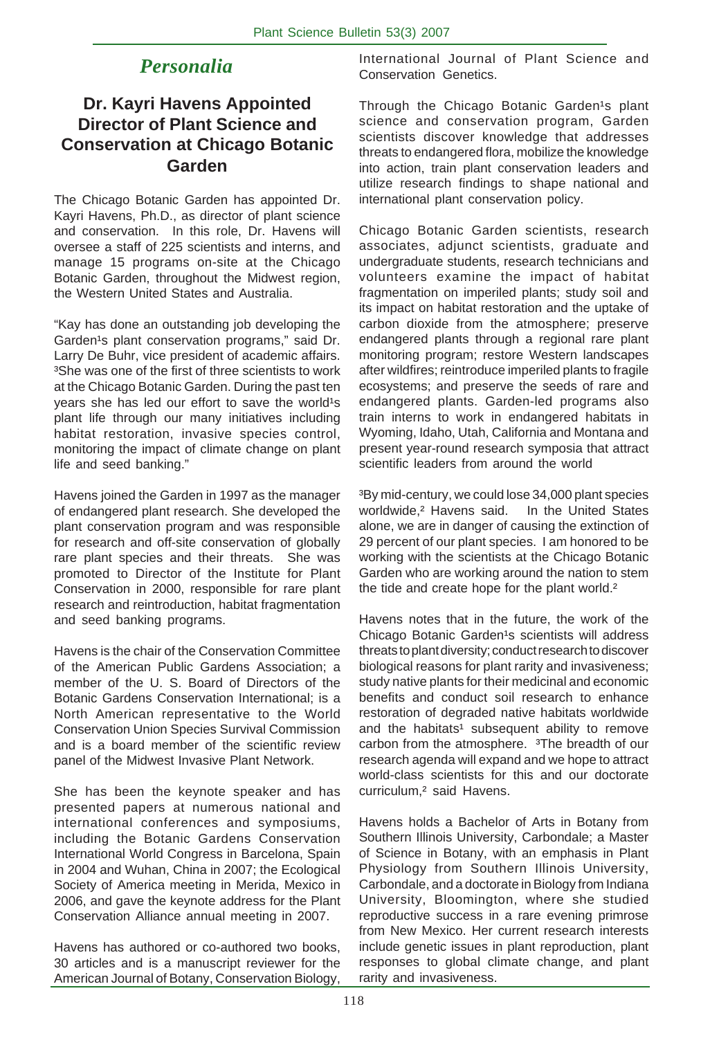# *Personalia*

# **Dr. Kayri Havens Appointed Director of Plant Science and Conservation at Chicago Botanic Garden**

The Chicago Botanic Garden has appointed Dr. Kayri Havens, Ph.D., as director of plant science and conservation. In this role, Dr. Havens will oversee a staff of 225 scientists and interns, and manage 15 programs on-site at the Chicago Botanic Garden, throughout the Midwest region, the Western United States and Australia.

"Kay has done an outstanding job developing the Garden<sup>1</sup>s plant conservation programs," said Dr. Larry De Buhr, vice president of academic affairs. <sup>3</sup>She was one of the first of three scientists to work at the Chicago Botanic Garden. During the past ten years she has led our effort to save the world<sup>1</sup>s plant life through our many initiatives including habitat restoration, invasive species control, monitoring the impact of climate change on plant life and seed banking."

Havens joined the Garden in 1997 as the manager of endangered plant research. She developed the plant conservation program and was responsible for research and off-site conservation of globally rare plant species and their threats. She was promoted to Director of the Institute for Plant Conservation in 2000, responsible for rare plant research and reintroduction, habitat fragmentation and seed banking programs.

Havens is the chair of the Conservation Committee of the American Public Gardens Association; a member of the U. S. Board of Directors of the Botanic Gardens Conservation International; is a North American representative to the World Conservation Union Species Survival Commission and is a board member of the scientific review panel of the Midwest Invasive Plant Network.

She has been the keynote speaker and has presented papers at numerous national and international conferences and symposiums, including the Botanic Gardens Conservation International World Congress in Barcelona, Spain in 2004 and Wuhan, China in 2007; the Ecological Society of America meeting in Merida, Mexico in 2006, and gave the keynote address for the Plant Conservation Alliance annual meeting in 2007.

Havens has authored or co-authored two books, 30 articles and is a manuscript reviewer for the American Journal of Botany, Conservation Biology, International Journal of Plant Science and Conservation Genetics.

Through the Chicago Botanic Garden<sup>1</sup>s plant science and conservation program, Garden scientists discover knowledge that addresses threats to endangered flora, mobilize the knowledge into action, train plant conservation leaders and utilize research findings to shape national and international plant conservation policy.

Chicago Botanic Garden scientists, research associates, adjunct scientists, graduate and undergraduate students, research technicians and volunteers examine the impact of habitat fragmentation on imperiled plants; study soil and its impact on habitat restoration and the uptake of carbon dioxide from the atmosphere; preserve endangered plants through a regional rare plant monitoring program; restore Western landscapes after wildfires; reintroduce imperiled plants to fragile ecosystems; and preserve the seeds of rare and endangered plants. Garden-led programs also train interns to work in endangered habitats in Wyoming, Idaho, Utah, California and Montana and present year-round research symposia that attract scientific leaders from around the world

<sup>3</sup>By mid-century, we could lose 34,000 plant species worldwide,² Havens said. In the United States alone, we are in danger of causing the extinction of 29 percent of our plant species. I am honored to be working with the scientists at the Chicago Botanic Garden who are working around the nation to stem the tide and create hope for the plant world.<sup>2</sup>

Havens notes that in the future, the work of the Chicago Botanic Garden<sup>1</sup>s scientists will address threats to plant diversity; conduct research to discover biological reasons for plant rarity and invasiveness; study native plants for their medicinal and economic benefits and conduct soil research to enhance restoration of degraded native habitats worldwide and the habitats<sup>1</sup> subsequent ability to remove carbon from the atmosphere. <sup>3</sup>The breadth of our research agenda will expand and we hope to attract world-class scientists for this and our doctorate curriculum,² said Havens.

Havens holds a Bachelor of Arts in Botany from Southern Illinois University, Carbondale; a Master of Science in Botany, with an emphasis in Plant Physiology from Southern Illinois University, Carbondale, and a doctorate in Biology from Indiana University, Bloomington, where she studied reproductive success in a rare evening primrose from New Mexico. Her current research interests include genetic issues in plant reproduction, plant responses to global climate change, and plant rarity and invasiveness.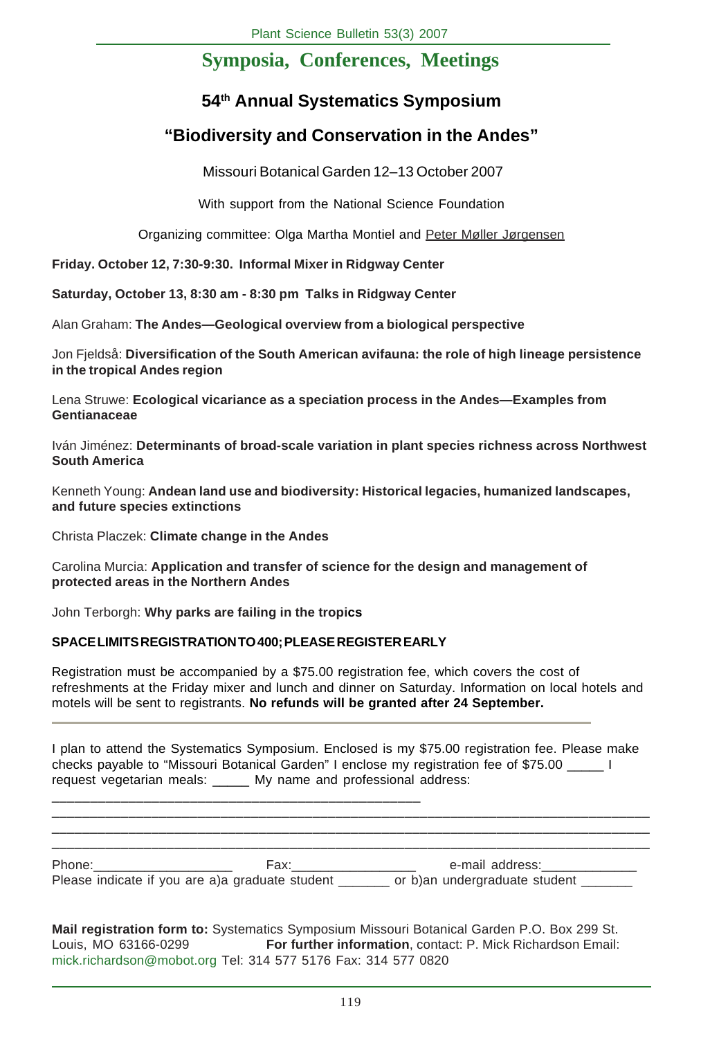# **Symposia, Conferences, Meetings**

# **54th Annual Systematics Symposium**

# **"Biodiversity and Conservation in the Andes"**

Missouri Botanical Garden 12–13 October 2007

With support from the National Science Foundation

Organizing committee: Olga Martha Montiel and Peter Møller Jørgensen

**Friday. October 12, 7:30-9:30. Informal Mixer in Ridgway Center**

**Saturday, October 13, 8:30 am - 8:30 pm Talks in Ridgway Center**

Alan Graham: **The Andes—Geological overview from a biological perspective**

Jon Fjeldså: **Diversification of the South American avifauna: the role of high lineage persistence in the tropical Andes region**

Lena Struwe: **Ecological vicariance as a speciation process in the Andes—Examples from Gentianaceae**

Iván Jiménez: **Determinants of broad-scale variation in plant species richness across Northwest South America**

Kenneth Young: **Andean land use and biodiversity: Historical legacies, humanized landscapes, and future species extinctions**

Christa Placzek: **Climate change in the Andes**

Carolina Murcia: **Application and transfer of science for the design and management of protected areas in the Northern Andes**

John Terborgh: **Why parks are failing in the tropics**

# **SPACE LIMITS REGISTRATION TO 400; PLEASE REGISTER EARLY**

\_\_\_\_\_\_\_\_\_\_\_\_\_\_\_\_\_\_\_\_\_\_\_\_\_\_\_\_\_\_\_\_\_\_\_\_\_\_\_\_\_\_\_\_\_\_\_\_

Registration must be accompanied by a \$75.00 registration fee, which covers the cost of refreshments at the Friday mixer and lunch and dinner on Saturday. Information on local hotels and motels will be sent to registrants. **No refunds will be granted after 24 September.**

I plan to attend the Systematics Symposium. Enclosed is my \$75.00 registration fee. Please make checks payable to "Missouri Botanical Garden" I enclose my registration fee of \$75.00 \_\_\_\_\_ I request vegetarian meals: My name and professional address:

| Phone:                                           | Fax: | e-mail address:               |
|--------------------------------------------------|------|-------------------------------|
| Please indicate if you are a) a graduate student |      | or b)an undergraduate student |

\_\_\_\_\_\_\_\_\_\_\_\_\_\_\_\_\_\_\_\_\_\_\_\_\_\_\_\_\_\_\_\_\_\_\_\_\_\_\_\_\_\_\_\_\_\_\_\_\_\_\_\_\_\_\_\_\_\_\_\_\_\_\_\_\_\_\_\_\_\_\_\_\_\_\_\_\_\_ \_\_\_\_\_\_\_\_\_\_\_\_\_\_\_\_\_\_\_\_\_\_\_\_\_\_\_\_\_\_\_\_\_\_\_\_\_\_\_\_\_\_\_\_\_\_\_\_\_\_\_\_\_\_\_\_\_\_\_\_\_\_\_\_\_\_\_\_\_\_\_\_\_\_\_\_\_\_

**Mail registration form to:** Systematics Symposium Missouri Botanical Garden P.O. Box 299 St. Louis, MO 63166-0299 **For further information**, contact: P. Mick Richardson Email: mick.richardson@mobot.org Tel: 314 577 5176 Fax: 314 577 0820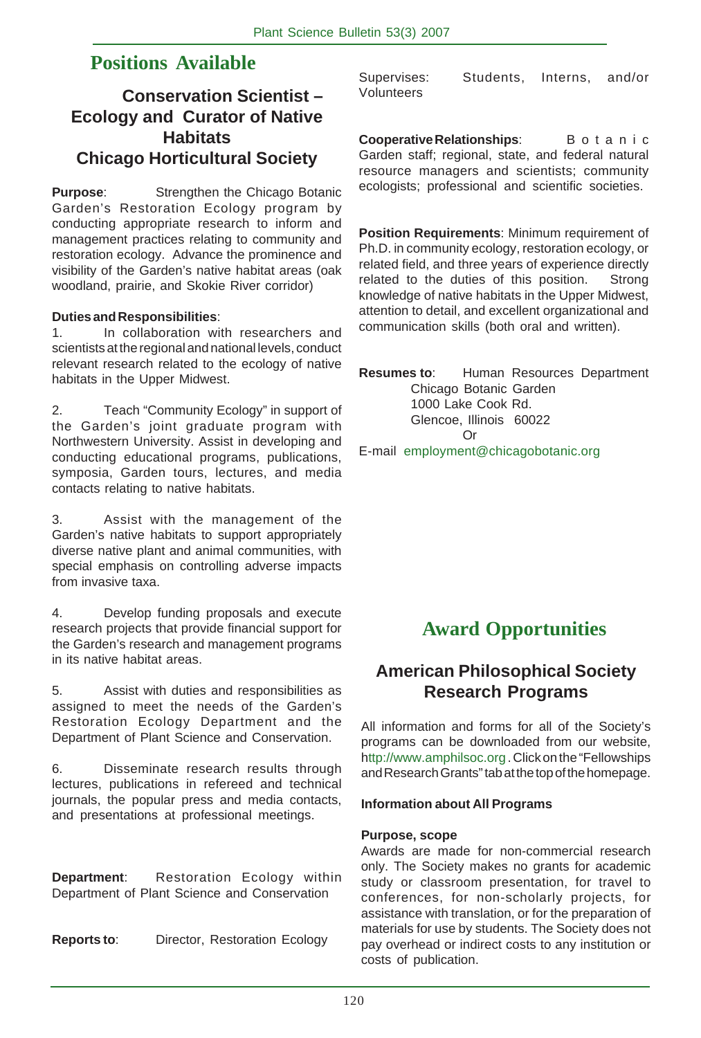# **Positions Available**

# **Conservation Scientist – Ecology and Curator of Native Habitats Chicago Horticultural Society**

**Purpose**: Strengthen the Chicago Botanic Garden's Restoration Ecology program by conducting appropriate research to inform and management practices relating to community and restoration ecology. Advance the prominence and visibility of the Garden's native habitat areas (oak woodland, prairie, and Skokie River corridor)

# **Duties and Responsibilities**:

1. In collaboration with researchers and scientists at the regional and national levels, conduct relevant research related to the ecology of native habitats in the Upper Midwest.

2. Teach "Community Ecology" in support of the Garden's joint graduate program with Northwestern University. Assist in developing and conducting educational programs, publications, symposia, Garden tours, lectures, and media contacts relating to native habitats.

3. Assist with the management of the Garden's native habitats to support appropriately diverse native plant and animal communities, with special emphasis on controlling adverse impacts from invasive taxa.

4. Develop funding proposals and execute research projects that provide financial support for the Garden's research and management programs in its native habitat areas.

5. Assist with duties and responsibilities as assigned to meet the needs of the Garden's Restoration Ecology Department and the Department of Plant Science and Conservation.

6. Disseminate research results through lectures, publications in refereed and technical journals, the popular press and media contacts, and presentations at professional meetings.

**Department:** Restoration Ecology within Department of Plant Science and Conservation

**Reports to**: Director, Restoration Ecology

Supervises: Students, Interns, and/or Volunteers

**Cooperative Relationships:** Botanic Garden staff; regional, state, and federal natural resource managers and scientists; community ecologists; professional and scientific societies.

**Position Requirements**: Minimum requirement of Ph.D. in community ecology, restoration ecology, or related field, and three years of experience directly related to the duties of this position. Strong knowledge of native habitats in the Upper Midwest, attention to detail, and excellent organizational and communication skills (both oral and written).

**Resumes to**: Human Resources Department Chicago Botanic Garden 1000 Lake Cook Rd. Glencoe, Illinois 60022 Or E-mail employment@chicagobotanic.org

# **Award Opportunities**

# **American Philosophical Society Research Programs**

All information and forms for all of the Society's programs can be downloaded from our website, http://www.amphilsoc.org . Click on the "Fellowships and Research Grants" tab at the top of the homepage.

# **Information about All Programs**

# **Purpose, scope**

Awards are made for non-commercial research only. The Society makes no grants for academic study or classroom presentation, for travel to conferences, for non-scholarly projects, for assistance with translation, or for the preparation of materials for use by students. The Society does not pay overhead or indirect costs to any institution or costs of publication.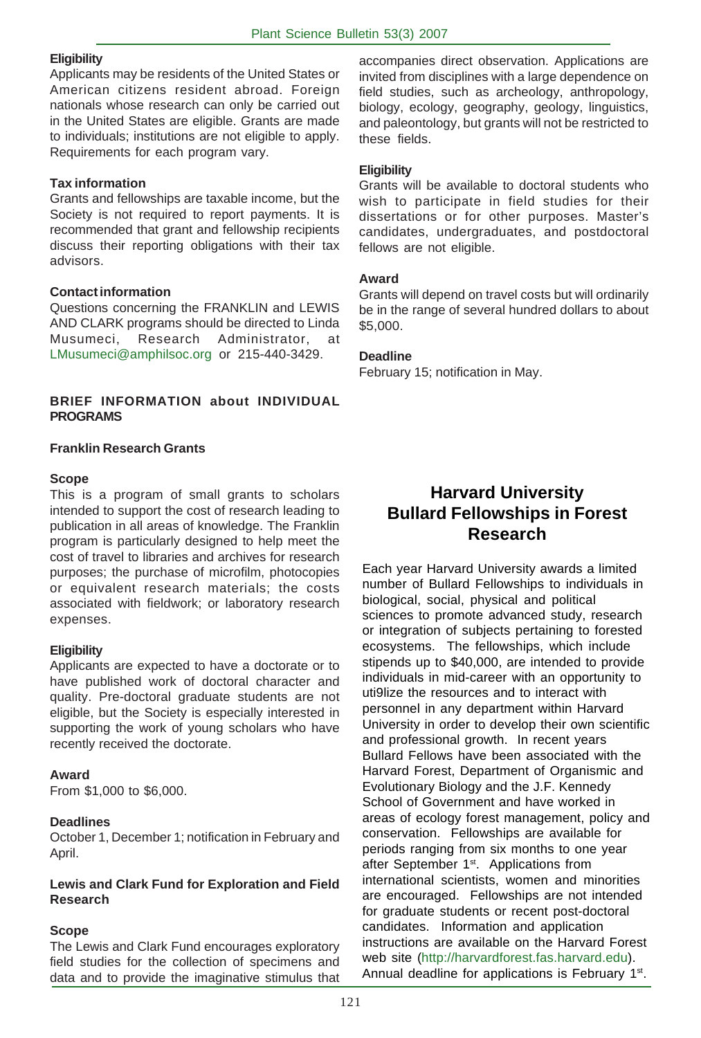# **Eligibility**

Applicants may be residents of the United States or American citizens resident abroad. Foreign nationals whose research can only be carried out in the United States are eligible. Grants are made to individuals; institutions are not eligible to apply. Requirements for each program vary.

# **Tax information**

Grants and fellowships are taxable income, but the Society is not required to report payments. It is recommended that grant and fellowship recipients discuss their reporting obligations with their tax advisors.

# **Contact information**

Questions concerning the FRANKLIN and LEWIS AND CLARK programs should be directed to Linda Musumeci, Research Administrator, LMusumeci@amphilsoc.org or 215-440-3429.

# **BRIEF INFORMATION about INDIVIDUAL PROGRAMS**

# **Franklin Research Grants**

# **Scope**

This is a program of small grants to scholars intended to support the cost of research leading to publication in all areas of knowledge. The Franklin program is particularly designed to help meet the cost of travel to libraries and archives for research purposes; the purchase of microfilm, photocopies or equivalent research materials; the costs associated with fieldwork; or laboratory research expenses.

# **Eligibility**

Applicants are expected to have a doctorate or to have published work of doctoral character and quality. Pre-doctoral graduate students are not eligible, but the Society is especially interested in supporting the work of young scholars who have recently received the doctorate.

# **Award**

From \$1,000 to \$6,000.

# **Deadlines**

October 1, December 1; notification in February and April.

# **Lewis and Clark Fund for Exploration and Field Research**

# **Scope**

The Lewis and Clark Fund encourages exploratory field studies for the collection of specimens and data and to provide the imaginative stimulus that

accompanies direct observation. Applications are invited from disciplines with a large dependence on field studies, such as archeology, anthropology, biology, ecology, geography, geology, linguistics, and paleontology, but grants will not be restricted to these fields.

# **Eligibility**

Grants will be available to doctoral students who wish to participate in field studies for their dissertations or for other purposes. Master's candidates, undergraduates, and postdoctoral fellows are not eligible.

# **Award**

Grants will depend on travel costs but will ordinarily be in the range of several hundred dollars to about \$5,000.

# **Deadline**

February 15; notification in May.

# **Harvard University Bullard Fellowships in Forest Research**

Each year Harvard University awards a limited number of Bullard Fellowships to individuals in biological, social, physical and political sciences to promote advanced study, research or integration of subjects pertaining to forested ecosystems. The fellowships, which include stipends up to \$40,000, are intended to provide individuals in mid-career with an opportunity to uti9lize the resources and to interact with personnel in any department within Harvard University in order to develop their own scientific and professional growth. In recent years Bullard Fellows have been associated with the Harvard Forest, Department of Organismic and Evolutionary Biology and the J.F. Kennedy School of Government and have worked in areas of ecology forest management, policy and conservation. Fellowships are available for periods ranging from six months to one year after September 1<sup>st</sup>. Applications from international scientists, women and minorities are encouraged. Fellowships are not intended for graduate students or recent post-doctoral candidates. Information and application instructions are available on the Harvard Forest web site (http://harvardforest.fas.harvard.edu). Annual deadline for applications is February 1st.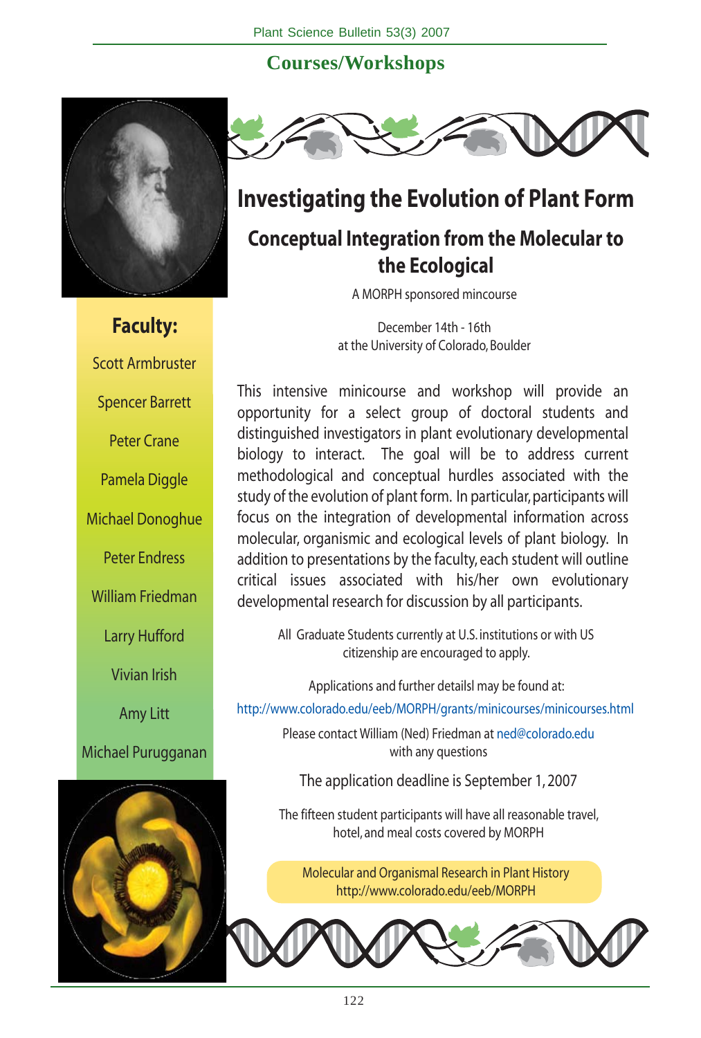# **Courses/Workshops**



**Faculty:** Scott Armbruster Spencer Barrett Peter Crane Pamela Diggle Michael Donoghue Peter Endress William Friedman Larry Hufford Vivian Irish Amy Litt Michael Purugganan





# **Investigating the Evolution of Plant Form**

# **Conceptual Integration from the Molecular to the Ecological**

A MORPH sponsored mincourse

December 14th - 16th at the University of Colorado, Boulder

This intensive minicourse and workshop will provide an opportunity for a select group of doctoral students and distinguished investigators in plant evolutionary developmental biology to interact. The goal will be to address current methodological and conceptual hurdles associated with the study of the evolution of plant form. In particular, participants will focus on the integration of developmental information across molecular, organismic and ecological levels of plant biology. In addition to presentations by the faculty, each student will outline critical issues associated with his/her own evolutionary developmental research for discussion by all participants.

All Graduate Students currently at U.S. institutions or with US citizenship are encouraged to apply.

Applications and further detailsl may be found at:

http://www.colorado.edu/eeb/MORPH/grants/minicourses/minicourses.html

Please contact William (Ned) Friedman at ned@colorado.edu with any questions

The application deadline is September 1, 2007

The fifteen student participants will have all reasonable travel, hotel, and meal costs covered by MORPH

Molecular and Organismal Research in Plant History http://www.colorado.edu/eeb/MORPH

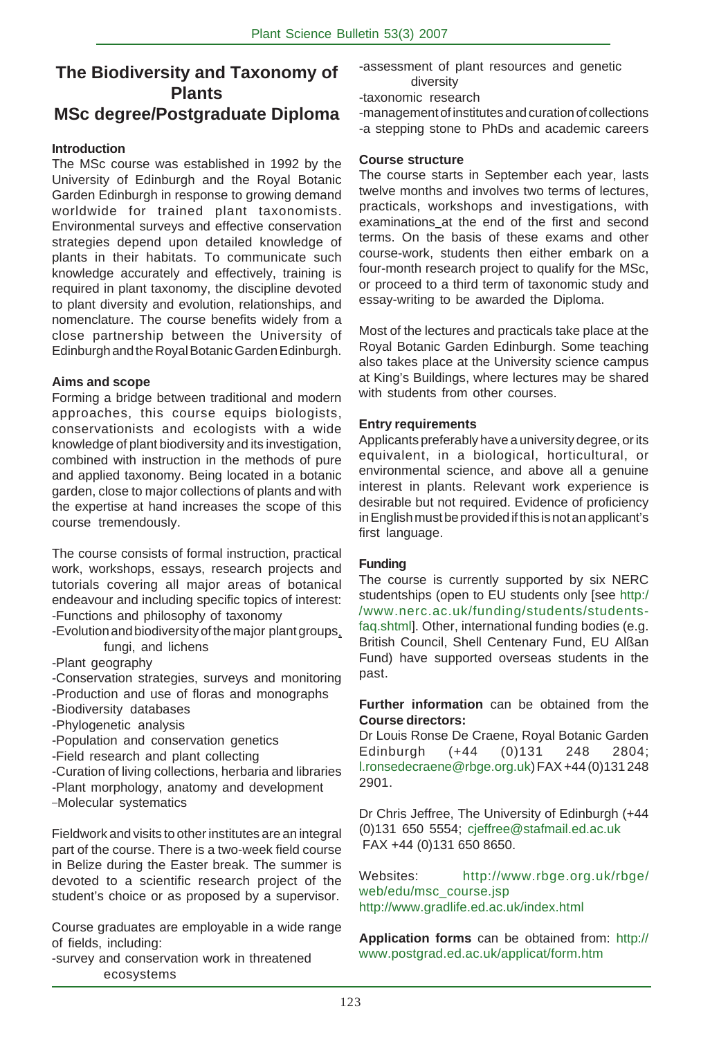# **The Biodiversity and Taxonomy of Plants MSc degree/Postgraduate Diploma**

# **Introduction**

The MSc course was established in 1992 by the University of Edinburgh and the Royal Botanic Garden Edinburgh in response to growing demand worldwide for trained plant taxonomists. Environmental surveys and effective conservation strategies depend upon detailed knowledge of plants in their habitats. To communicate such knowledge accurately and effectively, training is required in plant taxonomy, the discipline devoted to plant diversity and evolution, relationships, and nomenclature. The course benefits widely from a close partnership between the University of Edinburgh and the Royal Botanic Garden Edinburgh.

### **Aims and scope**

Forming a bridge between traditional and modern approaches, this course equips biologists, conservationists and ecologists with a wide knowledge of plant biodiversity and its investigation, combined with instruction in the methods of pure and applied taxonomy. Being located in a botanic garden, close to major collections of plants and with the expertise at hand increases the scope of this course tremendously.

The course consists of formal instruction, practical work, workshops, essays, research projects and tutorials covering all major areas of botanical endeavour and including specific topics of interest: -Functions and philosophy of taxonomy

- -Evolution and biodiversity of the major plant groups, fungi, and lichens
- -Plant geography
- -Conservation strategies, surveys and monitoring
- -Production and use of floras and monographs
- -Biodiversity databases
- -Phylogenetic analysis
- -Population and conservation genetics
- -Field research and plant collecting
- -Curation of living collections, herbaria and libraries -Plant morphology, anatomy and development
- 
- Molecular systematics

Fieldwork and visits to other institutes are an integral part of the course. There is a two-week field course in Belize during the Easter break. The summer is devoted to a scientific research project of the student's choice or as proposed by a supervisor.

Course graduates are employable in a wide range of fields, including:

-survey and conservation work in threatened ecosystems

-assessment of plant resources and genetic diversity

-taxonomic research

-management of institutes and curation of collections -a stepping stone to PhDs and academic careers

# **Course structure**

The course starts in September each year, lasts twelve months and involves two terms of lectures, practicals, workshops and investigations, with examinations at the end of the first and second terms. On the basis of these exams and other course-work, students then either embark on a four-month research project to qualify for the MSc, or proceed to a third term of taxonomic study and essay-writing to be awarded the Diploma.

Most of the lectures and practicals take place at the Royal Botanic Garden Edinburgh. Some teaching also takes place at the University science campus at King's Buildings, where lectures may be shared with students from other courses.

# **Entry requirements**

Applicants preferably have a university degree, or its equivalent, in a biological, horticultural, or environmental science, and above all a genuine interest in plants. Relevant work experience is desirable but not required. Evidence of proficiency in English must be provided if this is not an applicant's first language.

# **Funding**

The course is currently supported by six NERC studentships (open to EU students only [see http:/ /www.nerc.ac.uk/funding/students/studentsfaq.shtml]. Other, international funding bodies (e.g. British Council, Shell Centenary Fund, EU Alßan Fund) have supported overseas students in the past.

**Further information** can be obtained from the **Course directors:**

Dr Louis Ronse De Craene, Royal Botanic Garden Edinburgh (+44 (0)131 248 2804; l.ronsedecraene@rbge.org.uk) FAX +44 (0)131 248 2901.

Dr Chris Jeffree, The University of Edinburgh (+44 (0)131 650 5554; cjeffree@stafmail.ed.ac.uk FAX +44 (0)131 650 8650.

Websites: http://www.rbge.org.uk/rbge/ web/edu/msc\_course.jsp http://www.gradlife.ed.ac.uk/index.html

**Application forms** can be obtained from: http:// www.postgrad.ed.ac.uk/applicat/form.htm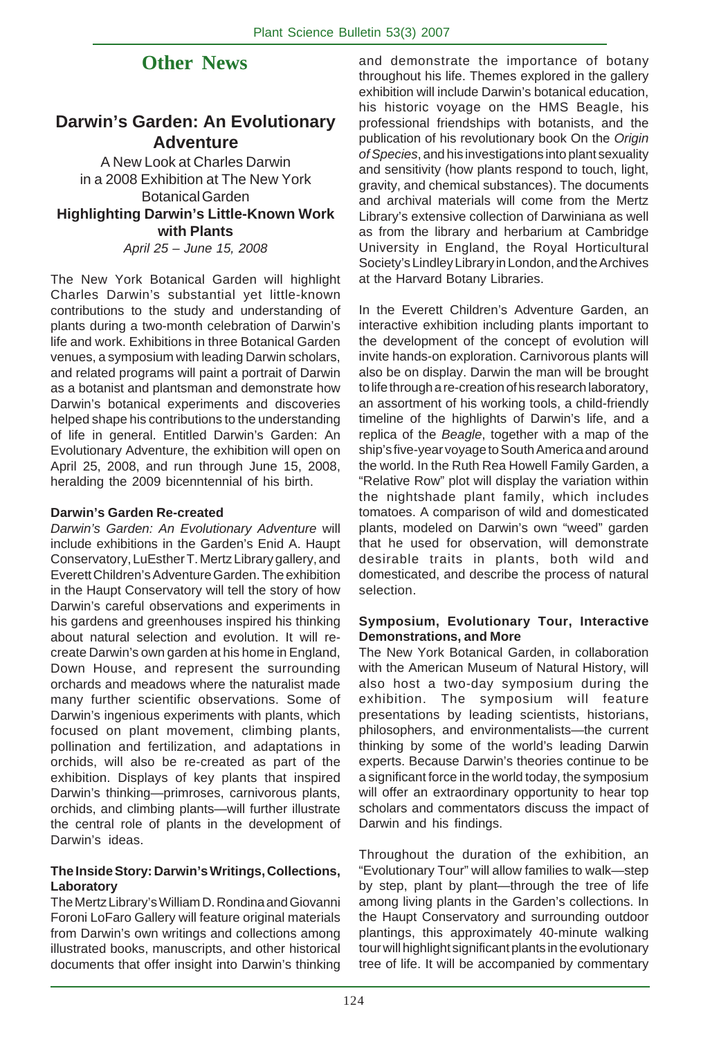# **Other News**

# **Darwin's Garden: An Evolutionary Adventure**

A New Look at Charles Darwin in a 2008 Exhibition at The New York Botanical Garden **Highlighting Darwin's Little-Known Work with Plants** *April 25 – June 15, 2008*

The New York Botanical Garden will highlight Charles Darwin's substantial yet little-known contributions to the study and understanding of plants during a two-month celebration of Darwin's life and work. Exhibitions in three Botanical Garden venues, a symposium with leading Darwin scholars, and related programs will paint a portrait of Darwin as a botanist and plantsman and demonstrate how Darwin's botanical experiments and discoveries helped shape his contributions to the understanding of life in general. Entitled Darwin's Garden: An Evolutionary Adventure, the exhibition will open on April 25, 2008, and run through June 15, 2008, heralding the 2009 bicenntennial of his birth.

### **Darwin's Garden Re-created**

*Darwin's Garden: An Evolutionary Adventure* will include exhibitions in the Garden's Enid A. Haupt Conservatory, LuEsther T. Mertz Library gallery, and Everett Children's Adventure Garden. The exhibition in the Haupt Conservatory will tell the story of how Darwin's careful observations and experiments in his gardens and greenhouses inspired his thinking about natural selection and evolution. It will recreate Darwin's own garden at his home in England, Down House, and represent the surrounding orchards and meadows where the naturalist made many further scientific observations. Some of Darwin's ingenious experiments with plants, which focused on plant movement, climbing plants, pollination and fertilization, and adaptations in orchids, will also be re-created as part of the exhibition. Displays of key plants that inspired Darwin's thinking—primroses, carnivorous plants, orchids, and climbing plants—will further illustrate the central role of plants in the development of Darwin's ideas.

### **The Inside Story: Darwin's Writings, Collections, Laboratory**

The Mertz Library's William D. Rondina and Giovanni Foroni LoFaro Gallery will feature original materials from Darwin's own writings and collections among illustrated books, manuscripts, and other historical documents that offer insight into Darwin's thinking

and demonstrate the importance of botany throughout his life. Themes explored in the gallery exhibition will include Darwin's botanical education, his historic voyage on the HMS Beagle, his professional friendships with botanists, and the publication of his revolutionary book On the *Origin of Species*, and his investigations into plant sexuality and sensitivity (how plants respond to touch, light, gravity, and chemical substances). The documents and archival materials will come from the Mertz Library's extensive collection of Darwiniana as well as from the library and herbarium at Cambridge University in England, the Royal Horticultural Society's Lindley Library in London, and the Archives at the Harvard Botany Libraries.

In the Everett Children's Adventure Garden, an interactive exhibition including plants important to the development of the concept of evolution will invite hands-on exploration. Carnivorous plants will also be on display. Darwin the man will be brought to life through a re-creation of his research laboratory, an assortment of his working tools, a child-friendly timeline of the highlights of Darwin's life, and a replica of the *Beagle*, together with a map of the ship's five-year voyage to South America and around the world. In the Ruth Rea Howell Family Garden, a "Relative Row" plot will display the variation within the nightshade plant family, which includes tomatoes. A comparison of wild and domesticated plants, modeled on Darwin's own "weed" garden that he used for observation, will demonstrate desirable traits in plants, both wild and domesticated, and describe the process of natural selection.

# **Symposium, Evolutionary Tour, Interactive Demonstrations, and More**

The New York Botanical Garden, in collaboration with the American Museum of Natural History, will also host a two-day symposium during the exhibition. The symposium will feature presentations by leading scientists, historians, philosophers, and environmentalists—the current thinking by some of the world's leading Darwin experts. Because Darwin's theories continue to be a significant force in the world today, the symposium will offer an extraordinary opportunity to hear top scholars and commentators discuss the impact of Darwin and his findings.

Throughout the duration of the exhibition, an "Evolutionary Tour" will allow families to walk—step by step, plant by plant—through the tree of life among living plants in the Garden's collections. In the Haupt Conservatory and surrounding outdoor plantings, this approximately 40-minute walking tour will highlight significant plants in the evolutionary tree of life. It will be accompanied by commentary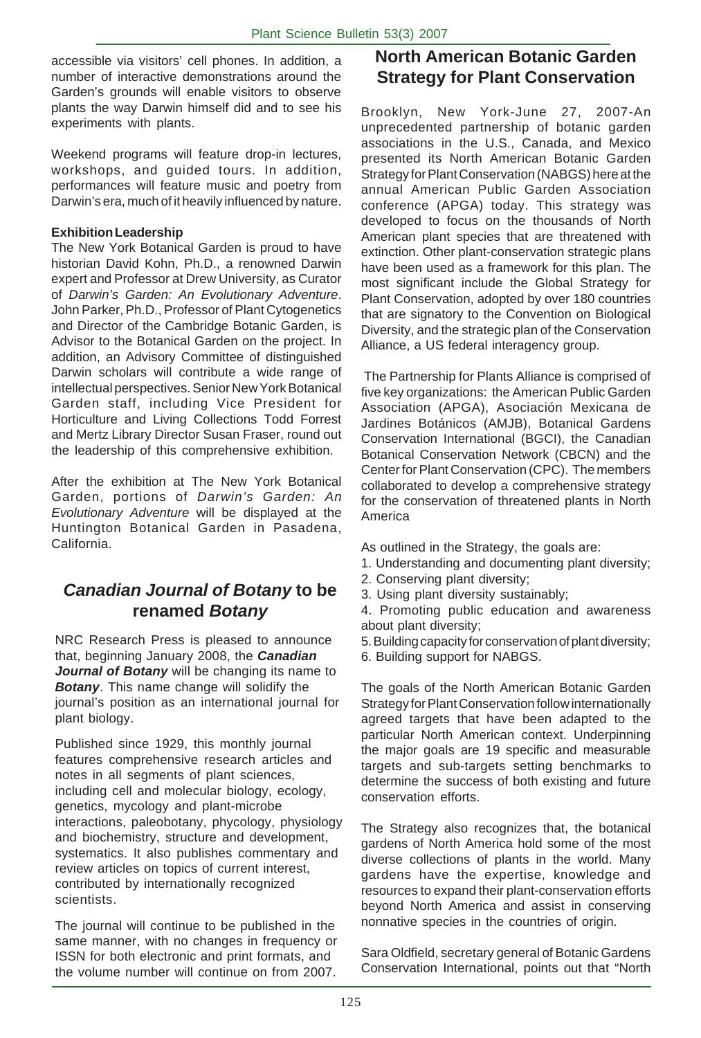accessible via visitors' cell phones. In addition, a number of interactive demonstrations around the Garden's grounds will enable visitors to observe plants the way Darwin himself did and to see his experiments with plants.

Weekend programs will feature drop-in lectures, workshops, and guided tours. In addition, performances will feature music and poetry from Darwin's era, much of it heavily influenced by nature.

# **Exhibition Leadership**

The New York Botanical Garden is proud to have historian David Kohn, Ph.D., a renowned Darwin expert and Professor at Drew University, as Curator of *Darwin's Garden: An Evolutionary Adventure*. John Parker, Ph.D., Professor of Plant Cytogenetics and Director of the Cambridge Botanic Garden, is Advisor to the Botanical Garden on the project. In addition, an Advisory Committee of distinguished Darwin scholars will contribute a wide range of intellectual perspectives. Senior New York Botanical Garden staff, including Vice President for Horticulture and Living Collections Todd Forrest and Mertz Library Director Susan Fraser, round out the leadership of this comprehensive exhibition.

After the exhibition at The New York Botanical Garden, portions of *Darwin's Garden: An Evolutionary Adventure* will be displayed at the Huntington Botanical Garden in Pasadena, California.

# *Canadian Journal of Botany* **to be renamed** *Botany*

NRC Research Press is pleased to announce that, beginning January 2008, the *Canadian* **Journal of Botany** will be changing its name to *Botany*. This name change will solidify the journal's position as an international journal for plant biology.

Published since 1929, this monthly journal features comprehensive research articles and notes in all segments of plant sciences, including cell and molecular biology, ecology, genetics, mycology and plant-microbe interactions, paleobotany, phycology, physiology and biochemistry, structure and development, systematics. It also publishes commentary and review articles on topics of current interest, contributed by internationally recognized scientists.

The journal will continue to be published in the same manner, with no changes in frequency or ISSN for both electronic and print formats, and the volume number will continue on from 2007.

# **North American Botanic Garden Strategy for Plant Conservation**

Brooklyn, New York-June 27, 2007-An unprecedented partnership of botanic garden associations in the U.S., Canada, and Mexico presented its North American Botanic Garden Strategy for Plant Conservation (NABGS) here at the annual American Public Garden Association conference (APGA) today. This strategy was developed to focus on the thousands of North American plant species that are threatened with extinction. Other plant-conservation strategic plans have been used as a framework for this plan. The most significant include the Global Strategy for Plant Conservation, adopted by over 180 countries that are signatory to the Convention on Biological Diversity, and the strategic plan of the Conservation Alliance, a US federal interagency group.

 The Partnership for Plants Alliance is comprised of five key organizations: the American Public Garden Association (APGA), Asociación Mexicana de Jardines Botánicos (AMJB), Botanical Gardens Conservation International (BGCI), the Canadian Botanical Conservation Network (CBCN) and the Center for Plant Conservation (CPC). The members collaborated to develop a comprehensive strategy for the conservation of threatened plants in North America

As outlined in the Strategy, the goals are:

- 1. Understanding and documenting plant diversity;
- 2. Conserving plant diversity;
- 3. Using plant diversity sustainably;
- 4. Promoting public education and awareness about plant diversity;
- 5. Building capacity for conservation of plant diversity; 6. Building support for NABGS.
- The goals of the North American Botanic Garden Strategy for Plant Conservation follow internationally agreed targets that have been adapted to the particular North American context. Underpinning the major goals are 19 specific and measurable targets and sub-targets setting benchmarks to

determine the success of both existing and future conservation efforts.

The Strategy also recognizes that, the botanical gardens of North America hold some of the most diverse collections of plants in the world. Many gardens have the expertise, knowledge and resources to expand their plant-conservation efforts beyond North America and assist in conserving nonnative species in the countries of origin.

Sara Oldfield, secretary general of Botanic Gardens Conservation International, points out that "North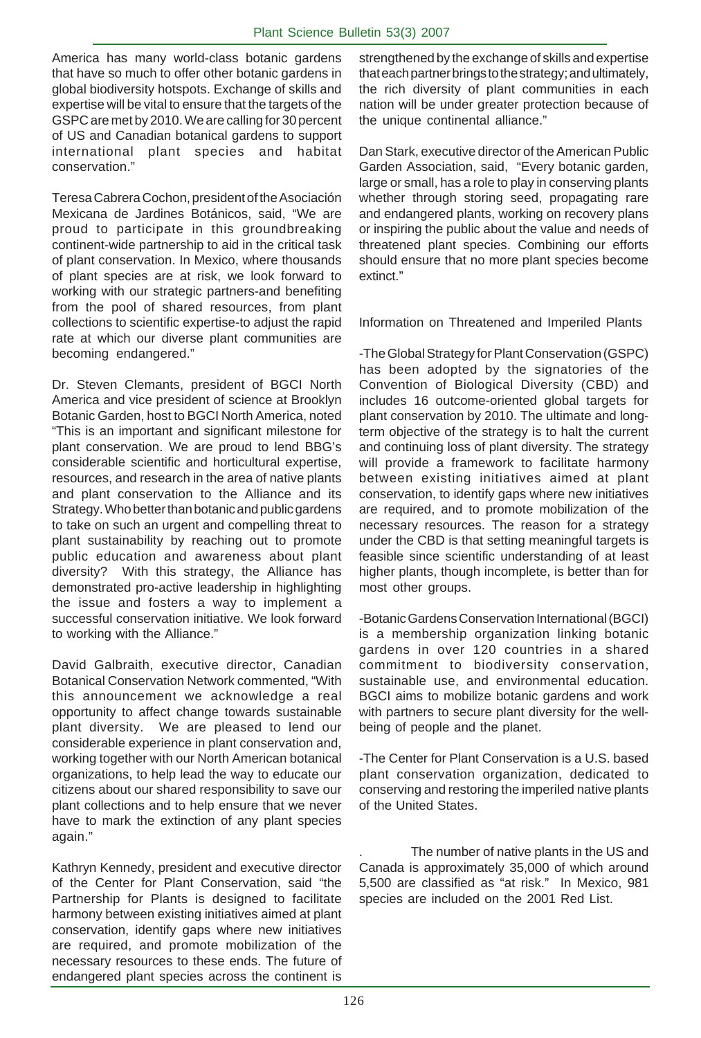America has many world-class botanic gardens that have so much to offer other botanic gardens in global biodiversity hotspots. Exchange of skills and expertise will be vital to ensure that the targets of the GSPC are met by 2010. We are calling for 30 percent of US and Canadian botanical gardens to support international plant species and habitat conservation."

Teresa Cabrera Cochon, president of the Asociación Mexicana de Jardines Botánicos, said, "We are proud to participate in this groundbreaking continent-wide partnership to aid in the critical task of plant conservation. In Mexico, where thousands of plant species are at risk, we look forward to working with our strategic partners-and benefiting from the pool of shared resources, from plant collections to scientific expertise-to adjust the rapid rate at which our diverse plant communities are becoming endangered."

Dr. Steven Clemants, president of BGCI North America and vice president of science at Brooklyn Botanic Garden, host to BGCI North America, noted "This is an important and significant milestone for plant conservation. We are proud to lend BBG's considerable scientific and horticultural expertise, resources, and research in the area of native plants and plant conservation to the Alliance and its Strategy. Who better than botanic and public gardens to take on such an urgent and compelling threat to plant sustainability by reaching out to promote public education and awareness about plant diversity? With this strategy, the Alliance has demonstrated pro-active leadership in highlighting the issue and fosters a way to implement a successful conservation initiative. We look forward to working with the Alliance."

David Galbraith, executive director, Canadian Botanical Conservation Network commented, "With this announcement we acknowledge a real opportunity to affect change towards sustainable plant diversity. We are pleased to lend our considerable experience in plant conservation and, working together with our North American botanical organizations, to help lead the way to educate our citizens about our shared responsibility to save our plant collections and to help ensure that we never have to mark the extinction of any plant species again."

Kathryn Kennedy, president and executive director of the Center for Plant Conservation, said "the Partnership for Plants is designed to facilitate harmony between existing initiatives aimed at plant conservation, identify gaps where new initiatives are required, and promote mobilization of the necessary resources to these ends. The future of endangered plant species across the continent is

strengthened by the exchange of skills and expertise that each partner brings to the strategy; and ultimately, the rich diversity of plant communities in each nation will be under greater protection because of the unique continental alliance."

Dan Stark, executive director of the American Public Garden Association, said, "Every botanic garden, large or small, has a role to play in conserving plants whether through storing seed, propagating rare and endangered plants, working on recovery plans or inspiring the public about the value and needs of threatened plant species. Combining our efforts should ensure that no more plant species become extinct."

Information on Threatened and Imperiled Plants

-The Global Strategy for Plant Conservation (GSPC) has been adopted by the signatories of the Convention of Biological Diversity (CBD) and includes 16 outcome-oriented global targets for plant conservation by 2010. The ultimate and longterm objective of the strategy is to halt the current and continuing loss of plant diversity. The strategy will provide a framework to facilitate harmony between existing initiatives aimed at plant conservation, to identify gaps where new initiatives are required, and to promote mobilization of the necessary resources. The reason for a strategy under the CBD is that setting meaningful targets is feasible since scientific understanding of at least higher plants, though incomplete, is better than for most other groups.

-Botanic Gardens Conservation International (BGCI) is a membership organization linking botanic gardens in over 120 countries in a shared commitment to biodiversity conservation, sustainable use, and environmental education. BGCI aims to mobilize botanic gardens and work with partners to secure plant diversity for the wellbeing of people and the planet.

-The Center for Plant Conservation is a U.S. based plant conservation organization, dedicated to conserving and restoring the imperiled native plants of the United States.

The number of native plants in the US and Canada is approximately 35,000 of which around 5,500 are classified as "at risk." In Mexico, 981 species are included on the 2001 Red List.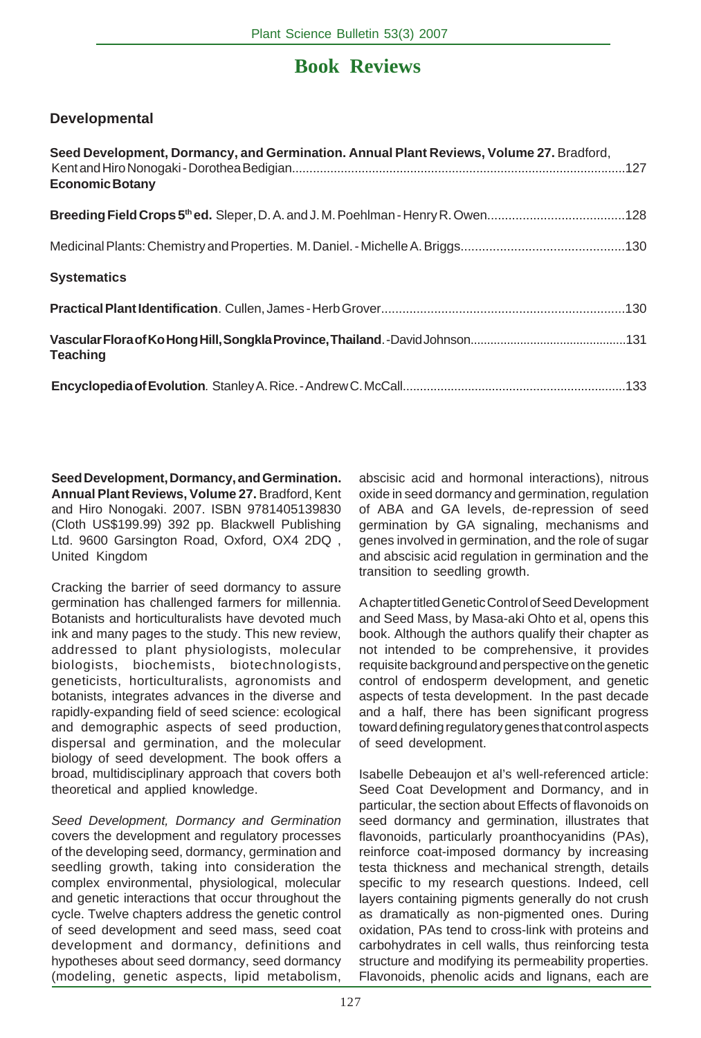# **Book Reviews**

# **Developmental**

| Seed Development, Dormancy, and Germination. Annual Plant Reviews, Volume 27. Bradford,<br><b>Economic Botany</b> |  |
|-------------------------------------------------------------------------------------------------------------------|--|
|                                                                                                                   |  |
|                                                                                                                   |  |
| <b>Systematics</b>                                                                                                |  |
|                                                                                                                   |  |
| <b>Teaching</b>                                                                                                   |  |
|                                                                                                                   |  |

**Seed Development, Dormancy, and Germination. Annual Plant Reviews, Volume 27.** Bradford, Kent and Hiro Nonogaki. 2007. ISBN 9781405139830 (Cloth US\$199.99) 392 pp. Blackwell Publishing Ltd. 9600 Garsington Road, Oxford, OX4 2DQ , United Kingdom

Cracking the barrier of seed dormancy to assure germination has challenged farmers for millennia. Botanists and horticulturalists have devoted much ink and many pages to the study. This new review, addressed to plant physiologists, molecular biologists, biochemists, biotechnologists, geneticists, horticulturalists, agronomists and botanists, integrates advances in the diverse and rapidly-expanding field of seed science: ecological and demographic aspects of seed production, dispersal and germination, and the molecular biology of seed development. The book offers a broad, multidisciplinary approach that covers both theoretical and applied knowledge.

*Seed Development, Dormancy and Germination* covers the development and regulatory processes of the developing seed, dormancy, germination and seedling growth, taking into consideration the complex environmental, physiological, molecular and genetic interactions that occur throughout the cycle. Twelve chapters address the genetic control of seed development and seed mass, seed coat development and dormancy, definitions and hypotheses about seed dormancy, seed dormancy (modeling, genetic aspects, lipid metabolism,

abscisic acid and hormonal interactions), nitrous oxide in seed dormancy and germination, regulation of ABA and GA levels, de-repression of seed germination by GA signaling, mechanisms and genes involved in germination, and the role of sugar and abscisic acid regulation in germination and the transition to seedling growth.

A chapter titled Genetic Control of Seed Development and Seed Mass, by Masa-aki Ohto et al, opens this book. Although the authors qualify their chapter as not intended to be comprehensive, it provides requisite background and perspective on the genetic control of endosperm development, and genetic aspects of testa development. In the past decade and a half, there has been significant progress toward defining regulatory genes that control aspects of seed development.

Isabelle Debeaujon et al's well-referenced article: Seed Coat Development and Dormancy, and in particular, the section about Effects of flavonoids on seed dormancy and germination, illustrates that flavonoids, particularly proanthocyanidins (PAs), reinforce coat-imposed dormancy by increasing testa thickness and mechanical strength, details specific to my research questions. Indeed, cell layers containing pigments generally do not crush as dramatically as non-pigmented ones. During oxidation, PAs tend to cross-link with proteins and carbohydrates in cell walls, thus reinforcing testa structure and modifying its permeability properties. Flavonoids, phenolic acids and lignans, each are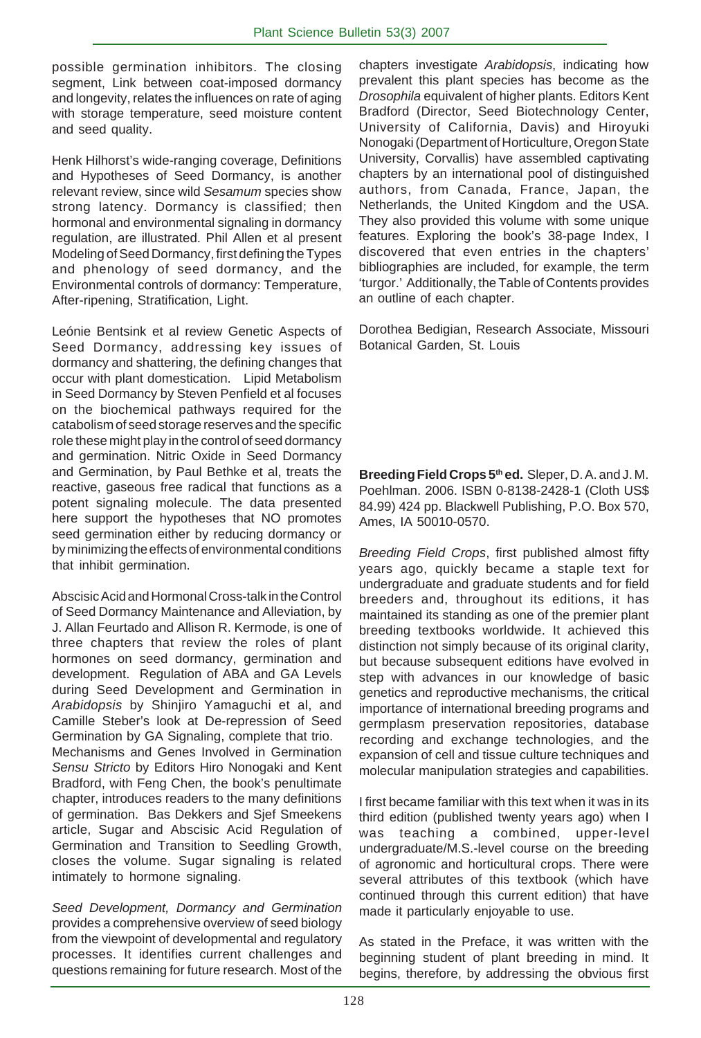possible germination inhibitors. The closing segment, Link between coat-imposed dormancy and longevity, relates the influences on rate of aging with storage temperature, seed moisture content and seed quality.

Henk Hilhorst's wide-ranging coverage, Definitions and Hypotheses of Seed Dormancy, is another relevant review, since wild *Sesamum* species show strong latency. Dormancy is classified; then hormonal and environmental signaling in dormancy regulation, are illustrated. Phil Allen et al present Modeling of Seed Dormancy, first defining the Types and phenology of seed dormancy, and the Environmental controls of dormancy: Temperature, After-ripening, Stratification, Light.

Leónie Bentsink et al review Genetic Aspects of Seed Dormancy, addressing key issues of dormancy and shattering, the defining changes that occur with plant domestication. Lipid Metabolism in Seed Dormancy by Steven Penfield et al focuses on the biochemical pathways required for the catabolism of seed storage reserves and the specific role these might play in the control of seed dormancy and germination. Nitric Oxide in Seed Dormancy and Germination, by Paul Bethke et al, treats the reactive, gaseous free radical that functions as a potent signaling molecule. The data presented here support the hypotheses that NO promotes seed germination either by reducing dormancy or by minimizing the effects of environmental conditions that inhibit germination.

Abscisic Acid and Hormonal Cross-talk in the Control of Seed Dormancy Maintenance and Alleviation, by J. Allan Feurtado and Allison R. Kermode, is one of three chapters that review the roles of plant hormones on seed dormancy, germination and development.Regulation of ABA and GA Levels during Seed Development and Germination in *Arabidopsis* by Shinjiro Yamaguchi et al, and Camille Steber's look at De-repression of Seed Germination by GA Signaling, complete that trio.

Mechanisms and Genes Involved in Germination *Sensu Stricto* by Editors Hiro Nonogaki and Kent Bradford, with Feng Chen, the book's penultimate chapter, introduces readers to the many definitions of germination. Bas Dekkers and Sjef Smeekens article, Sugar and Abscisic Acid Regulation of Germination and Transition to Seedling Growth, closes the volume. Sugar signaling is related intimately to hormone signaling.

*Seed Development, Dormancy and Germination* provides a comprehensive overview of seed biology from the viewpoint of developmental and regulatory processes. It identifies current challenges and questions remaining for future research. Most of the chapters investigate *Arabidopsis*, indicating how prevalent this plant species has become as the *Drosophila* equivalent of higher plants. Editors Kent Bradford (Director, Seed Biotechnology Center, University of California, Davis) and Hiroyuki Nonogaki (Department of Horticulture, Oregon State University, Corvallis) have assembled captivating chapters by an international pool of distinguished authors, from Canada, France, Japan, the Netherlands, the United Kingdom and the USA. They also provided this volume with some unique features. Exploring the book's 38-page Index, I discovered that even entries in the chapters' bibliographies are included, for example, the term 'turgor.' Additionally, the Table of Contents provides an outline of each chapter.

Dorothea Bedigian, Research Associate, Missouri Botanical Garden, St. Louis

**Breeding Field Crops 5th ed.** Sleper, D. A. and J. M. Poehlman. 2006. ISBN 0-8138-2428-1 (Cloth US\$ 84.99) 424 pp. Blackwell Publishing, P.O. Box 570, Ames, IA 50010-0570.

*Breeding Field Crops*, first published almost fifty years ago, quickly became a staple text for undergraduate and graduate students and for field breeders and, throughout its editions, it has maintained its standing as one of the premier plant breeding textbooks worldwide. It achieved this distinction not simply because of its original clarity, but because subsequent editions have evolved in step with advances in our knowledge of basic genetics and reproductive mechanisms, the critical importance of international breeding programs and germplasm preservation repositories, database recording and exchange technologies, and the expansion of cell and tissue culture techniques and molecular manipulation strategies and capabilities.

I first became familiar with this text when it was in its third edition (published twenty years ago) when I was teaching a combined, upper-level undergraduate/M.S.-level course on the breeding of agronomic and horticultural crops. There were several attributes of this textbook (which have continued through this current edition) that have made it particularly enjoyable to use.

As stated in the Preface, it was written with the beginning student of plant breeding in mind. It begins, therefore, by addressing the obvious first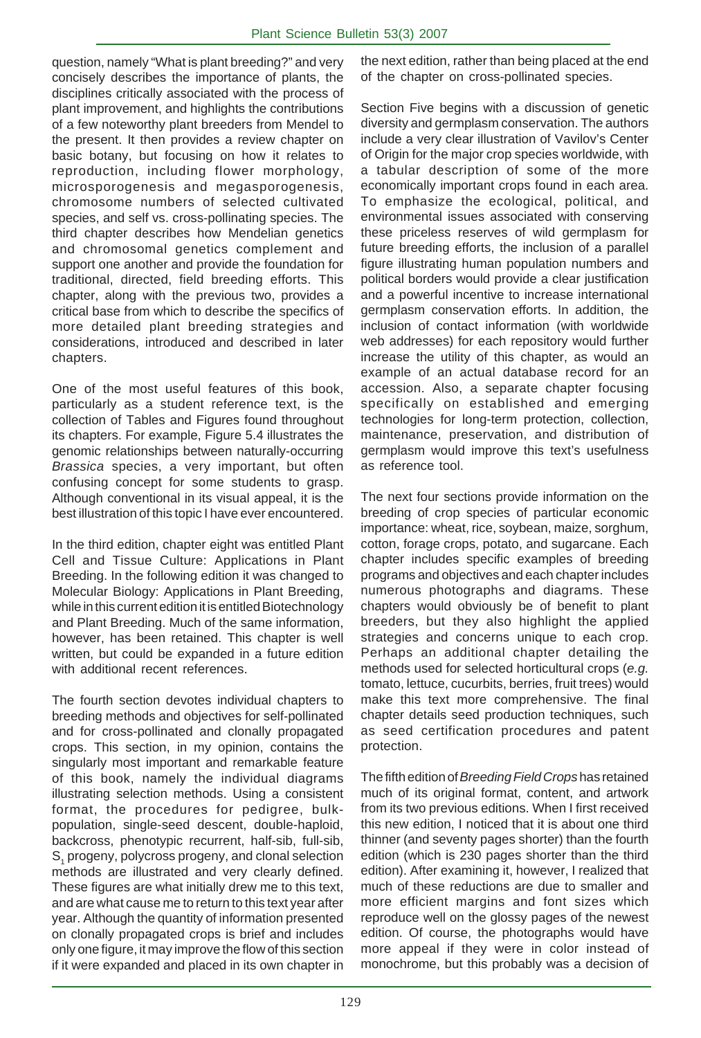question, namely "What is plant breeding?" and very concisely describes the importance of plants, the disciplines critically associated with the process of plant improvement, and highlights the contributions of a few noteworthy plant breeders from Mendel to the present. It then provides a review chapter on basic botany, but focusing on how it relates to reproduction, including flower morphology, microsporogenesis and megasporogenesis, chromosome numbers of selected cultivated species, and self vs. cross-pollinating species. The third chapter describes how Mendelian genetics and chromosomal genetics complement and support one another and provide the foundation for traditional, directed, field breeding efforts. This chapter, along with the previous two, provides a critical base from which to describe the specifics of more detailed plant breeding strategies and considerations, introduced and described in later chapters.

One of the most useful features of this book, particularly as a student reference text, is the collection of Tables and Figures found throughout its chapters. For example, Figure 5.4 illustrates the genomic relationships between naturally-occurring *Brassica* species, a very important, but often confusing concept for some students to grasp. Although conventional in its visual appeal, it is the best illustration of this topic I have ever encountered.

In the third edition, chapter eight was entitled Plant Cell and Tissue Culture: Applications in Plant Breeding. In the following edition it was changed to Molecular Biology: Applications in Plant Breeding, while in this current edition it is entitled Biotechnology and Plant Breeding. Much of the same information, however, has been retained. This chapter is well written, but could be expanded in a future edition with additional recent references.

The fourth section devotes individual chapters to breeding methods and objectives for self-pollinated and for cross-pollinated and clonally propagated crops. This section, in my opinion, contains the singularly most important and remarkable feature of this book, namely the individual diagrams illustrating selection methods. Using a consistent format, the procedures for pedigree, bulkpopulation, single-seed descent, double-haploid, backcross, phenotypic recurrent, half-sib, full-sib,  $\mathsf{S}_{_{1}}$  progeny, polycross progeny, and clonal selection methods are illustrated and very clearly defined. These figures are what initially drew me to this text, and are what cause me to return to this text year after year. Although the quantity of information presented on clonally propagated crops is brief and includes only one figure, it may improve the flow of this section if it were expanded and placed in its own chapter in

the next edition, rather than being placed at the end of the chapter on cross-pollinated species.

Section Five begins with a discussion of genetic diversity and germplasm conservation. The authors include a very clear illustration of Vavilov's Center of Origin for the major crop species worldwide, with a tabular description of some of the more economically important crops found in each area. To emphasize the ecological, political, and environmental issues associated with conserving these priceless reserves of wild germplasm for future breeding efforts, the inclusion of a parallel figure illustrating human population numbers and political borders would provide a clear justification and a powerful incentive to increase international germplasm conservation efforts. In addition, the inclusion of contact information (with worldwide web addresses) for each repository would further increase the utility of this chapter, as would an example of an actual database record for an accession. Also, a separate chapter focusing specifically on established and emerging technologies for long-term protection, collection, maintenance, preservation, and distribution of germplasm would improve this text's usefulness as reference tool.

The next four sections provide information on the breeding of crop species of particular economic importance: wheat, rice, soybean, maize, sorghum, cotton, forage crops, potato, and sugarcane. Each chapter includes specific examples of breeding programs and objectives and each chapter includes numerous photographs and diagrams. These chapters would obviously be of benefit to plant breeders, but they also highlight the applied strategies and concerns unique to each crop. Perhaps an additional chapter detailing the methods used for selected horticultural crops (*e.g.* tomato, lettuce, cucurbits, berries, fruit trees) would make this text more comprehensive. The final chapter details seed production techniques, such as seed certification procedures and patent protection.

The fifth edition of *Breeding Field Crops* has retained much of its original format, content, and artwork from its two previous editions. When I first received this new edition, I noticed that it is about one third thinner (and seventy pages shorter) than the fourth edition (which is 230 pages shorter than the third edition). After examining it, however, I realized that much of these reductions are due to smaller and more efficient margins and font sizes which reproduce well on the glossy pages of the newest edition. Of course, the photographs would have more appeal if they were in color instead of monochrome, but this probably was a decision of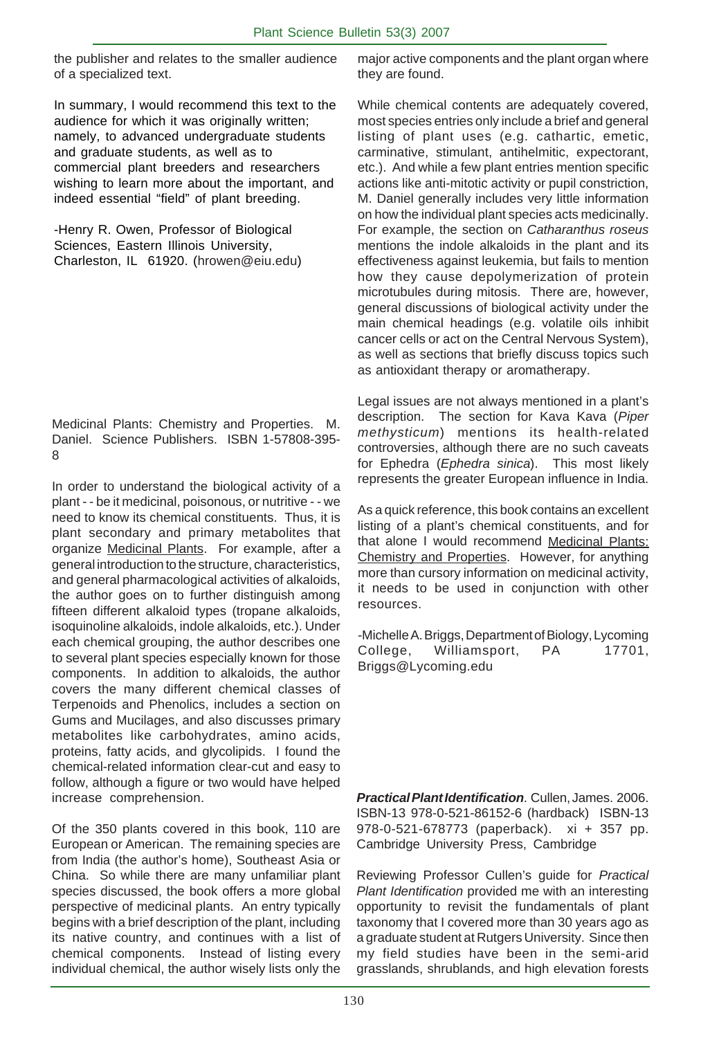the publisher and relates to the smaller audience of a specialized text.

In summary, I would recommend this text to the audience for which it was originally written; namely, to advanced undergraduate students and graduate students, as well as to commercial plant breeders and researchers wishing to learn more about the important, and indeed essential "field" of plant breeding.

-Henry R. Owen, Professor of Biological Sciences, Eastern Illinois University, Charleston, IL 61920. (hrowen@eiu.edu)

Medicinal Plants: Chemistry and Properties. M. Daniel. Science Publishers. ISBN 1-57808-395- 8

In order to understand the biological activity of a plant - - be it medicinal, poisonous, or nutritive - - we need to know its chemical constituents. Thus, it is plant secondary and primary metabolites that organize Medicinal Plants. For example, after a general introduction to the structure, characteristics, and general pharmacological activities of alkaloids, the author goes on to further distinguish among fifteen different alkaloid types (tropane alkaloids, isoquinoline alkaloids, indole alkaloids, etc.). Under each chemical grouping, the author describes one to several plant species especially known for those components. In addition to alkaloids, the author covers the many different chemical classes of Terpenoids and Phenolics, includes a section on Gums and Mucilages, and also discusses primary metabolites like carbohydrates, amino acids, proteins, fatty acids, and glycolipids. I found the chemical-related information clear-cut and easy to follow, although a figure or two would have helped increase comprehension.

Of the 350 plants covered in this book, 110 are European or American. The remaining species are from India (the author's home), Southeast Asia or China. So while there are many unfamiliar plant species discussed, the book offers a more global perspective of medicinal plants. An entry typically begins with a brief description of the plant, including its native country, and continues with a list of chemical components. Instead of listing every individual chemical, the author wisely lists only the

major active components and the plant organ where they are found.

While chemical contents are adequately covered, most species entries only include a brief and general listing of plant uses (e.g. cathartic, emetic, carminative, stimulant, antihelmitic, expectorant, etc.). And while a few plant entries mention specific actions like anti-mitotic activity or pupil constriction, M. Daniel generally includes very little information on how the individual plant species acts medicinally. For example, the section on *Catharanthus roseus* mentions the indole alkaloids in the plant and its effectiveness against leukemia, but fails to mention how they cause depolymerization of protein microtubules during mitosis. There are, however, general discussions of biological activity under the main chemical headings (e.g. volatile oils inhibit cancer cells or act on the Central Nervous System), as well as sections that briefly discuss topics such as antioxidant therapy or aromatherapy.

Legal issues are not always mentioned in a plant's description. The section for Kava Kava (*Piper methysticum*) mentions its health-related controversies, although there are no such caveats for Ephedra (*Ephedra sinica*). This most likely represents the greater European influence in India.

As a quick reference, this book contains an excellent listing of a plant's chemical constituents, and for that alone I would recommend Medicinal Plants: Chemistry and Properties. However, for anything more than cursory information on medicinal activity, it needs to be used in conjunction with other resources.

-Michelle A. Briggs, Department of Biology, Lycoming College, Williamsport, PA 17701, Briggs@Lycoming.edu

*Practical Plant Identification*. Cullen, James. 2006. ISBN-13 978-0-521-86152-6 (hardback) ISBN-13 978-0-521-678773 (paperback). xi + 357 pp. Cambridge University Press, Cambridge

Reviewing Professor Cullen's guide for *Practical Plant Identification* provided me with an interesting opportunity to revisit the fundamentals of plant taxonomy that I covered more than 30 years ago as a graduate student at Rutgers University. Since then my field studies have been in the semi-arid grasslands, shrublands, and high elevation forests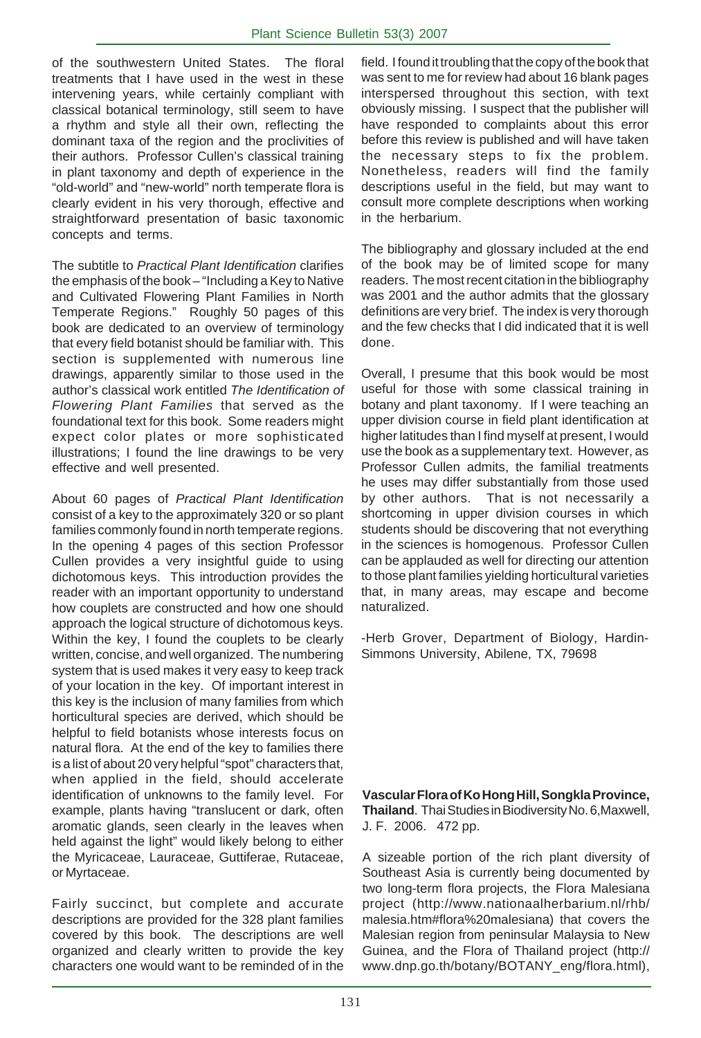of the southwestern United States. The floral treatments that I have used in the west in these intervening years, while certainly compliant with classical botanical terminology, still seem to have a rhythm and style all their own, reflecting the dominant taxa of the region and the proclivities of their authors. Professor Cullen's classical training in plant taxonomy and depth of experience in the "old-world" and "new-world" north temperate flora is clearly evident in his very thorough, effective and straightforward presentation of basic taxonomic concepts and terms.

The subtitle to *Practical Plant Identification* clarifies the emphasis of the book – "Including a Key to Native and Cultivated Flowering Plant Families in North Temperate Regions." Roughly 50 pages of this book are dedicated to an overview of terminology that every field botanist should be familiar with. This section is supplemented with numerous line drawings, apparently similar to those used in the author's classical work entitled *The Identification of Flowering Plant Families* that served as the foundational text for this book. Some readers might expect color plates or more sophisticated illustrations; I found the line drawings to be very effective and well presented.

About 60 pages of *Practical Plant Identification* consist of a key to the approximately 320 or so plant families commonly found in north temperate regions. In the opening 4 pages of this section Professor Cullen provides a very insightful guide to using dichotomous keys. This introduction provides the reader with an important opportunity to understand how couplets are constructed and how one should approach the logical structure of dichotomous keys. Within the key, I found the couplets to be clearly written, concise, and well organized. The numbering system that is used makes it very easy to keep track of your location in the key. Of important interest in this key is the inclusion of many families from which horticultural species are derived, which should be helpful to field botanists whose interests focus on natural flora. At the end of the key to families there is a list of about 20 very helpful "spot" characters that, when applied in the field, should accelerate identification of unknowns to the family level. For example, plants having "translucent or dark, often aromatic glands, seen clearly in the leaves when held against the light" would likely belong to either the Myricaceae, Lauraceae, Guttiferae, Rutaceae, or Myrtaceae.

Fairly succinct, but complete and accurate descriptions are provided for the 328 plant families covered by this book. The descriptions are well organized and clearly written to provide the key characters one would want to be reminded of in the

field. I found it troubling that the copy of the book that was sent to me for review had about 16 blank pages interspersed throughout this section, with text obviously missing. I suspect that the publisher will have responded to complaints about this error before this review is published and will have taken the necessary steps to fix the problem. Nonetheless, readers will find the family descriptions useful in the field, but may want to consult more complete descriptions when working in the herbarium.

The bibliography and glossary included at the end of the book may be of limited scope for many readers. The most recent citation in the bibliography was 2001 and the author admits that the glossary definitions are very brief. The index is very thorough and the few checks that I did indicated that it is well done.

Overall, I presume that this book would be most useful for those with some classical training in botany and plant taxonomy. If I were teaching an upper division course in field plant identification at higher latitudes than I find myself at present, I would use the book as a supplementary text. However, as Professor Cullen admits, the familial treatments he uses may differ substantially from those used by other authors. That is not necessarily a shortcoming in upper division courses in which students should be discovering that not everything in the sciences is homogenous. Professor Cullen can be applauded as well for directing our attention to those plant families yielding horticultural varieties that, in many areas, may escape and become naturalized.

-Herb Grover, Department of Biology, Hardin-Simmons University, Abilene, TX, 79698

**Vascular Flora of Ko Hong Hill, Songkla Province, Thailand**. Thai Studies in Biodiversity No. 6,Maxwell, J. F. 2006. 472 pp.

A sizeable portion of the rich plant diversity of Southeast Asia is currently being documented by two long-term flora projects, the Flora Malesiana project (http://www.nationaalherbarium.nl/rhb/ malesia.htm#flora%20malesiana) that covers the Malesian region from peninsular Malaysia to New Guinea, and the Flora of Thailand project (http:// www.dnp.go.th/botany/BOTANY\_eng/flora.html),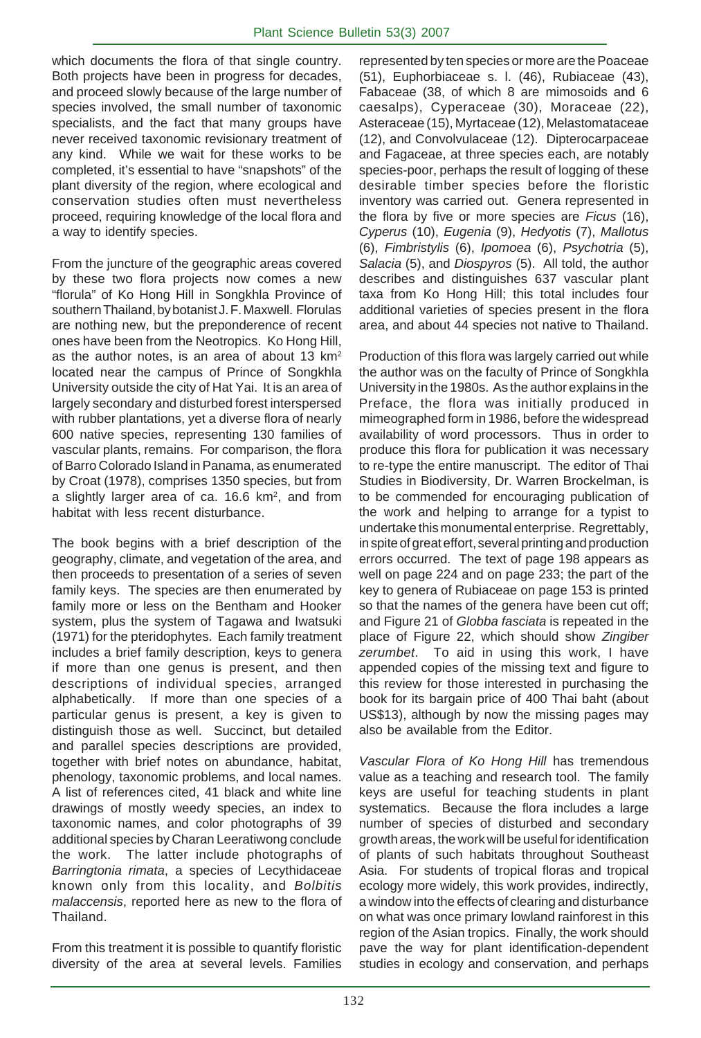which documents the flora of that single country. Both projects have been in progress for decades, and proceed slowly because of the large number of species involved, the small number of taxonomic specialists, and the fact that many groups have never received taxonomic revisionary treatment of any kind. While we wait for these works to be completed, it's essential to have "snapshots" of the plant diversity of the region, where ecological and conservation studies often must nevertheless proceed, requiring knowledge of the local flora and a way to identify species.

From the juncture of the geographic areas covered by these two flora projects now comes a new "florula" of Ko Hong Hill in Songkhla Province of southern Thailand, by botanist J. F. Maxwell. Florulas are nothing new, but the preponderence of recent ones have been from the Neotropics. Ko Hong Hill, as the author notes, is an area of about 13 km<sup>2</sup> located near the campus of Prince of Songkhla University outside the city of Hat Yai. It is an area of largely secondary and disturbed forest interspersed with rubber plantations, yet a diverse flora of nearly 600 native species, representing 130 families of vascular plants, remains. For comparison, the flora of Barro Colorado Island in Panama, as enumerated by Croat (1978), comprises 1350 species, but from a slightly larger area of ca. 16.6 km2, and from habitat with less recent disturbance.

The book begins with a brief description of the geography, climate, and vegetation of the area, and then proceeds to presentation of a series of seven family keys. The species are then enumerated by family more or less on the Bentham and Hooker system, plus the system of Tagawa and Iwatsuki (1971) for the pteridophytes. Each family treatment includes a brief family description, keys to genera if more than one genus is present, and then descriptions of individual species, arranged alphabetically. If more than one species of a particular genus is present, a key is given to distinguish those as well. Succinct, but detailed and parallel species descriptions are provided, together with brief notes on abundance, habitat, phenology, taxonomic problems, and local names. A list of references cited, 41 black and white line drawings of mostly weedy species, an index to taxonomic names, and color photographs of 39 additional species by Charan Leeratiwong conclude the work. The latter include photographs of *Barringtonia rimata*, a species of Lecythidaceae known only from this locality, and *Bolbitis malaccensis*, reported here as new to the flora of Thailand.

From this treatment it is possible to quantify floristic diversity of the area at several levels. Families

represented by ten species or more are the Poaceae (51), Euphorbiaceae s. l. (46), Rubiaceae (43), Fabaceae (38, of which 8 are mimosoids and 6 caesalps), Cyperaceae (30), Moraceae (22), Asteraceae (15), Myrtaceae (12), Melastomataceae (12), and Convolvulaceae (12). Dipterocarpaceae and Fagaceae, at three species each, are notably species-poor, perhaps the result of logging of these desirable timber species before the floristic inventory was carried out. Genera represented in the flora by five or more species are *Ficus* (16), *Cyperus* (10), *Eugenia* (9), *Hedyotis* (7), *Mallotus* (6), *Fimbristylis* (6), *Ipomoea* (6), *Psychotria* (5), *Salacia* (5), and *Diospyros* (5). All told, the author describes and distinguishes 637 vascular plant taxa from Ko Hong Hill; this total includes four additional varieties of species present in the flora area, and about 44 species not native to Thailand.

Production of this flora was largely carried out while the author was on the faculty of Prince of Songkhla University in the 1980s. As the author explains in the Preface, the flora was initially produced in mimeographed form in 1986, before the widespread availability of word processors. Thus in order to produce this flora for publication it was necessary to re-type the entire manuscript. The editor of Thai Studies in Biodiversity, Dr. Warren Brockelman, is to be commended for encouraging publication of the work and helping to arrange for a typist to undertake this monumental enterprise. Regrettably, in spite of great effort, several printing and production errors occurred. The text of page 198 appears as well on page 224 and on page 233; the part of the key to genera of Rubiaceae on page 153 is printed so that the names of the genera have been cut off; and Figure 21 of *Globba fasciata* is repeated in the place of Figure 22, which should show *Zingiber zerumbet*. To aid in using this work, I have appended copies of the missing text and figure to this review for those interested in purchasing the book for its bargain price of 400 Thai baht (about US\$13), although by now the missing pages may also be available from the Editor.

*Vascular Flora of Ko Hong Hill* has tremendous value as a teaching and research tool. The family keys are useful for teaching students in plant systematics. Because the flora includes a large number of species of disturbed and secondary growth areas, the work will be useful for identification of plants of such habitats throughout Southeast Asia. For students of tropical floras and tropical ecology more widely, this work provides, indirectly, a window into the effects of clearing and disturbance on what was once primary lowland rainforest in this region of the Asian tropics. Finally, the work should pave the way for plant identification-dependent studies in ecology and conservation, and perhaps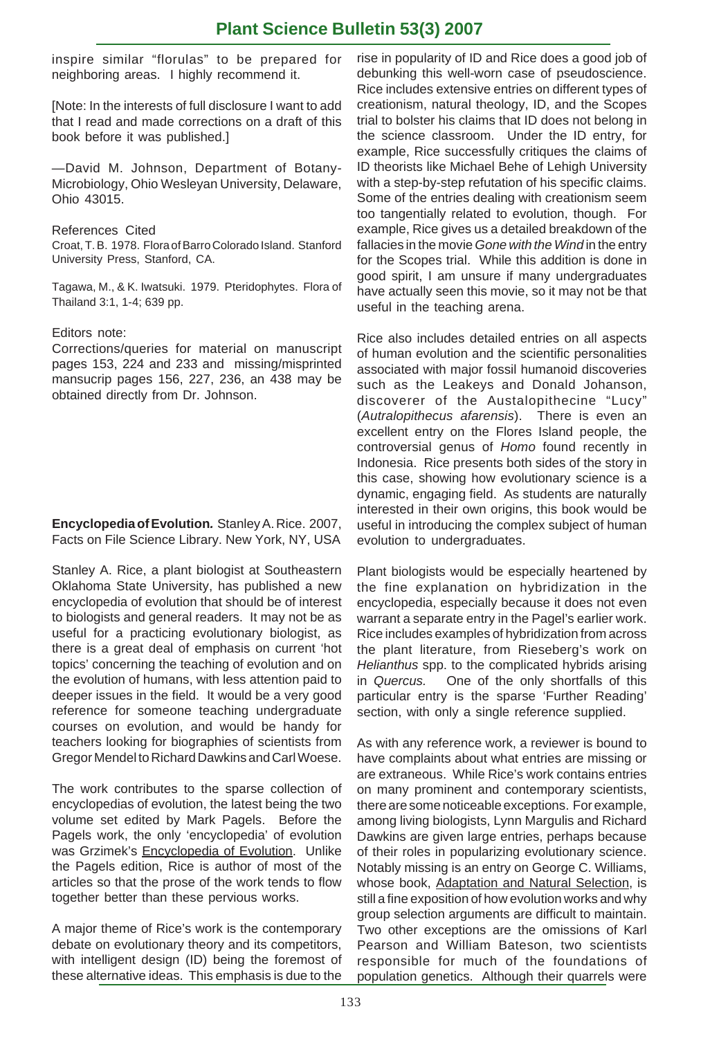# **Plant Science Bulletin 53(3) 2007**

inspire similar "florulas" to be prepared for neighboring areas. I highly recommend it.

[Note: In the interests of full disclosure I want to add that I read and made corrections on a draft of this book before it was published.]

—David M. Johnson, Department of Botany-Microbiology, Ohio Wesleyan University, Delaware, Ohio 43015.

### References Cited

Croat, T. B. 1978. Flora of Barro Colorado Island. Stanford University Press, Stanford, CA.

Tagawa, M., & K. Iwatsuki. 1979. Pteridophytes. Flora of Thailand 3:1, 1-4; 639 pp.

### Editors note:

Corrections/queries for material on manuscript pages 153, 224 and 233 and missing/misprinted mansucrip pages 156, 227, 236, an 438 may be obtained directly from Dr. Johnson.

**Encyclopedia of Evolution***.* Stanley A. Rice. 2007, Facts on File Science Library. New York, NY, USA

Stanley A. Rice, a plant biologist at Southeastern Oklahoma State University, has published a new encyclopedia of evolution that should be of interest to biologists and general readers. It may not be as useful for a practicing evolutionary biologist, as there is a great deal of emphasis on current 'hot topics' concerning the teaching of evolution and on the evolution of humans, with less attention paid to deeper issues in the field. It would be a very good reference for someone teaching undergraduate courses on evolution, and would be handy for teachers looking for biographies of scientists from Gregor Mendel to Richard Dawkins and Carl Woese.

The work contributes to the sparse collection of encyclopedias of evolution, the latest being the two volume set edited by Mark Pagels. Before the Pagels work, the only 'encyclopedia' of evolution was Grzimek's Encyclopedia of Evolution. Unlike the Pagels edition, Rice is author of most of the articles so that the prose of the work tends to flow together better than these pervious works.

A major theme of Rice's work is the contemporary debate on evolutionary theory and its competitors, with intelligent design (ID) being the foremost of these alternative ideas. This emphasis is due to the

rise in popularity of ID and Rice does a good job of debunking this well-worn case of pseudoscience. Rice includes extensive entries on different types of creationism, natural theology, ID, and the Scopes trial to bolster his claims that ID does not belong in the science classroom. Under the ID entry, for example, Rice successfully critiques the claims of ID theorists like Michael Behe of Lehigh University with a step-by-step refutation of his specific claims. Some of the entries dealing with creationism seem too tangentially related to evolution, though. For example, Rice gives us a detailed breakdown of the fallacies in the movie *Gone with the Wind* in the entry for the Scopes trial. While this addition is done in good spirit, I am unsure if many undergraduates have actually seen this movie, so it may not be that useful in the teaching arena.

Rice also includes detailed entries on all aspects of human evolution and the scientific personalities associated with major fossil humanoid discoveries such as the Leakeys and Donald Johanson, discoverer of the Austalopithecine "Lucy" (*Autralopithecus afarensis*). There is even an excellent entry on the Flores Island people, the controversial genus of *Homo* found recently in Indonesia. Rice presents both sides of the story in this case, showing how evolutionary science is a dynamic, engaging field. As students are naturally interested in their own origins, this book would be useful in introducing the complex subject of human evolution to undergraduates.

Plant biologists would be especially heartened by the fine explanation on hybridization in the encyclopedia, especially because it does not even warrant a separate entry in the Pagel's earlier work. Rice includes examples of hybridization from across the plant literature, from Rieseberg's work on *Helianthus* spp. to the complicated hybrids arising in *Quercus.* One of the only shortfalls of this particular entry is the sparse 'Further Reading' section, with only a single reference supplied.

As with any reference work, a reviewer is bound to have complaints about what entries are missing or are extraneous. While Rice's work contains entries on many prominent and contemporary scientists, there are some noticeable exceptions. For example, among living biologists, Lynn Margulis and Richard Dawkins are given large entries, perhaps because of their roles in popularizing evolutionary science. Notably missing is an entry on George C. Williams, whose book, Adaptation and Natural Selection, is still a fine exposition of how evolution works and why group selection arguments are difficult to maintain. Two other exceptions are the omissions of Karl Pearson and William Bateson, two scientists responsible for much of the foundations of population genetics. Although their quarrels were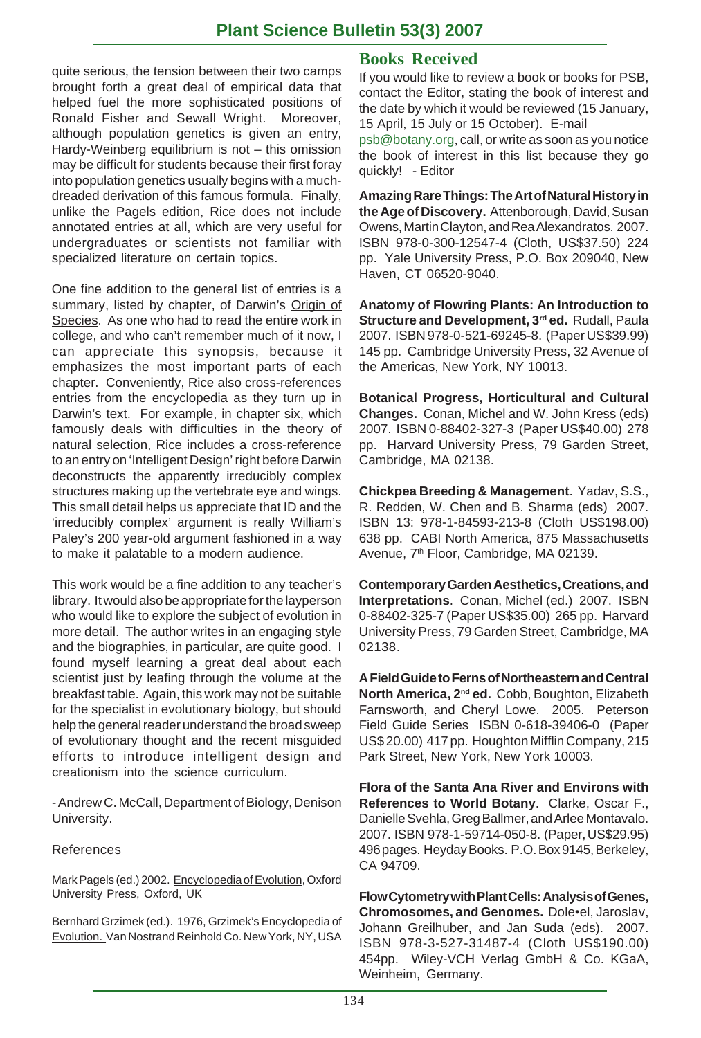# **Plant Science Bulletin 53(3) 2007**

quite serious, the tension between their two camps brought forth a great deal of empirical data that helped fuel the more sophisticated positions of Ronald Fisher and Sewall Wright. Moreover, although population genetics is given an entry, Hardy-Weinberg equilibrium is not – this omission may be difficult for students because their first foray into population genetics usually begins with a muchdreaded derivation of this famous formula. Finally, unlike the Pagels edition, Rice does not include annotated entries at all, which are very useful for undergraduates or scientists not familiar with specialized literature on certain topics.

One fine addition to the general list of entries is a summary, listed by chapter, of Darwin's Origin of Species. As one who had to read the entire work in college, and who can't remember much of it now, I can appreciate this synopsis, because it emphasizes the most important parts of each chapter. Conveniently, Rice also cross-references entries from the encyclopedia as they turn up in Darwin's text. For example, in chapter six, which famously deals with difficulties in the theory of natural selection, Rice includes a cross-reference to an entry on 'Intelligent Design' right before Darwin deconstructs the apparently irreducibly complex structures making up the vertebrate eye and wings. This small detail helps us appreciate that ID and the 'irreducibly complex' argument is really William's Paley's 200 year-old argument fashioned in a way to make it palatable to a modern audience.

This work would be a fine addition to any teacher's library. It would also be appropriate for the layperson who would like to explore the subject of evolution in more detail. The author writes in an engaging style and the biographies, in particular, are quite good. I found myself learning a great deal about each scientist just by leafing through the volume at the breakfast table. Again, this work may not be suitable for the specialist in evolutionary biology, but should help the general reader understand the broad sweep of evolutionary thought and the recent misguided efforts to introduce intelligent design and creationism into the science curriculum.

- Andrew C. McCall, Department of Biology, Denison University.

### References

Mark Pagels (ed.) 2002. Encyclopedia of Evolution, Oxford University Press, Oxford, UK

Bernhard Grzimek (ed.). 1976, Grzimek's Encyclopedia of Evolution. Van Nostrand Reinhold Co. New York, NY, USA

# **Books Received**

If you would like to review a book or books for PSB, contact the Editor, stating the book of interest and the date by which it would be reviewed (15 January, 15 April, 15 July or 15 October). E-mail

psb@botany.org, call, or write as soon as you notice the book of interest in this list because they go quickly! - Editor

**Amazing Rare Things: The Art of Natural History in the Age of Discovery.** Attenborough, David, Susan Owens, Martin Clayton, and Rea Alexandratos. 2007. ISBN 978-0-300-12547-4 (Cloth, US\$37.50) 224 pp. Yale University Press, P.O. Box 209040, New Haven, CT 06520-9040.

**Anatomy of Flowring Plants: An Introduction to** Structure and Development, 3<sup>rd</sup> ed. Rudall, Paula 2007. ISBN 978-0-521-69245-8. (Paper US\$39.99) 145 pp. Cambridge University Press, 32 Avenue of the Americas, New York, NY 10013.

**Botanical Progress, Horticultural and Cultural Changes.** Conan, Michel and W. John Kress (eds) 2007. ISBN 0-88402-327-3 (Paper US\$40.00) 278 pp. Harvard University Press, 79 Garden Street, Cambridge, MA 02138.

**Chickpea Breeding & Management**. Yadav, S.S., R. Redden, W. Chen and B. Sharma (eds) 2007. ISBN 13: 978-1-84593-213-8 (Cloth US\$198.00) 638 pp. CABI North America, 875 Massachusetts Avenue, 7<sup>th</sup> Floor, Cambridge, MA 02139.

**Contemporary Garden Aesthetics, Creations, and Interpretations**. Conan, Michel (ed.) 2007. ISBN 0-88402-325-7 (Paper US\$35.00) 265 pp. Harvard University Press, 79 Garden Street, Cambridge, MA 02138.

**A Field Guide to Ferns of Northeastern and Central North America, 2nd ed.** Cobb, Boughton, Elizabeth Farnsworth, and Cheryl Lowe. 2005. Peterson Field Guide Series ISBN 0-618-39406-0 (Paper US\$ 20.00) 417 pp. Houghton Mifflin Company, 215 Park Street, New York, New York 10003.

**Flora of the Santa Ana River and Environs with References to World Botany**. Clarke, Oscar F., Danielle Svehla, Greg Ballmer, and Arlee Montavalo. 2007. ISBN 978-1-59714-050-8. (Paper, US\$29.95) 496 pages. Heyday Books. P.O. Box 9145, Berkeley, CA 94709.

**Flow Cytometry with Plant Cells: Analysis of Genes, Chromosomes, and Genomes.** Dole•el, Jaroslav, Johann Greilhuber, and Jan Suda (eds). 2007. ISBN 978-3-527-31487-4 (Cloth US\$190.00) 454pp. Wiley-VCH Verlag GmbH & Co. KGaA, Weinheim, Germany.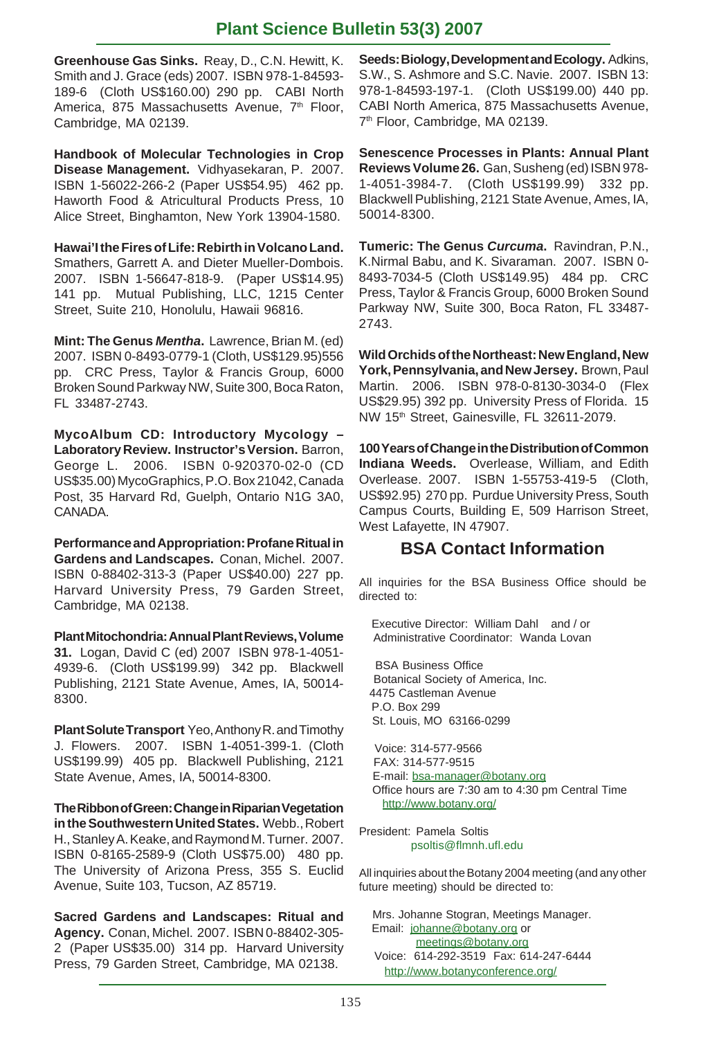# **Plant Science Bulletin 53(3) 2007**

**Greenhouse Gas Sinks.** Reay, D., C.N. Hewitt, K. Smith and J. Grace (eds) 2007. ISBN 978-1-84593- 189-6 (Cloth US\$160.00) 290 pp. CABI North America, 875 Massachusetts Avenue, 7<sup>th</sup> Floor, Cambridge, MA 02139.

**Handbook of Molecular Technologies in Crop Disease Management.** Vidhyasekaran, P. 2007. ISBN 1-56022-266-2 (Paper US\$54.95) 462 pp. Haworth Food & Atricultural Products Press, 10 Alice Street, Binghamton, New York 13904-1580.

**Hawai'I the Fires of Life: Rebirth in Volcano Land.** Smathers, Garrett A. and Dieter Mueller-Dombois. 2007. ISBN 1-56647-818-9. (Paper US\$14.95) 141 pp. Mutual Publishing, LLC, 1215 Center Street, Suite 210, Honolulu, Hawaii 96816.

**Mint: The Genus** *Mentha***.** Lawrence, Brian M. (ed) 2007. ISBN 0-8493-0779-1 (Cloth, US\$129.95)556 pp. CRC Press, Taylor & Francis Group, 6000 Broken Sound Parkway NW, Suite 300, Boca Raton, FL 33487-2743.

**MycoAlbum CD: Introductory Mycology – Laboratory Review. Instructor's Version.** Barron, George L. 2006. ISBN 0-920370-02-0 (CD US\$35.00) MycoGraphics, P.O. Box 21042, Canada Post, 35 Harvard Rd, Guelph, Ontario N1G 3A0, CANADA.

**Performance and Appropriation: Profane Ritual in Gardens and Landscapes.** Conan, Michel. 2007. ISBN 0-88402-313-3 (Paper US\$40.00) 227 pp. Harvard University Press, 79 Garden Street, Cambridge, MA 02138.

**Plant Mitochondria: Annual Plant Reviews, Volume 31.** Logan, David C (ed) 2007 ISBN 978-1-4051- 4939-6. (Cloth US\$199.99) 342 pp. Blackwell Publishing, 2121 State Avenue, Ames, IA, 50014- 8300.

**Plant Solute Transport** Yeo, Anthony R. and Timothy J. Flowers. 2007. ISBN 1-4051-399-1. (Cloth US\$199.99) 405 pp. Blackwell Publishing, 2121 State Avenue, Ames, IA, 50014-8300.

**The Ribbon of Green: Change in Riparian Vegetation in the Southwestern United States.** Webb., Robert H., Stanley A. Keake, and Raymond M. Turner. 2007. ISBN 0-8165-2589-9 (Cloth US\$75.00) 480 pp. The University of Arizona Press, 355 S. Euclid Avenue, Suite 103, Tucson, AZ 85719.

**Sacred Gardens and Landscapes: Ritual and Agency.** Conan, Michel. 2007. ISBN 0-88402-305- 2 (Paper US\$35.00) 314 pp. Harvard University Press, 79 Garden Street, Cambridge, MA 02138.

**Seeds: Biology, Development and Ecology.** Adkins, S.W., S. Ashmore and S.C. Navie. 2007. ISBN 13: 978-1-84593-197-1. (Cloth US\$199.00) 440 pp. CABI North America, 875 Massachusetts Avenue, 7<sup>th</sup> Floor, Cambridge, MA 02139.

**Senescence Processes in Plants: Annual Plant Reviews Volume 26.** Gan, Susheng (ed) ISBN 978- 1-4051-3984-7. (Cloth US\$199.99) 332 pp. Blackwell Publishing, 2121 State Avenue, Ames, IA, 50014-8300.

**Tumeric: The Genus** *Curcuma***.** Ravindran, P.N., K.Nirmal Babu, and K. Sivaraman. 2007. ISBN 0- 8493-7034-5 (Cloth US\$149.95) 484 pp. CRC Press, Taylor & Francis Group, 6000 Broken Sound Parkway NW, Suite 300, Boca Raton, FL 33487- 2743.

**Wild Orchids of the Northeast: New England, New York, Pennsylvania, and New Jersey.** Brown, Paul Martin. 2006. ISBN 978-0-8130-3034-0 (Flex US\$29.95) 392 pp. University Press of Florida. 15 NW 15th Street, Gainesville, FL 32611-2079.

**100 Years of Change in the Distribution of Common Indiana Weeds.** Overlease, William, and Edith Overlease. 2007. ISBN 1-55753-419-5 (Cloth, US\$92.95) 270 pp. Purdue University Press, South Campus Courts, Building E, 509 Harrison Street, West Lafayette, IN 47907.

# **BSA Contact Information**

All inquiries for the BSA Business Office should be directed to:

 Executive Director: William Dahl and / or Administrative Coordinator: Wanda Lovan

 BSA Business Office Botanical Society of America, Inc. 4475 Castleman Avenue P.O. Box 299 St. Louis, MO 63166-0299

 Voice: 314-577-9566 FAX: 314-577-9515 E-mail: bsa-manager@botany.org Office hours are 7:30 am to 4:30 pm Central Time http://www.botany.org/

President: Pamela Soltis psoltis@flmnh.ufl.edu

All inquiries about the Botany 2004 meeting (and any other future meeting) should be directed to:

 Mrs. Johanne Stogran, Meetings Manager. Email: johanne@botany.org or meetings@botany.org Voice: 614-292-3519 Fax: 614-247-6444 http://www.botanyconference.org/